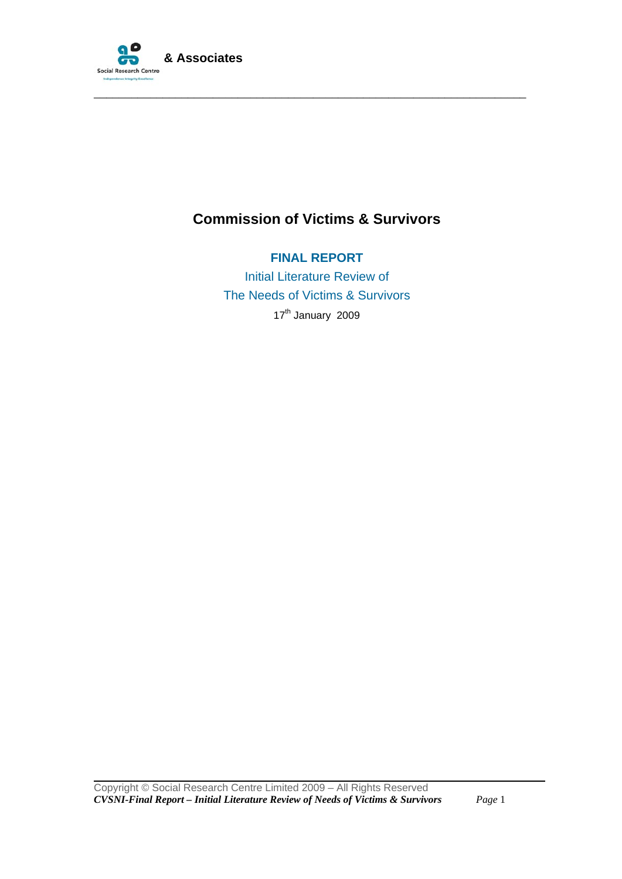

# **Commission of Victims & Survivors**

\_\_\_\_\_\_\_\_\_\_\_\_\_\_\_\_\_\_\_\_\_\_\_\_\_\_\_\_\_\_\_\_\_\_\_\_\_\_\_\_\_\_\_\_\_\_\_\_\_\_\_\_\_\_\_\_\_\_\_\_\_\_\_\_\_\_\_\_\_

**FINAL REPORT**  Initial Literature Review of The Needs of Victims & Survivors 17<sup>th</sup> January 2009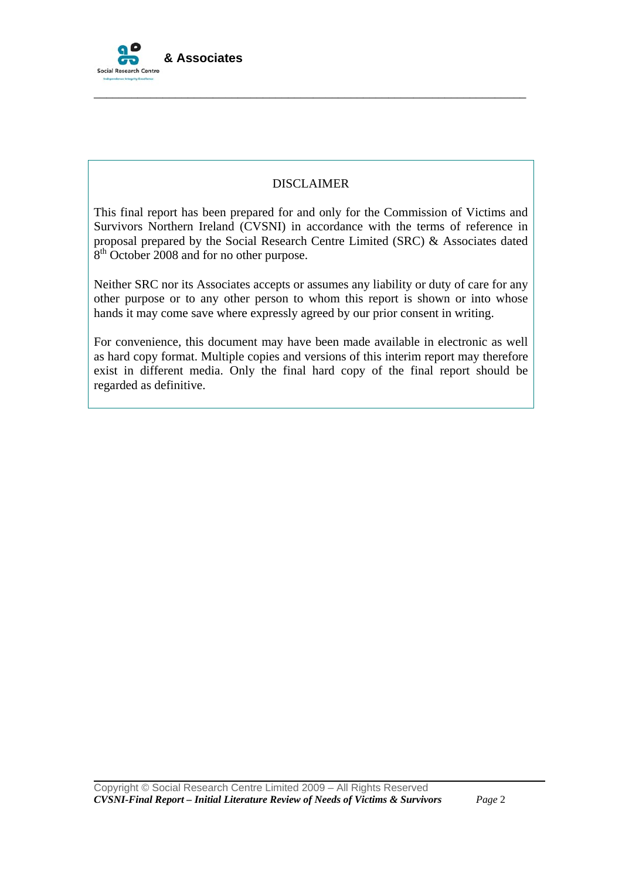

# DISCLAIMER

\_\_\_\_\_\_\_\_\_\_\_\_\_\_\_\_\_\_\_\_\_\_\_\_\_\_\_\_\_\_\_\_\_\_\_\_\_\_\_\_\_\_\_\_\_\_\_\_\_\_\_\_\_\_\_\_\_\_\_\_\_\_\_\_\_\_\_\_\_

This final report has been prepared for and only for the Commission of Victims and Survivors Northern Ireland (CVSNI) in accordance with the terms of reference in proposal prepared by the Social Research Centre Limited (SRC) & Associates dated 8<sup>th</sup> October 2008 and for no other purpose.

Neither SRC nor its Associates accepts or assumes any liability or duty of care for any other purpose or to any other person to whom this report is shown or into whose hands it may come save where expressly agreed by our prior consent in writing.

For convenience, this document may have been made available in electronic as well as hard copy format. Multiple copies and versions of this interim report may therefore exist in different media. Only the final hard copy of the final report should be regarded as definitive.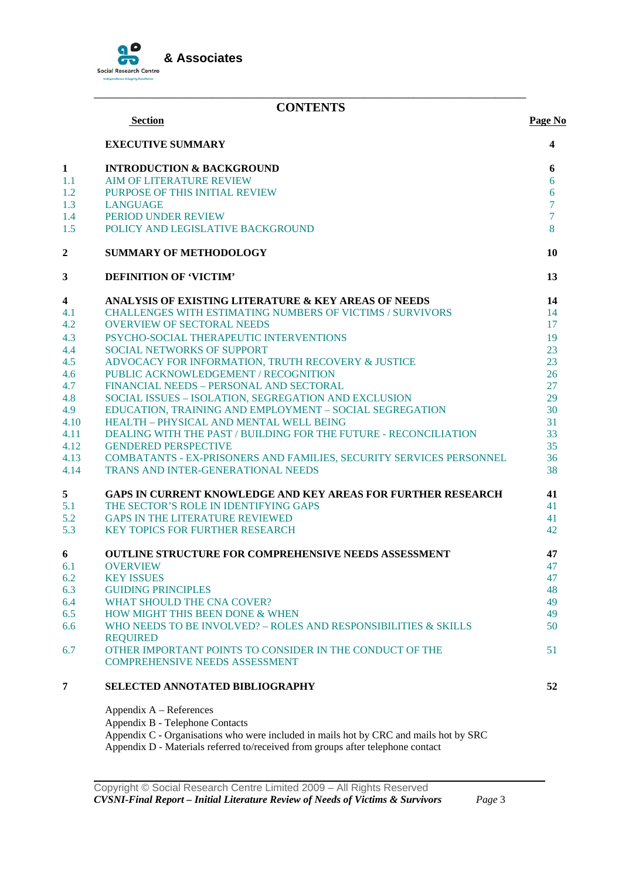

### \_\_\_\_\_\_\_\_\_\_\_\_\_\_\_\_\_\_\_\_\_\_\_\_\_\_\_\_\_\_\_\_\_\_\_\_\_\_\_\_\_\_\_\_\_\_\_\_\_\_\_\_\_\_\_\_\_\_\_\_\_\_\_\_\_\_\_\_\_ **CONTENTS**

|                  | <b>Section</b>                                                                                            | Page No        |
|------------------|-----------------------------------------------------------------------------------------------------------|----------------|
|                  | <b>EXECUTIVE SUMMARY</b>                                                                                  | 4              |
| $\mathbf{1}$     | <b>INTRODUCTION &amp; BACKGROUND</b>                                                                      | 6              |
| 1.1              | <b>AIM OF LITERATURE REVIEW</b>                                                                           | 6              |
| 1.2              | PURPOSE OF THIS INITIAL REVIEW                                                                            | 6              |
| 1.3              | <b>LANGUAGE</b>                                                                                           | $\overline{7}$ |
| 1.4              | PERIOD UNDER REVIEW                                                                                       | $\overline{7}$ |
| 1.5              | POLICY AND LEGISLATIVE BACKGROUND                                                                         | 8              |
| $\boldsymbol{2}$ | <b>SUMMARY OF METHODOLOGY</b>                                                                             | 10             |
| 3                | <b>DEFINITION OF 'VICTIM'</b>                                                                             | 13             |
| 4                | ANALYSIS OF EXISTING LITERATURE & KEY AREAS OF NEEDS                                                      | 14             |
| 4.1              | <b>CHALLENGES WITH ESTIMATING NUMBERS OF VICTIMS / SURVIVORS</b>                                          | 14             |
| 4.2              | <b>OVERVIEW OF SECTORAL NEEDS</b>                                                                         | 17             |
| 4.3              | PSYCHO-SOCIAL THERAPEUTIC INTERVENTIONS                                                                   | 19             |
| 4.4              | <b>SOCIAL NETWORKS OF SUPPORT</b>                                                                         | 23             |
| 4.5              | ADVOCACY FOR INFORMATION, TRUTH RECOVERY & JUSTICE                                                        | 23             |
| 4.6              | PUBLIC ACKNOWLEDGEMENT / RECOGNITION                                                                      | 26             |
| 4.7              | FINANCIAL NEEDS - PERSONAL AND SECTORAL                                                                   | 27             |
| 4.8              | SOCIAL ISSUES - ISOLATION, SEGREGATION AND EXCLUSION                                                      | 29             |
| 4.9              | EDUCATION, TRAINING AND EMPLOYMENT - SOCIAL SEGREGATION                                                   | 30             |
| 4.10             | HEALTH - PHYSICAL AND MENTAL WELL BEING                                                                   | 31             |
| 4.11             | DEALING WITH THE PAST / BUILDING FOR THE FUTURE - RECONCILIATION                                          | 33             |
| 4.12             | <b>GENDERED PERSPECTIVE</b>                                                                               | 35             |
| 4.13<br>4.14     | COMBATANTS - EX-PRISONERS AND FAMILIES, SECURITY SERVICES PERSONNEL<br>TRANS AND INTER-GENERATIONAL NEEDS | 36<br>38       |
| 5                | <b>GAPS IN CURRENT KNOWLEDGE AND KEY AREAS FOR FURTHER RESEARCH</b>                                       | 41             |
| 5.1              | THE SECTOR'S ROLE IN IDENTIFYING GAPS                                                                     | 41             |
| 5.2              | <b>GAPS IN THE LITERATURE REVIEWED</b>                                                                    | 41             |
| 5.3              | <b>KEY TOPICS FOR FURTHER RESEARCH</b>                                                                    | 42             |
| 6                | <b>OUTLINE STRUCTURE FOR COMPREHENSIVE NEEDS ASSESSMENT</b>                                               | 47             |
| 6.1              | <b>OVERVIEW</b>                                                                                           | 47             |
| 6.2              | <b>KEY ISSUES</b>                                                                                         | 47             |
| 6.3              | <b>GUIDING PRINCIPLES</b>                                                                                 | 48             |
| 6.4              | <b>WHAT SHOULD THE CNA COVER?</b>                                                                         | 49             |
| 6.5              | HOW MIGHT THIS BEEN DONE & WHEN                                                                           | 49             |
| 6.6              | WHO NEEDS TO BE INVOLVED? – ROLES AND RESPONSIBILITIES & SKILLS<br><b>REQUIRED</b>                        | 50             |
| 6.7              | OTHER IMPORTANT POINTS TO CONSIDER IN THE CONDUCT OF THE                                                  | 51             |
|                  | <b>COMPREHENSIVE NEEDS ASSESSMENT</b>                                                                     |                |
| 7                | <b>SELECTED ANNOTATED BIBLIOGRAPHY</b>                                                                    | 52             |
|                  | Appendix A – References                                                                                   |                |

Appendix B - Telephone Contacts Appendix C - Organisations who were included in mails hot by CRC and mails hot by SRC Appendix D - Materials referred to/received from groups after telephone contact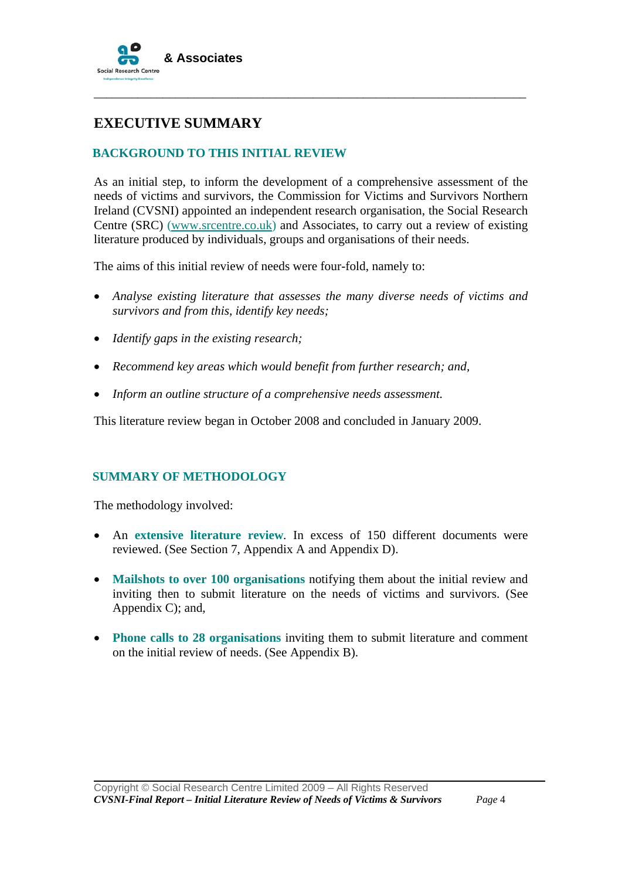

# **EXECUTIVE SUMMARY**

# **BACKGROUND TO THIS INITIAL REVIEW**

As an initial step, to inform the development of a comprehensive assessment of the needs of victims and survivors, the Commission for Victims and Survivors Northern Ireland (CVSNI) appointed an independent research organisation, the Social Research Centre (SRC) (www.srcentre.co.uk) and Associates, to carry out a review of existing literature produced by individuals, groups and organisations of their needs.

\_\_\_\_\_\_\_\_\_\_\_\_\_\_\_\_\_\_\_\_\_\_\_\_\_\_\_\_\_\_\_\_\_\_\_\_\_\_\_\_\_\_\_\_\_\_\_\_\_\_\_\_\_\_\_\_\_\_\_\_\_\_\_\_\_\_\_\_\_

The aims of this initial review of needs were four-fold, namely to:

- *Analyse existing literature that assesses the many diverse needs of victims and survivors and from this, identify key needs;*
- *Identify gaps in the existing research;*
- *Recommend key areas which would benefit from further research; and,*
- *Inform an outline structure of a comprehensive needs assessment.*

This literature review began in October 2008 and concluded in January 2009.

### **SUMMARY OF METHODOLOGY**

The methodology involved:

- An **extensive literature review**. In excess of 150 different documents were reviewed. (See Section 7, Appendix A and Appendix D).
- **Mailshots to over 100 organisations** notifying them about the initial review and inviting then to submit literature on the needs of victims and survivors. (See Appendix C); and,
- **Phone calls to 28 organisations** inviting them to submit literature and comment on the initial review of needs. (See Appendix B).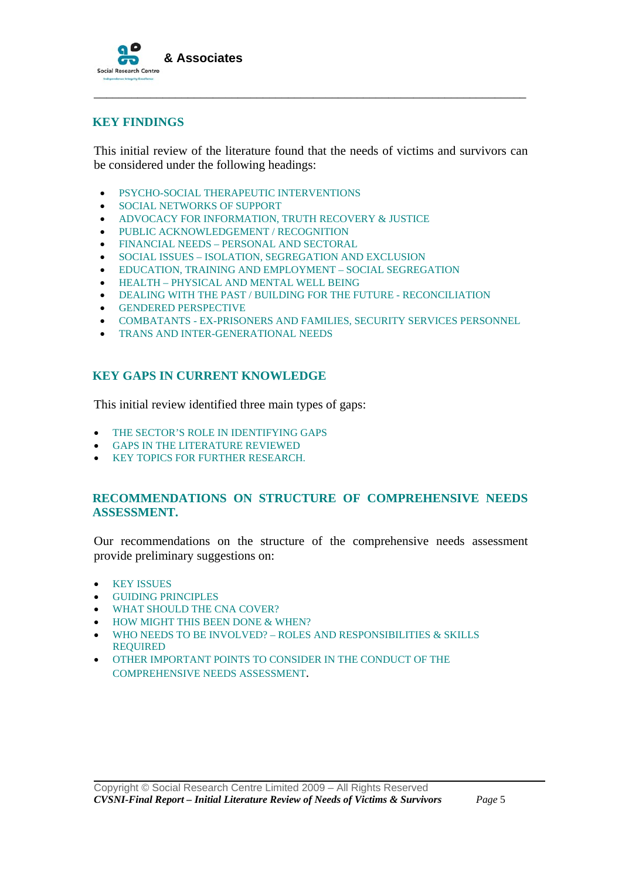

### **KEY FINDINGS**

This initial review of the literature found that the needs of victims and survivors can be considered under the following headings:

\_\_\_\_\_\_\_\_\_\_\_\_\_\_\_\_\_\_\_\_\_\_\_\_\_\_\_\_\_\_\_\_\_\_\_\_\_\_\_\_\_\_\_\_\_\_\_\_\_\_\_\_\_\_\_\_\_\_\_\_\_\_\_\_\_\_\_\_\_

- PSYCHO-SOCIAL THERAPEUTIC INTERVENTIONS
- SOCIAL NETWORKS OF SUPPORT
- ADVOCACY FOR INFORMATION, TRUTH RECOVERY & JUSTICE
- PUBLIC ACKNOWLEDGEMENT / RECOGNITION
- FINANCIAL NEEDS PERSONAL AND SECTORAL
- SOCIAL ISSUES ISOLATION, SEGREGATION AND EXCLUSION
- EDUCATION, TRAINING AND EMPLOYMENT SOCIAL SEGREGATION
- HEALTH PHYSICAL AND MENTAL WELL BEING
- DEALING WITH THE PAST / BUILDING FOR THE FUTURE RECONCILIATION
- GENDERED PERSPECTIVE
- COMBATANTS EX-PRISONERS AND FAMILIES, SECURITY SERVICES PERSONNEL
- TRANS AND INTER-GENERATIONAL NEEDS

# **KEY GAPS IN CURRENT KNOWLEDGE**

This initial review identified three main types of gaps:

- THE SECTOR'S ROLE IN IDENTIFYING GAPS
- GAPS IN THE LITERATURE REVIEWED
- KEY TOPICS FOR FURTHER RESEARCH.

### **RECOMMENDATIONS ON STRUCTURE OF COMPREHENSIVE NEEDS ASSESSMENT.**

Our recommendations on the structure of the comprehensive needs assessment provide preliminary suggestions on:

• KEY ISSUES

- GUIDING PRINCIPLES
- WHAT SHOULD THE CNA COVER?
- HOW MIGHT THIS BEEN DONE & WHEN?
- WHO NEEDS TO BE INVOLVED? ROLES AND RESPONSIBILITIES & SKILLS REQUIRED
- OTHER IMPORTANT POINTS TO CONSIDER IN THE CONDUCT OF THE COMPREHENSIVE NEEDS ASSESSMENT.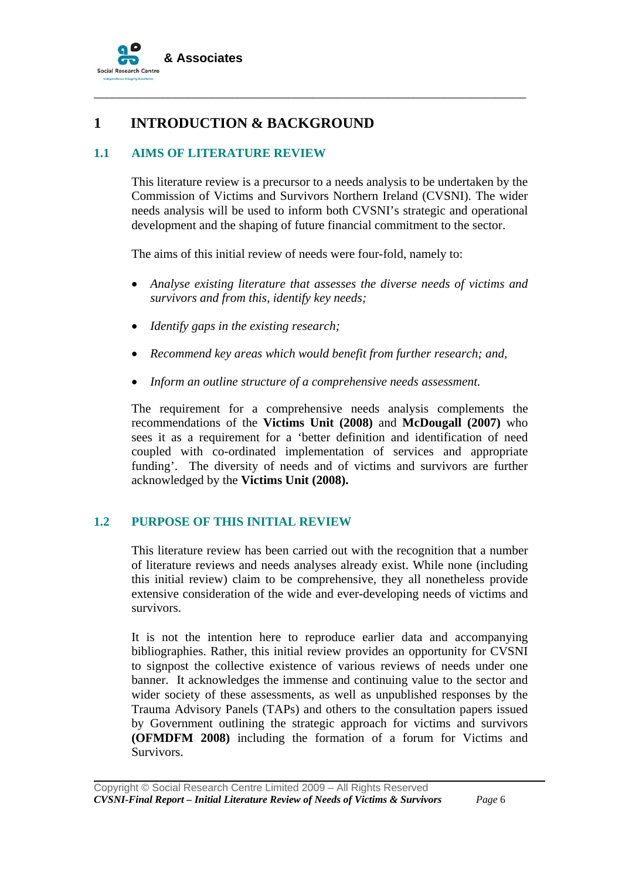

# **1 INTRODUCTION & BACKGROUND**

# **1.1 AIMS OF LITERATURE REVIEW**

This literature review is a precursor to a needs analysis to be undertaken by the Commission of Victims and Survivors Northern Ireland (CVSNI). The wider needs analysis will be used to inform both CVSNI's strategic and operational development and the shaping of future financial commitment to the sector.

\_\_\_\_\_\_\_\_\_\_\_\_\_\_\_\_\_\_\_\_\_\_\_\_\_\_\_\_\_\_\_\_\_\_\_\_\_\_\_\_\_\_\_\_\_\_\_\_\_\_\_\_\_\_\_\_\_\_\_\_\_\_\_\_\_\_\_\_\_

The aims of this initial review of needs were four-fold, namely to:

- *Analyse existing literature that assesses the diverse needs of victims and survivors and from this, identify key needs;*
- *Identify gaps in the existing research;*
- *Recommend key areas which would benefit from further research; and,*
- *Inform an outline structure of a comprehensive needs assessment.*

The requirement for a comprehensive needs analysis complements the recommendations of the **Victims Unit (2008)** and **McDougall (2007)** who sees it as a requirement for a 'better definition and identification of need coupled with co-ordinated implementation of services and appropriate funding'. The diversity of needs and of victims and survivors are further acknowledged by the **Victims Unit (2008).** 

# **1.2 PURPOSE OF THIS INITIAL REVIEW**

This literature review has been carried out with the recognition that a number of literature reviews and needs analyses already exist. While none (including this initial review) claim to be comprehensive, they all nonetheless provide extensive consideration of the wide and ever-developing needs of victims and survivors.

It is not the intention here to reproduce earlier data and accompanying bibliographies. Rather, this initial review provides an opportunity for CVSNI to signpost the collective existence of various reviews of needs under one banner. It acknowledges the immense and continuing value to the sector and wider society of these assessments, as well as unpublished responses by the Trauma Advisory Panels (TAPs) and others to the consultation papers issued by Government outlining the strategic approach for victims and survivors **(OFMDFM 2008)** including the formation of a forum for Victims and Survivors.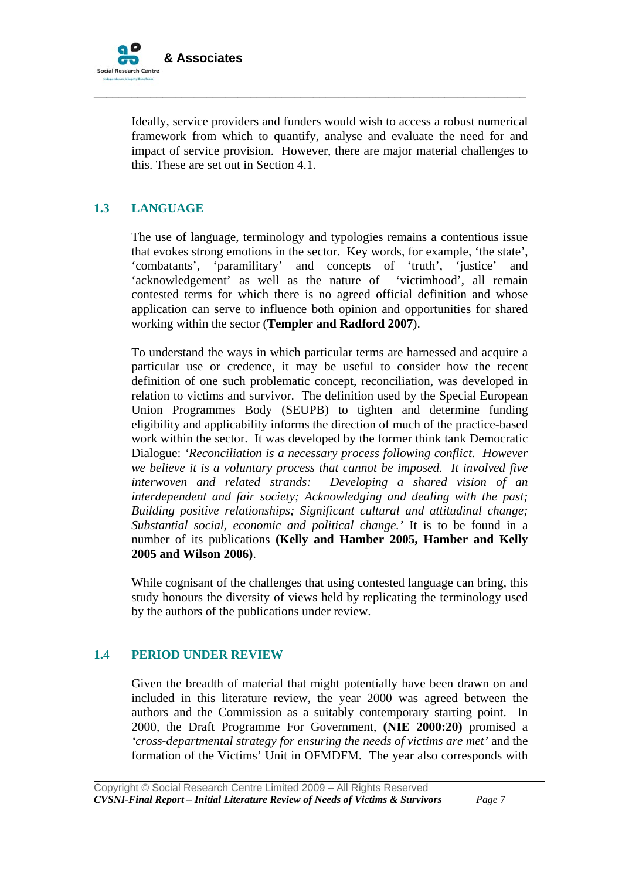

Ideally, service providers and funders would wish to access a robust numerical framework from which to quantify, analyse and evaluate the need for and impact of service provision. However, there are major material challenges to this. These are set out in Section 4.1.

\_\_\_\_\_\_\_\_\_\_\_\_\_\_\_\_\_\_\_\_\_\_\_\_\_\_\_\_\_\_\_\_\_\_\_\_\_\_\_\_\_\_\_\_\_\_\_\_\_\_\_\_\_\_\_\_\_\_\_\_\_\_\_\_\_\_\_\_\_

# **1.3 LANGUAGE**

The use of language, terminology and typologies remains a contentious issue that evokes strong emotions in the sector. Key words, for example, 'the state', 'combatants', 'paramilitary' and concepts of 'truth', 'justice' and 'acknowledgement' as well as the nature of 'victimhood', all remain contested terms for which there is no agreed official definition and whose application can serve to influence both opinion and opportunities for shared working within the sector (**Templer and Radford 2007**).

To understand the ways in which particular terms are harnessed and acquire a particular use or credence, it may be useful to consider how the recent definition of one such problematic concept, reconciliation, was developed in relation to victims and survivor. The definition used by the Special European Union Programmes Body (SEUPB) to tighten and determine funding eligibility and applicability informs the direction of much of the practice-based work within the sector. It was developed by the former think tank Democratic Dialogue: *'Reconciliation is a necessary process following conflict. However we believe it is a voluntary process that cannot be imposed. It involved five interwoven and related strands: Developing a shared vision of an interdependent and fair society; Acknowledging and dealing with the past; Building positive relationships; Significant cultural and attitudinal change; Substantial social, economic and political change.'* It is to be found in a number of its publications **(Kelly and Hamber 2005, Hamber and Kelly 2005 and Wilson 2006)**.

While cognisant of the challenges that using contested language can bring, this study honours the diversity of views held by replicating the terminology used by the authors of the publications under review.

# **1.4 PERIOD UNDER REVIEW**

Given the breadth of material that might potentially have been drawn on and included in this literature review, the year 2000 was agreed between the authors and the Commission as a suitably contemporary starting point. In 2000, the Draft Programme For Government, **(NIE 2000:20)** promised a *'cross-departmental strategy for ensuring the needs of victims are met'* and the formation of the Victims' Unit in OFMDFM. The year also corresponds with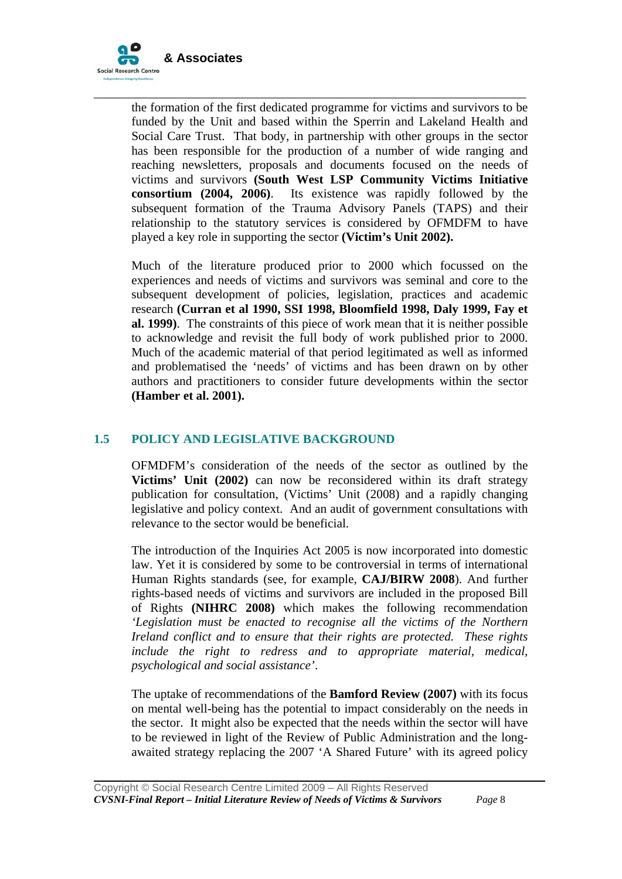

the formation of the first dedicated programme for victims and survivors to be funded by the Unit and based within the Sperrin and Lakeland Health and Social Care Trust. That body, in partnership with other groups in the sector has been responsible for the production of a number of wide ranging and reaching newsletters, proposals and documents focused on the needs of victims and survivors **(South West LSP Community Victims Initiative consortium (2004, 2006)**. Its existence was rapidly followed by the subsequent formation of the Trauma Advisory Panels (TAPS) and their relationship to the statutory services is considered by OFMDFM to have played a key role in supporting the sector **(Victim's Unit 2002).** 

\_\_\_\_\_\_\_\_\_\_\_\_\_\_\_\_\_\_\_\_\_\_\_\_\_\_\_\_\_\_\_\_\_\_\_\_\_\_\_\_\_\_\_\_\_\_\_\_\_\_\_\_\_\_\_\_\_\_\_\_\_\_\_\_\_\_\_\_\_

Much of the literature produced prior to 2000 which focussed on the experiences and needs of victims and survivors was seminal and core to the subsequent development of policies, legislation, practices and academic research **(Curran et al 1990, SSI 1998, Bloomfield 1998, Daly 1999, Fay et al. 1999)**. The constraints of this piece of work mean that it is neither possible to acknowledge and revisit the full body of work published prior to 2000. Much of the academic material of that period legitimated as well as informed and problematised the 'needs' of victims and has been drawn on by other authors and practitioners to consider future developments within the sector **(Hamber et al. 2001).**

# **1.5 POLICY AND LEGISLATIVE BACKGROUND**

OFMDFM's consideration of the needs of the sector as outlined by the **Victims' Unit (2002)** can now be reconsidered within its draft strategy publication for consultation, (Victims' Unit (2008) and a rapidly changing legislative and policy context. And an audit of government consultations with relevance to the sector would be beneficial.

The introduction of the Inquiries Act 2005 is now incorporated into domestic law. Yet it is considered by some to be controversial in terms of international Human Rights standards (see, for example, **CAJ/BIRW 2008**). And further rights-based needs of victims and survivors are included in the proposed Bill of Rights **(NIHRC 2008)** which makes the following recommendation *'Legislation must be enacted to recognise all the victims of the Northern Ireland conflict and to ensure that their rights are protected. These rights include the right to redress and to appropriate material, medical, psychological and social assistance'*.

The uptake of recommendations of the **Bamford Review (2007)** with its focus on mental well-being has the potential to impact considerably on the needs in the sector. It might also be expected that the needs within the sector will have to be reviewed in light of the Review of Public Administration and the longawaited strategy replacing the 2007 'A Shared Future' with its agreed policy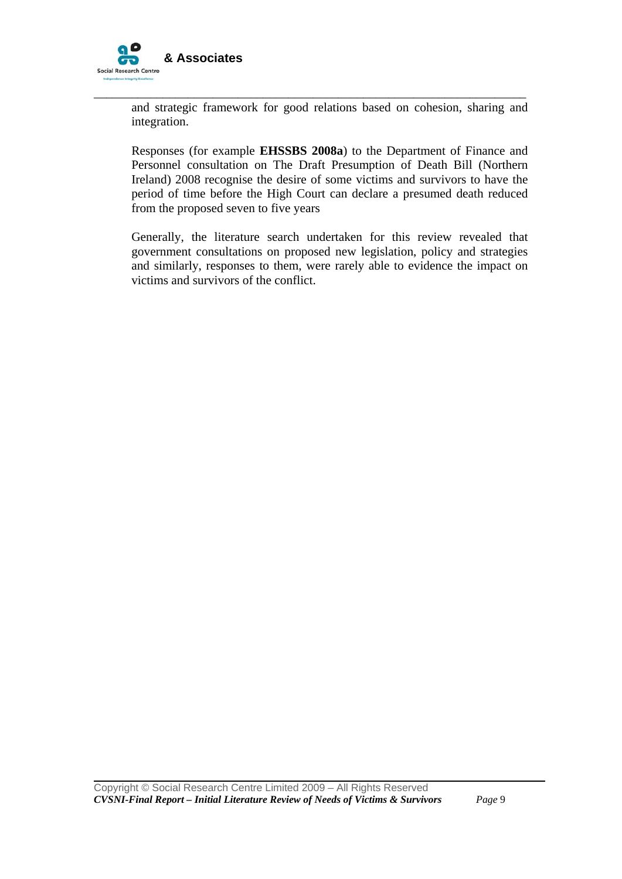

and strategic framework for good relations based on cohesion, sharing and integration.

\_\_\_\_\_\_\_\_\_\_\_\_\_\_\_\_\_\_\_\_\_\_\_\_\_\_\_\_\_\_\_\_\_\_\_\_\_\_\_\_\_\_\_\_\_\_\_\_\_\_\_\_\_\_\_\_\_\_\_\_\_\_\_\_\_\_\_\_\_

Responses (for example **EHSSBS 2008a**) to the Department of Finance and Personnel consultation on The Draft Presumption of Death Bill (Northern Ireland) 2008 recognise the desire of some victims and survivors to have the period of time before the High Court can declare a presumed death reduced from the proposed seven to five years

Generally, the literature search undertaken for this review revealed that government consultations on proposed new legislation, policy and strategies and similarly, responses to them, were rarely able to evidence the impact on victims and survivors of the conflict.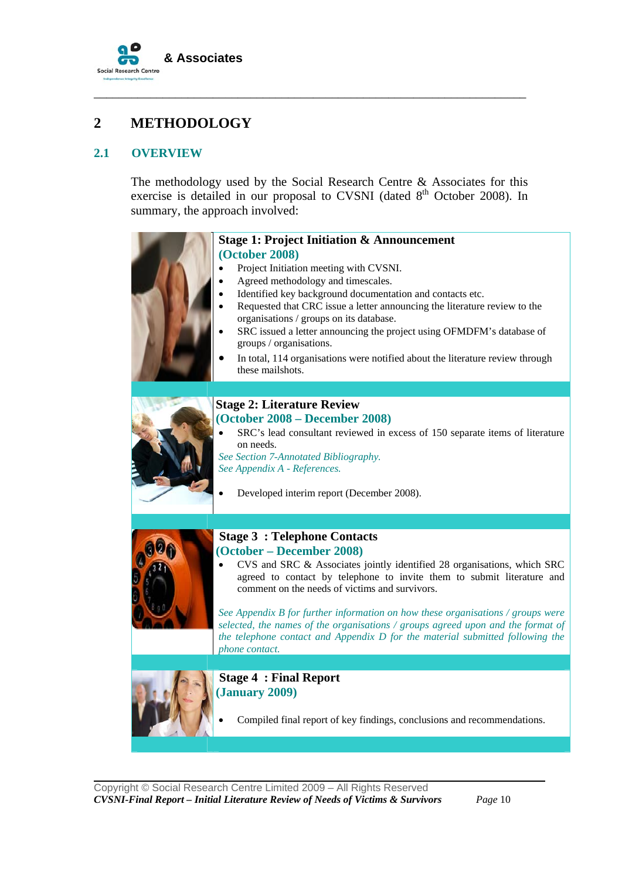

# **2 METHODOLOGY**

# **2.1 OVERVIEW**

The methodology used by the Social Research Centre & Associates for this exercise is detailed in our proposal to CVSNI (dated  $8<sup>th</sup>$  October 2008). In summary, the approach involved:

\_\_\_\_\_\_\_\_\_\_\_\_\_\_\_\_\_\_\_\_\_\_\_\_\_\_\_\_\_\_\_\_\_\_\_\_\_\_\_\_\_\_\_\_\_\_\_\_\_\_\_\_\_\_\_\_\_\_\_\_\_\_\_\_\_\_\_\_\_

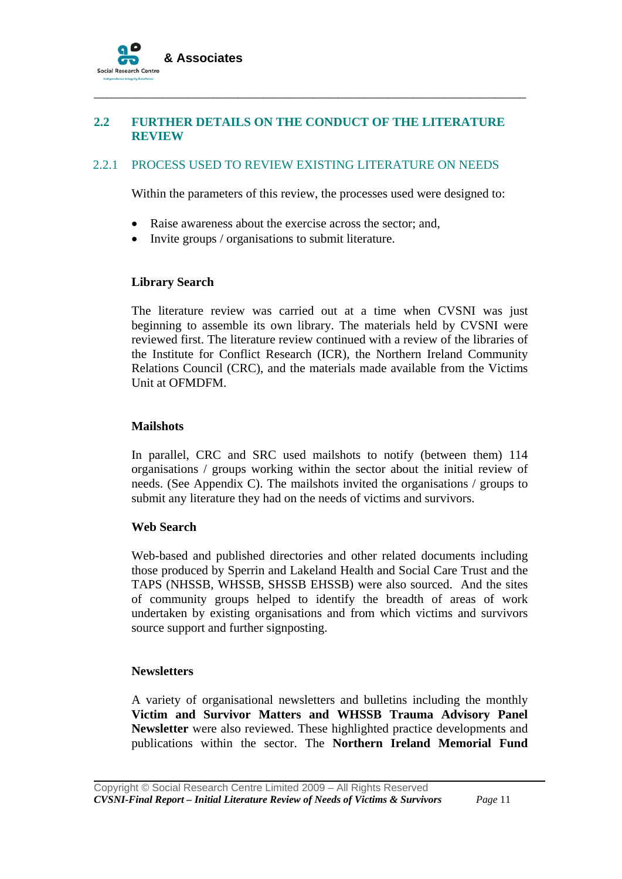

# **2.2 FURTHER DETAILS ON THE CONDUCT OF THE LITERATURE REVIEW**

\_\_\_\_\_\_\_\_\_\_\_\_\_\_\_\_\_\_\_\_\_\_\_\_\_\_\_\_\_\_\_\_\_\_\_\_\_\_\_\_\_\_\_\_\_\_\_\_\_\_\_\_\_\_\_\_\_\_\_\_\_\_\_\_\_\_\_\_\_

# 2.2.1 PROCESS USED TO REVIEW EXISTING LITERATURE ON NEEDS

Within the parameters of this review, the processes used were designed to:

- Raise awareness about the exercise across the sector; and,
- Invite groups / organisations to submit literature.

#### **Library Search**

The literature review was carried out at a time when CVSNI was just beginning to assemble its own library. The materials held by CVSNI were reviewed first. The literature review continued with a review of the libraries of the Institute for Conflict Research (ICR), the Northern Ireland Community Relations Council (CRC), and the materials made available from the Victims Unit at OFMDFM.

### **Mailshots**

In parallel, CRC and SRC used mailshots to notify (between them) 114 organisations / groups working within the sector about the initial review of needs. (See Appendix C). The mailshots invited the organisations / groups to submit any literature they had on the needs of victims and survivors.

### **Web Search**

Web-based and published directories and other related documents including those produced by Sperrin and Lakeland Health and Social Care Trust and the TAPS (NHSSB, WHSSB, SHSSB EHSSB) were also sourced. And the sites of community groups helped to identify the breadth of areas of work undertaken by existing organisations and from which victims and survivors source support and further signposting.

### **Newsletters**

A variety of organisational newsletters and bulletins including the monthly **Victim and Survivor Matters and WHSSB Trauma Advisory Panel Newsletter** were also reviewed. These highlighted practice developments and publications within the sector. The **Northern Ireland Memorial Fund**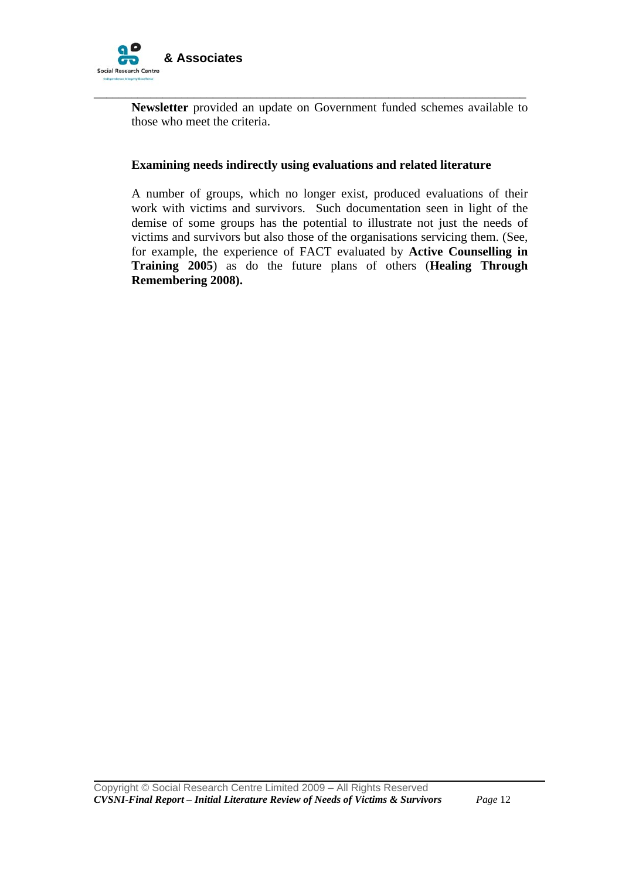

**Newsletter** provided an update on Government funded schemes available to those who meet the criteria.

### **Examining needs indirectly using evaluations and related literature**

\_\_\_\_\_\_\_\_\_\_\_\_\_\_\_\_\_\_\_\_\_\_\_\_\_\_\_\_\_\_\_\_\_\_\_\_\_\_\_\_\_\_\_\_\_\_\_\_\_\_\_\_\_\_\_\_\_\_\_\_\_\_\_\_\_\_\_\_\_

A number of groups, which no longer exist, produced evaluations of their work with victims and survivors. Such documentation seen in light of the demise of some groups has the potential to illustrate not just the needs of victims and survivors but also those of the organisations servicing them. (See, for example, the experience of FACT evaluated by **Active Counselling in Training 2005**) as do the future plans of others (**Healing Through Remembering 2008).**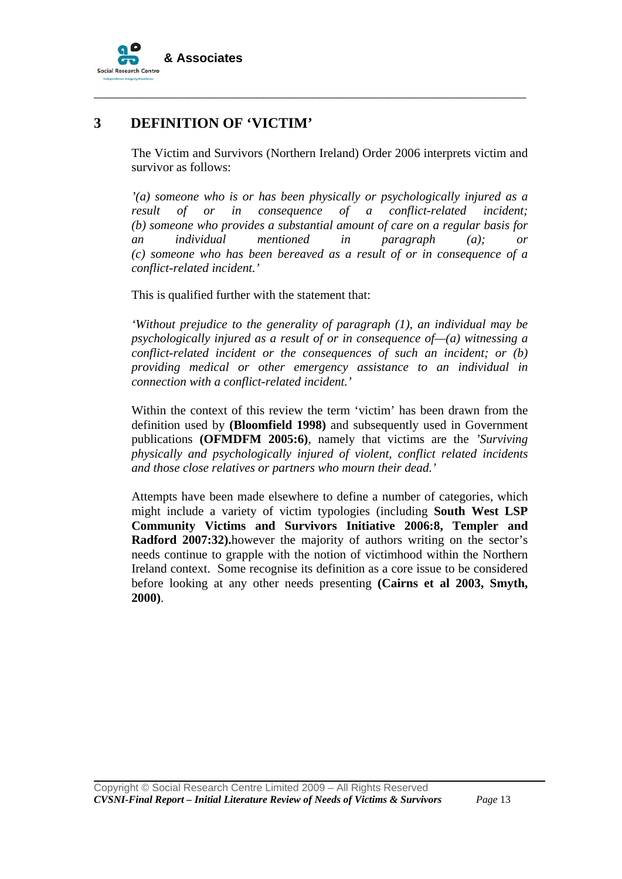

# **3 DEFINITION OF 'VICTIM'**

The Victim and Survivors (Northern Ireland) Order 2006 interprets victim and survivor as follows:

\_\_\_\_\_\_\_\_\_\_\_\_\_\_\_\_\_\_\_\_\_\_\_\_\_\_\_\_\_\_\_\_\_\_\_\_\_\_\_\_\_\_\_\_\_\_\_\_\_\_\_\_\_\_\_\_\_\_\_\_\_\_\_\_\_\_\_\_\_

*'(a) someone who is or has been physically or psychologically injured as a result of or in consequence of a conflict-related incident; (b) someone who provides a substantial amount of care on a regular basis for an individual mentioned in paragraph (a); or (c) someone who has been bereaved as a result of or in consequence of a conflict-related incident.'* 

This is qualified further with the statement that:

*'Without prejudice to the generality of paragraph (1), an individual may be psychologically injured as a result of or in consequence of—(a) witnessing a conflict-related incident or the consequences of such an incident; or (b) providing medical or other emergency assistance to an individual in connection with a conflict-related incident.'* 

Within the context of this review the term 'victim' has been drawn from the definition used by **(Bloomfield 1998)** and subsequently used in Government publications **(OFMDFM 2005:6)**, namely that victims are the *'Surviving physically and psychologically injured of violent, conflict related incidents and those close relatives or partners who mourn their dead.'* 

Attempts have been made elsewhere to define a number of categories, which might include a variety of victim typologies (including **South West LSP Community Victims and Survivors Initiative 2006:8, Templer and Radford 2007:32).**however the majority of authors writing on the sector's needs continue to grapple with the notion of victimhood within the Northern Ireland context. Some recognise its definition as a core issue to be considered before looking at any other needs presenting **(Cairns et al 2003, Smyth, 2000)**.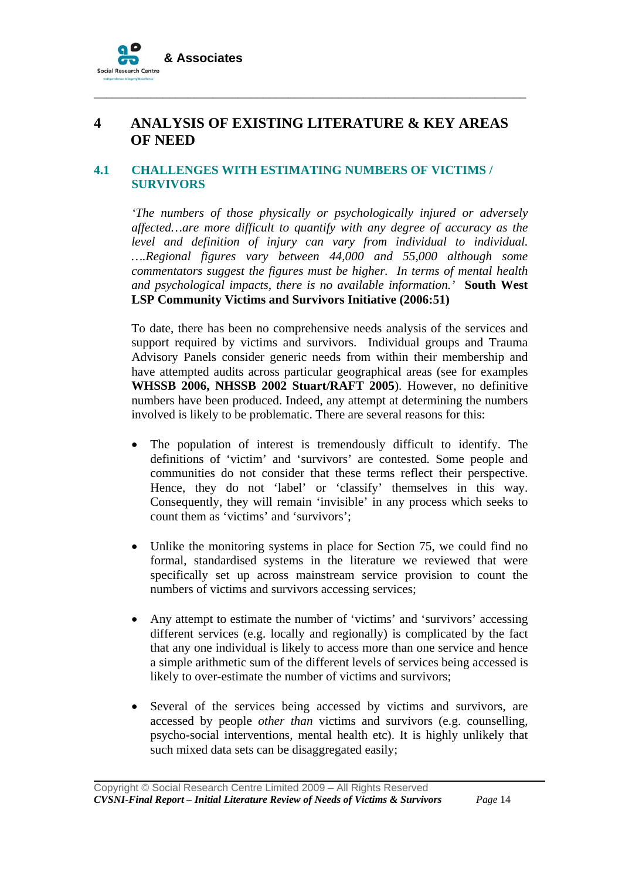

# **4 ANALYSIS OF EXISTING LITERATURE & KEY AREAS OF NEED**

\_\_\_\_\_\_\_\_\_\_\_\_\_\_\_\_\_\_\_\_\_\_\_\_\_\_\_\_\_\_\_\_\_\_\_\_\_\_\_\_\_\_\_\_\_\_\_\_\_\_\_\_\_\_\_\_\_\_\_\_\_\_\_\_\_\_\_\_\_

# **4.1 CHALLENGES WITH ESTIMATING NUMBERS OF VICTIMS / SURVIVORS**

*'The numbers of those physically or psychologically injured or adversely affected…are more difficult to quantify with any degree of accuracy as the level and definition of injury can vary from individual to individual. ….Regional figures vary between 44,000 and 55,000 although some commentators suggest the figures must be higher. In terms of mental health and psychological impacts, there is no available information.'* **South West LSP Community Victims and Survivors Initiative (2006:51)** 

To date, there has been no comprehensive needs analysis of the services and support required by victims and survivors. Individual groups and Trauma Advisory Panels consider generic needs from within their membership and have attempted audits across particular geographical areas (see for examples **WHSSB 2006, NHSSB 2002 Stuart/RAFT 2005**). However, no definitive numbers have been produced. Indeed, any attempt at determining the numbers involved is likely to be problematic. There are several reasons for this:

- The population of interest is tremendously difficult to identify. The definitions of 'victim' and 'survivors' are contested. Some people and communities do not consider that these terms reflect their perspective. Hence, they do not 'label' or 'classify' themselves in this way. Consequently, they will remain 'invisible' in any process which seeks to count them as 'victims' and 'survivors';
- Unlike the monitoring systems in place for Section 75, we could find no formal, standardised systems in the literature we reviewed that were specifically set up across mainstream service provision to count the numbers of victims and survivors accessing services;
- Any attempt to estimate the number of 'victims' and 'survivors' accessing different services (e.g. locally and regionally) is complicated by the fact that any one individual is likely to access more than one service and hence a simple arithmetic sum of the different levels of services being accessed is likely to over-estimate the number of victims and survivors;
- Several of the services being accessed by victims and survivors, are accessed by people *other than* victims and survivors (e.g. counselling, psycho-social interventions, mental health etc). It is highly unlikely that such mixed data sets can be disaggregated easily;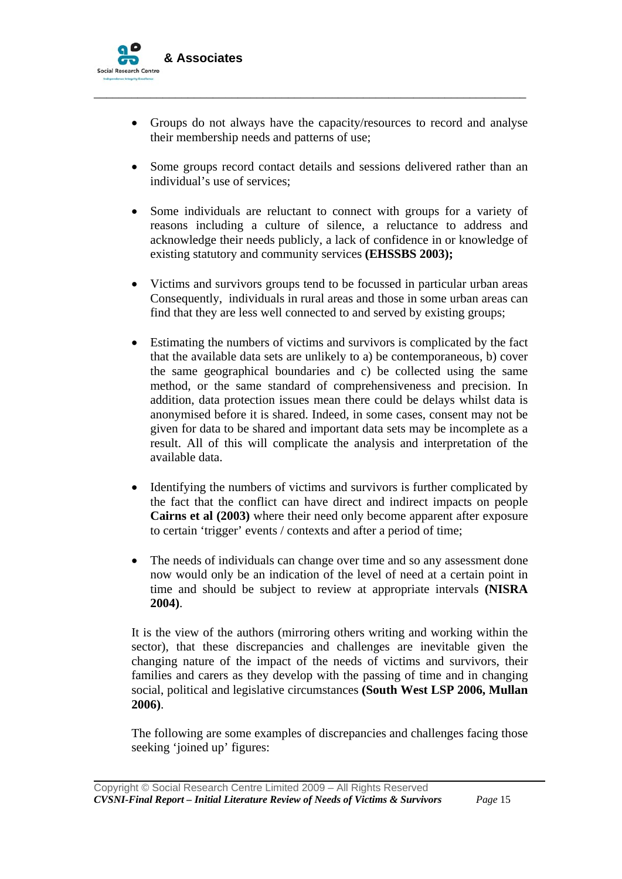

• Groups do not always have the capacity/resources to record and analyse their membership needs and patterns of use;

\_\_\_\_\_\_\_\_\_\_\_\_\_\_\_\_\_\_\_\_\_\_\_\_\_\_\_\_\_\_\_\_\_\_\_\_\_\_\_\_\_\_\_\_\_\_\_\_\_\_\_\_\_\_\_\_\_\_\_\_\_\_\_\_\_\_\_\_\_

- Some groups record contact details and sessions delivered rather than an individual's use of services;
- Some individuals are reluctant to connect with groups for a variety of reasons including a culture of silence, a reluctance to address and acknowledge their needs publicly, a lack of confidence in or knowledge of existing statutory and community services **(EHSSBS 2003);**
- Victims and survivors groups tend to be focussed in particular urban areas Consequently, individuals in rural areas and those in some urban areas can find that they are less well connected to and served by existing groups;
- Estimating the numbers of victims and survivors is complicated by the fact that the available data sets are unlikely to a) be contemporaneous, b) cover the same geographical boundaries and c) be collected using the same method, or the same standard of comprehensiveness and precision. In addition, data protection issues mean there could be delays whilst data is anonymised before it is shared. Indeed, in some cases, consent may not be given for data to be shared and important data sets may be incomplete as a result. All of this will complicate the analysis and interpretation of the available data.
- Identifying the numbers of victims and survivors is further complicated by the fact that the conflict can have direct and indirect impacts on people **Cairns et al (2003)** where their need only become apparent after exposure to certain 'trigger' events / contexts and after a period of time;
- The needs of individuals can change over time and so any assessment done now would only be an indication of the level of need at a certain point in time and should be subject to review at appropriate intervals **(NISRA 2004)**.

It is the view of the authors (mirroring others writing and working within the sector), that these discrepancies and challenges are inevitable given the changing nature of the impact of the needs of victims and survivors, their families and carers as they develop with the passing of time and in changing social, political and legislative circumstances **(South West LSP 2006, Mullan 2006)**.

The following are some examples of discrepancies and challenges facing those seeking 'joined up' figures: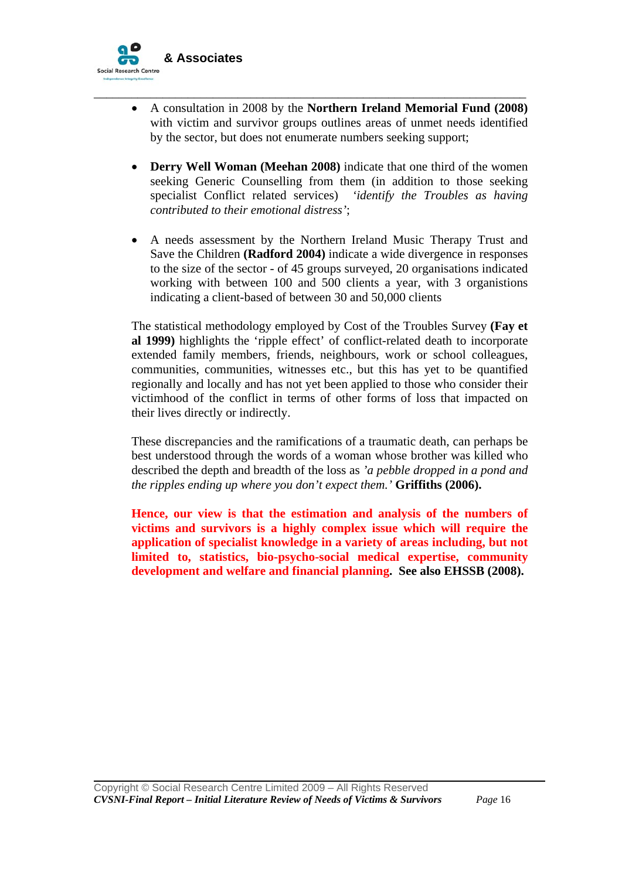

• A consultation in 2008 by the **Northern Ireland Memorial Fund (2008)** with victim and survivor groups outlines areas of unmet needs identified by the sector, but does not enumerate numbers seeking support;

\_\_\_\_\_\_\_\_\_\_\_\_\_\_\_\_\_\_\_\_\_\_\_\_\_\_\_\_\_\_\_\_\_\_\_\_\_\_\_\_\_\_\_\_\_\_\_\_\_\_\_\_\_\_\_\_\_\_\_\_\_\_\_\_\_\_\_\_\_

- **Derry Well Woman (Meehan 2008)** indicate that one third of the women seeking Generic Counselling from them (in addition to those seeking specialist Conflict related services) *'identify the Troubles as having contributed to their emotional distress'*;
- A needs assessment by the Northern Ireland Music Therapy Trust and Save the Children **(Radford 2004)** indicate a wide divergence in responses to the size of the sector - of 45 groups surveyed, 20 organisations indicated working with between 100 and 500 clients a year, with 3 organistions indicating a client-based of between 30 and 50,000 clients

The statistical methodology employed by Cost of the Troubles Survey **(Fay et al 1999)** highlights the 'ripple effect' of conflict-related death to incorporate extended family members, friends, neighbours, work or school colleagues, communities, communities, witnesses etc., but this has yet to be quantified regionally and locally and has not yet been applied to those who consider their victimhood of the conflict in terms of other forms of loss that impacted on their lives directly or indirectly.

These discrepancies and the ramifications of a traumatic death, can perhaps be best understood through the words of a woman whose brother was killed who described the depth and breadth of the loss as *'a pebble dropped in a pond and the ripples ending up where you don't expect them.'* **Griffiths (2006).**

**Hence, our view is that the estimation and analysis of the numbers of victims and survivors is a highly complex issue which will require the application of specialist knowledge in a variety of areas including, but not limited to, statistics, bio-psycho-social medical expertise, community development and welfare and financial planning. See also EHSSB (2008).**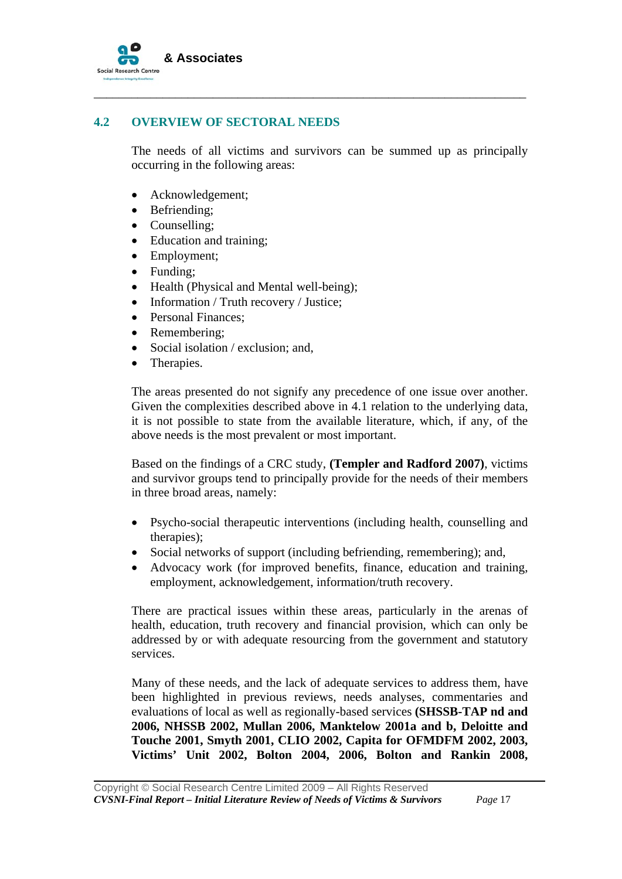

### **4.2 OVERVIEW OF SECTORAL NEEDS**

The needs of all victims and survivors can be summed up as principally occurring in the following areas:

\_\_\_\_\_\_\_\_\_\_\_\_\_\_\_\_\_\_\_\_\_\_\_\_\_\_\_\_\_\_\_\_\_\_\_\_\_\_\_\_\_\_\_\_\_\_\_\_\_\_\_\_\_\_\_\_\_\_\_\_\_\_\_\_\_\_\_\_\_

- Acknowledgement;
- Befriending;
- Counselling:
- Education and training;
- Employment;
- Funding:
- Health (Physical and Mental well-being);
- Information / Truth recovery / Justice;
- Personal Finances;
- Remembering;
- Social isolation / exclusion; and,
- Therapies.

The areas presented do not signify any precedence of one issue over another. Given the complexities described above in 4.1 relation to the underlying data, it is not possible to state from the available literature, which, if any, of the above needs is the most prevalent or most important.

Based on the findings of a CRC study, **(Templer and Radford 2007)**, victims and survivor groups tend to principally provide for the needs of their members in three broad areas, namely:

- Psycho-social therapeutic interventions (including health, counselling and therapies);
- Social networks of support (including befriending, remembering); and,
- Advocacy work (for improved benefits, finance, education and training, employment, acknowledgement, information/truth recovery.

There are practical issues within these areas, particularly in the arenas of health, education, truth recovery and financial provision, which can only be addressed by or with adequate resourcing from the government and statutory services.

Many of these needs, and the lack of adequate services to address them, have been highlighted in previous reviews, needs analyses, commentaries and evaluations of local as well as regionally-based services **(SHSSB-TAP nd and 2006, NHSSB 2002, Mullan 2006, Manktelow 2001a and b, Deloitte and Touche 2001, Smyth 2001, CLIO 2002, Capita for OFMDFM 2002, 2003, Victims' Unit 2002, Bolton 2004, 2006, Bolton and Rankin 2008,**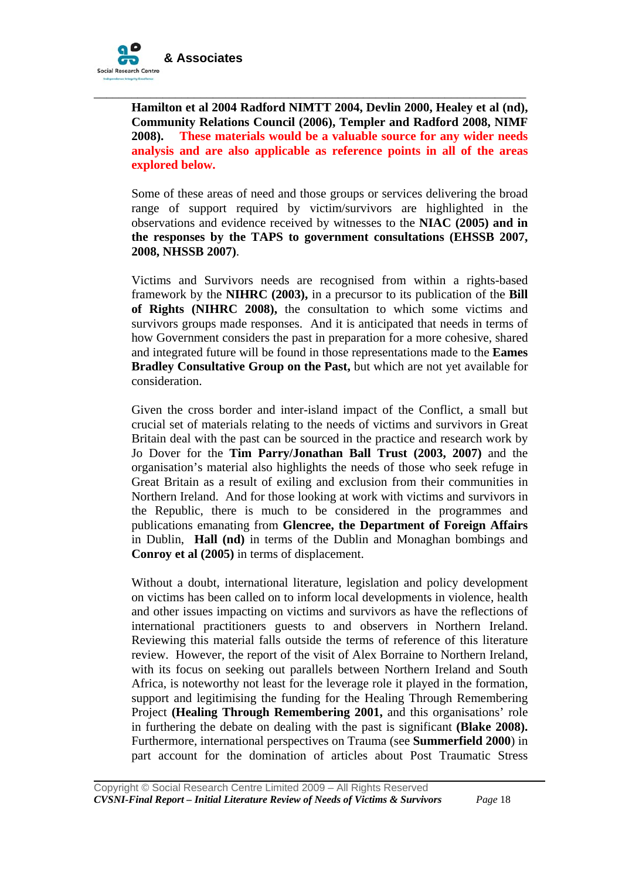

**Hamilton et al 2004 Radford NIMTT 2004, Devlin 2000, Healey et al (nd), Community Relations Council (2006), Templer and Radford 2008, NIMF 2008). These materials would be a valuable source for any wider needs analysis and are also applicable as reference points in all of the areas explored below.** 

\_\_\_\_\_\_\_\_\_\_\_\_\_\_\_\_\_\_\_\_\_\_\_\_\_\_\_\_\_\_\_\_\_\_\_\_\_\_\_\_\_\_\_\_\_\_\_\_\_\_\_\_\_\_\_\_\_\_\_\_\_\_\_\_\_\_\_\_\_

Some of these areas of need and those groups or services delivering the broad range of support required by victim/survivors are highlighted in the observations and evidence received by witnesses to the **NIAC (2005) and in the responses by the TAPS to government consultations (EHSSB 2007, 2008, NHSSB 2007)**.

Victims and Survivors needs are recognised from within a rights-based framework by the **NIHRC (2003),** in a precursor to its publication of the **Bill of Rights (NIHRC 2008),** the consultation to which some victims and survivors groups made responses. And it is anticipated that needs in terms of how Government considers the past in preparation for a more cohesive, shared and integrated future will be found in those representations made to the **Eames Bradley Consultative Group on the Past,** but which are not yet available for consideration.

Given the cross border and inter-island impact of the Conflict, a small but crucial set of materials relating to the needs of victims and survivors in Great Britain deal with the past can be sourced in the practice and research work by Jo Dover for the **Tim Parry/Jonathan Ball Trust (2003, 2007)** and the organisation's material also highlights the needs of those who seek refuge in Great Britain as a result of exiling and exclusion from their communities in Northern Ireland.And for those looking at work with victims and survivors in the Republic, there is much to be considered in the programmes and publications emanating from **Glencree, the Department of Foreign Affairs**  in Dublin, **Hall (nd)** in terms of the Dublin and Monaghan bombings and **Conroy et al (2005)** in terms of displacement.

Without a doubt, international literature, legislation and policy development on victims has been called on to inform local developments in violence, health and other issues impacting on victims and survivors as have the reflections of international practitioners guests to and observers in Northern Ireland. Reviewing this material falls outside the terms of reference of this literature review. However, the report of the visit of Alex Borraine to Northern Ireland, with its focus on seeking out parallels between Northern Ireland and South Africa, is noteworthy not least for the leverage role it played in the formation, support and legitimising the funding for the Healing Through Remembering Project **(Healing Through Remembering 2001,** and this organisations' role in furthering the debate on dealing with the past is significant **(Blake 2008).**  Furthermore, international perspectives on Trauma (see **Summerfield 2000**) in part account for the domination of articles about Post Traumatic Stress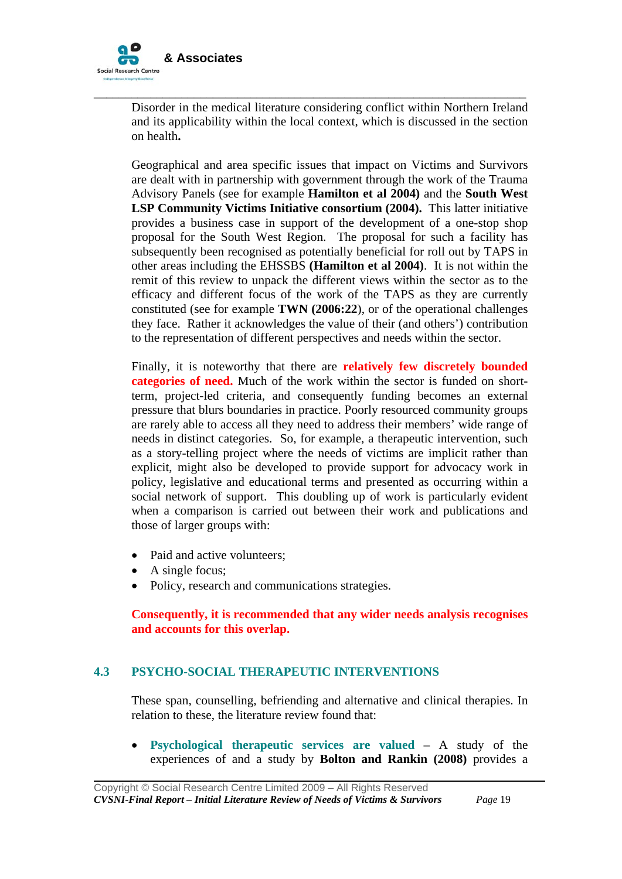

Disorder in the medical literature considering conflict within Northern Ireland and its applicability within the local context, which is discussed in the section on health**.**

\_\_\_\_\_\_\_\_\_\_\_\_\_\_\_\_\_\_\_\_\_\_\_\_\_\_\_\_\_\_\_\_\_\_\_\_\_\_\_\_\_\_\_\_\_\_\_\_\_\_\_\_\_\_\_\_\_\_\_\_\_\_\_\_\_\_\_\_\_

Geographical and area specific issues that impact on Victims and Survivors are dealt with in partnership with government through the work of the Trauma Advisory Panels (see for example **Hamilton et al 2004)** and the **South West LSP Community Victims Initiative consortium (2004).** This latter initiative provides a business case in support of the development of a one-stop shop proposal for the South West Region. The proposal for such a facility has subsequently been recognised as potentially beneficial for roll out by TAPS in other areas including the EHSSBS **(Hamilton et al 2004)**. It is not within the remit of this review to unpack the different views within the sector as to the efficacy and different focus of the work of the TAPS as they are currently constituted (see for example **TWN (2006:22**), or of the operational challenges they face. Rather it acknowledges the value of their (and others') contribution to the representation of different perspectives and needs within the sector.

Finally, it is noteworthy that there are **relatively few discretely bounded categories of need.** Much of the work within the sector is funded on shortterm, project-led criteria, and consequently funding becomes an external pressure that blurs boundaries in practice. Poorly resourced community groups are rarely able to access all they need to address their members' wide range of needs in distinct categories. So, for example, a therapeutic intervention, such as a story-telling project where the needs of victims are implicit rather than explicit, might also be developed to provide support for advocacy work in policy, legislative and educational terms and presented as occurring within a social network of support. This doubling up of work is particularly evident when a comparison is carried out between their work and publications and those of larger groups with:

- Paid and active volunteers:
- A single focus;

• Policy, research and communications strategies.

**Consequently, it is recommended that any wider needs analysis recognises and accounts for this overlap.** 

# **4.3 PSYCHO-SOCIAL THERAPEUTIC INTERVENTIONS**

These span, counselling, befriending and alternative and clinical therapies. In relation to these, the literature review found that:

• **Psychological therapeutic services are valued** – A study of the experiences of and a study by **Bolton and Rankin (2008)** provides a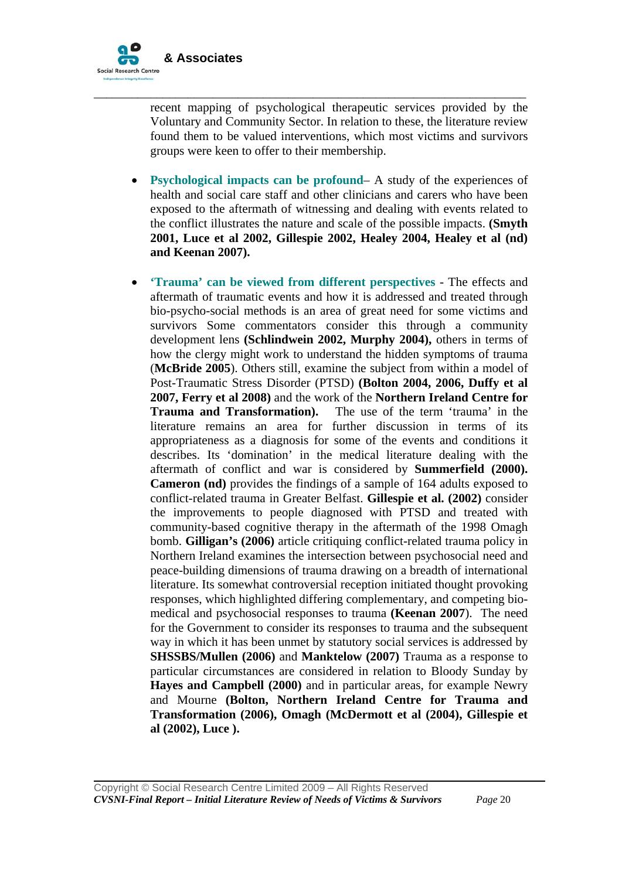

recent mapping of psychological therapeutic services provided by the Voluntary and Community Sector. In relation to these, the literature review found them to be valued interventions, which most victims and survivors groups were keen to offer to their membership.

\_\_\_\_\_\_\_\_\_\_\_\_\_\_\_\_\_\_\_\_\_\_\_\_\_\_\_\_\_\_\_\_\_\_\_\_\_\_\_\_\_\_\_\_\_\_\_\_\_\_\_\_\_\_\_\_\_\_\_\_\_\_\_\_\_\_\_\_\_

- **Psychological impacts can be profound** A study of the experiences of health and social care staff and other clinicians and carers who have been exposed to the aftermath of witnessing and dealing with events related to the conflict illustrates the nature and scale of the possible impacts. **(Smyth 2001, Luce et al 2002, Gillespie 2002, Healey 2004, Healey et al (nd) and Keenan 2007).**
- **'Trauma' can be viewed from different perspectives** The effects and aftermath of traumatic events and how it is addressed and treated through bio-psycho-social methods is an area of great need for some victims and survivors Some commentators consider this through a community development lens **(Schlindwein 2002, Murphy 2004),** others in terms of how the clergy might work to understand the hidden symptoms of trauma (**McBride 2005**). Others still, examine the subject from within a model of Post-Traumatic Stress Disorder (PTSD) **(Bolton 2004, 2006, Duffy et al 2007, Ferry et al 2008)** and the work of the **Northern Ireland Centre for Trauma and Transformation).** The use of the term 'trauma' in the literature remains an area for further discussion in terms of its appropriateness as a diagnosis for some of the events and conditions it describes. Its 'domination' in the medical literature dealing with the aftermath of conflict and war is considered by **Summerfield (2000). Cameron (nd)** provides the findings of a sample of 164 adults exposed to conflict-related trauma in Greater Belfast. **Gillespie et al. (2002)** consider the improvements to people diagnosed with PTSD and treated with community-based cognitive therapy in the aftermath of the 1998 Omagh bomb. **Gilligan's (2006)** article critiquing conflict-related trauma policy in Northern Ireland examines the intersection between psychosocial need and peace-building dimensions of trauma drawing on a breadth of international literature. Its somewhat controversial reception initiated thought provoking responses, which highlighted differing complementary, and competing biomedical and psychosocial responses to trauma **(Keenan 2007**). The need for the Government to consider its responses to trauma and the subsequent way in which it has been unmet by statutory social services is addressed by **SHSSBS/Mullen (2006)** and **Manktelow (2007)** Trauma as a response to particular circumstances are considered in relation to Bloody Sunday by **Hayes and Campbell (2000)** and in particular areas, for example Newry and Mourne **(Bolton, Northern Ireland Centre for Trauma and Transformation (2006), Omagh (McDermott et al (2004), Gillespie et al (2002), Luce ).**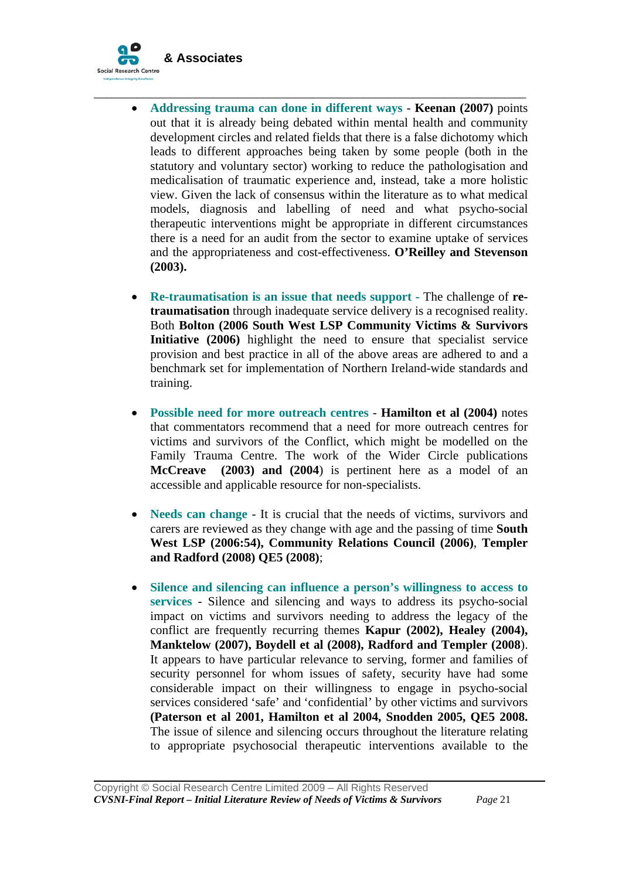

• **Addressing trauma can done in different ways** - **Keenan (2007)** points out that it is already being debated within mental health and community development circles and related fields that there is a false dichotomy which leads to different approaches being taken by some people (both in the statutory and voluntary sector) working to reduce the pathologisation and medicalisation of traumatic experience and, instead, take a more holistic view. Given the lack of consensus within the literature as to what medical models, diagnosis and labelling of need and what psycho-social therapeutic interventions might be appropriate in different circumstances there is a need for an audit from the sector to examine uptake of services and the appropriateness and cost-effectiveness. **O'Reilley and Stevenson (2003).**

\_\_\_\_\_\_\_\_\_\_\_\_\_\_\_\_\_\_\_\_\_\_\_\_\_\_\_\_\_\_\_\_\_\_\_\_\_\_\_\_\_\_\_\_\_\_\_\_\_\_\_\_\_\_\_\_\_\_\_\_\_\_\_\_\_\_\_\_\_

- **Re-traumatisation is an issue that needs support The challenge of <b>retraumatisation** through inadequate service delivery is a recognised reality. Both **Bolton (2006 South West LSP Community Victims & Survivors Initiative (2006)** highlight the need to ensure that specialist service provision and best practice in all of the above areas are adhered to and a benchmark set for implementation of Northern Ireland-wide standards and training.
- **Possible need for more outreach centres Hamilton et al (2004)** notes that commentators recommend that a need for more outreach centres for victims and survivors of the Conflict, which might be modelled on the Family Trauma Centre. The work of the Wider Circle publications **McCreave (2003) and (2004**) is pertinent here as a model of an accessible and applicable resource for non-specialists.
- **Needs can change** It is crucial that the needs of victims, survivors and carers are reviewed as they change with age and the passing of time **South West LSP (2006:54), Community Relations Council (2006)**, **Templer and Radford (2008) QE5 (2008)**;
- **Silence and silencing can influence a person's willingness to access to services** - Silence and silencing and ways to address its psycho-social impact on victims and survivors needing to address the legacy of the conflict are frequently recurring themes **Kapur (2002), Healey (2004), Manktelow (2007), Boydell et al (2008), Radford and Templer (2008**). It appears to have particular relevance to serving, former and families of security personnel for whom issues of safety, security have had some considerable impact on their willingness to engage in psycho-social services considered 'safe' and 'confidential' by other victims and survivors **(Paterson et al 2001, Hamilton et al 2004, Snodden 2005, QE5 2008.** The issue of silence and silencing occurs throughout the literature relating to appropriate psychosocial therapeutic interventions available to the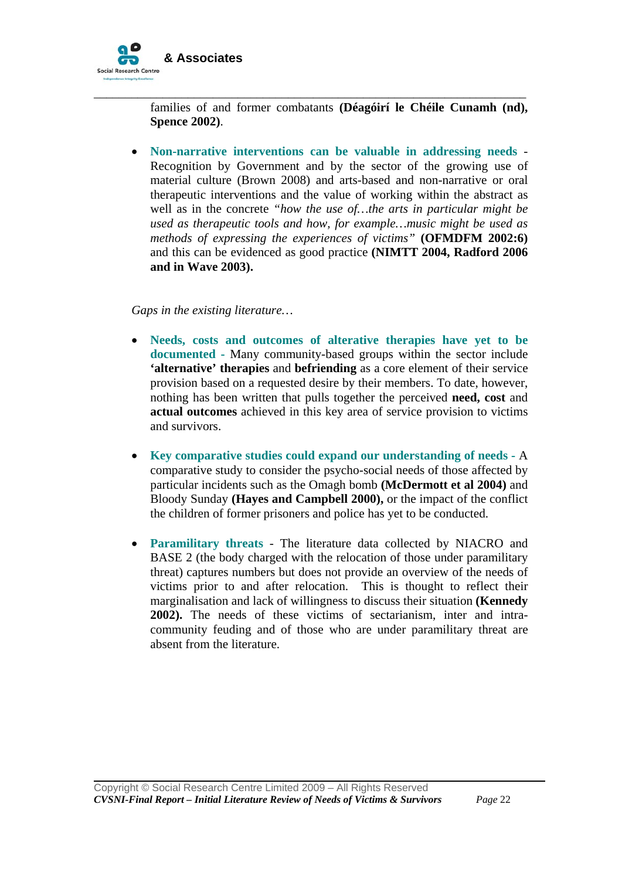

families of and former combatants **(Déagóirí le Chéile Cunamh (nd), Spence 2002)**.

\_\_\_\_\_\_\_\_\_\_\_\_\_\_\_\_\_\_\_\_\_\_\_\_\_\_\_\_\_\_\_\_\_\_\_\_\_\_\_\_\_\_\_\_\_\_\_\_\_\_\_\_\_\_\_\_\_\_\_\_\_\_\_\_\_\_\_\_\_

• **Non-narrative interventions can be valuable in addressing needs** - Recognition by Government and by the sector of the growing use of material culture (Brown 2008) and arts-based and non-narrative or oral therapeutic interventions and the value of working within the abstract as well as in the concrete *"how the use of…the arts in particular might be used as therapeutic tools and how, for example…music might be used as methods of expressing the experiences of victims"* **(OFMDFM 2002:6)** and this can be evidenced as good practice **(NIMTT 2004, Radford 2006 and in Wave 2003).**

*Gaps in the existing literature…* 

- **Needs, costs and outcomes of alterative therapies have yet to be documented -** Many community-based groups within the sector include **'alternative' therapies** and **befriending** as a core element of their service provision based on a requested desire by their members. To date, however, nothing has been written that pulls together the perceived **need, cost** and **actual outcomes** achieved in this key area of service provision to victims and survivors.
- **Key comparative studies could expand our understanding of needs -** A comparative study to consider the psycho-social needs of those affected by particular incidents such as the Omagh bomb **(McDermott et al 2004)** and Bloody Sunday **(Hayes and Campbell 2000),** or the impact of the conflict the children of former prisoners and police has yet to be conducted.
- **Paramilitary threats** The literature data collected by NIACRO and BASE 2 (the body charged with the relocation of those under paramilitary threat) captures numbers but does not provide an overview of the needs of victims prior to and after relocation. This is thought to reflect their marginalisation and lack of willingness to discuss their situation **(Kennedy 2002).** The needs of these victims of sectarianism, inter and intracommunity feuding and of those who are under paramilitary threat are absent from the literature.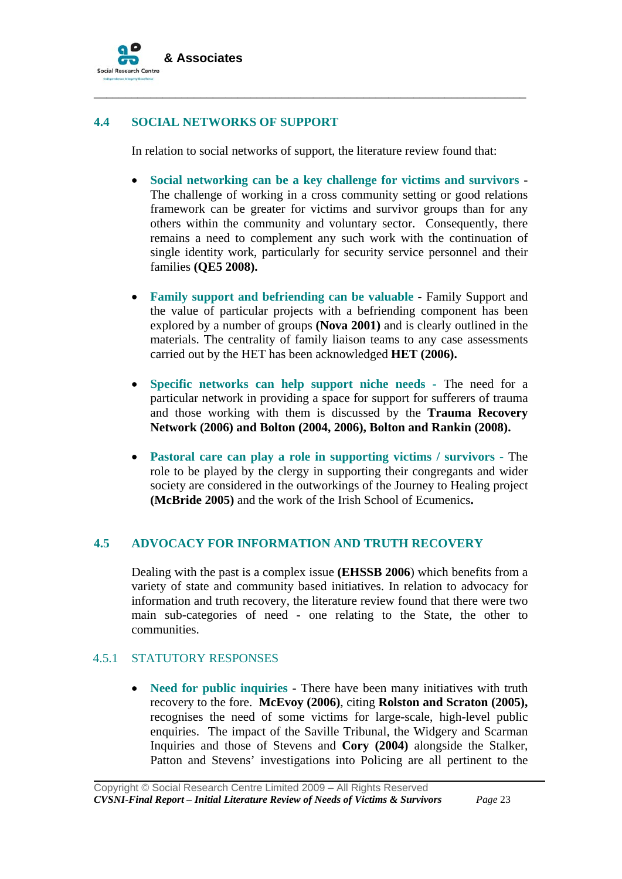

# **4.4 SOCIAL NETWORKS OF SUPPORT**

In relation to social networks of support, the literature review found that:

\_\_\_\_\_\_\_\_\_\_\_\_\_\_\_\_\_\_\_\_\_\_\_\_\_\_\_\_\_\_\_\_\_\_\_\_\_\_\_\_\_\_\_\_\_\_\_\_\_\_\_\_\_\_\_\_\_\_\_\_\_\_\_\_\_\_\_\_\_

- **Social networking can be a key challenge for victims and survivors** The challenge of working in a cross community setting or good relations framework can be greater for victims and survivor groups than for any others within the community and voluntary sector. Consequently, there remains a need to complement any such work with the continuation of single identity work, particularly for security service personnel and their families **(QE5 2008).**
- **Family support and befriending can be valuable** Family Support and the value of particular projects with a befriending component has been explored by a number of groups **(Nova 2001)** and is clearly outlined in the materials. The centrality of family liaison teams to any case assessments carried out by the HET has been acknowledged **HET (2006).**
- **Specific networks can help support niche needs -** The need for a particular network in providing a space for support for sufferers of trauma and those working with them is discussed by the **Trauma Recovery Network (2006) and Bolton (2004, 2006), Bolton and Rankin (2008).**
- **Pastoral care can play a role in supporting victims / survivors** The role to be played by the clergy in supporting their congregants and wider society are considered in the outworkings of the Journey to Healing project **(McBride 2005)** and the work of the Irish School of Ecumenics**.**

### **4.5 ADVOCACY FOR INFORMATION AND TRUTH RECOVERY**

Dealing with the past is a complex issue **(EHSSB 2006**) which benefits from a variety of state and community based initiatives. In relation to advocacy for information and truth recovery, the literature review found that there were two main sub-categories of need - one relating to the State, the other to communities.

### 4.5.1 STATUTORY RESPONSES

• **Need for public inquiries** - There have been many initiatives with truth recovery to the fore. **McEvoy (2006)**, citing **Rolston and Scraton (2005),**  recognises the need of some victims for large-scale, high-level public enquiries. The impact of the Saville Tribunal, the Widgery and Scarman Inquiries and those of Stevens and **Cory (2004)** alongside the Stalker, Patton and Stevens' investigations into Policing are all pertinent to the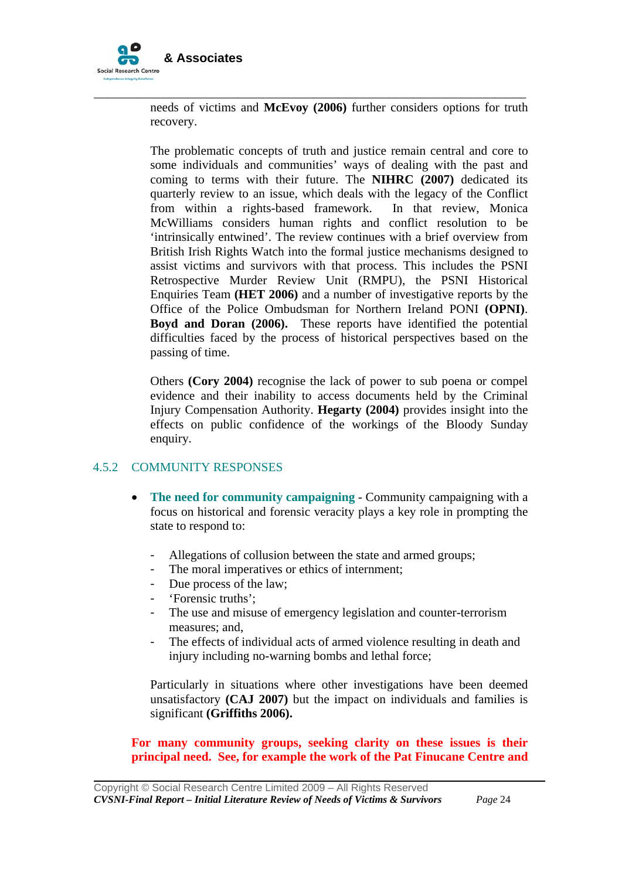

needs of victims and **McEvoy (2006)** further considers options for truth recovery.

\_\_\_\_\_\_\_\_\_\_\_\_\_\_\_\_\_\_\_\_\_\_\_\_\_\_\_\_\_\_\_\_\_\_\_\_\_\_\_\_\_\_\_\_\_\_\_\_\_\_\_\_\_\_\_\_\_\_\_\_\_\_\_\_\_\_\_\_\_

The problematic concepts of truth and justice remain central and core to some individuals and communities' ways of dealing with the past and coming to terms with their future. The **NIHRC (2007)** dedicated its quarterly review to an issue, which deals with the legacy of the Conflict from within a rights-based framework. In that review, Monica McWilliams considers human rights and conflict resolution to be 'intrinsically entwined'. The review continues with a brief overview from British Irish Rights Watch into the formal justice mechanisms designed to assist victims and survivors with that process. This includes the PSNI Retrospective Murder Review Unit (RMPU), the PSNI Historical Enquiries Team **(HET 2006)** and a number of investigative reports by the Office of the Police Ombudsman for Northern Ireland PONI **(OPNI)**. **Boyd and Doran (2006).** These reports have identified the potential difficulties faced by the process of historical perspectives based on the passing of time.

Others **(Cory 2004)** recognise the lack of power to sub poena or compel evidence and their inability to access documents held by the Criminal Injury Compensation Authority. **Hegarty (2004)** provides insight into the effects on public confidence of the workings of the Bloody Sunday enquiry.

### 4.5.2 COMMUNITY RESPONSES

- **The need for community campaigning** Community campaigning with a focus on historical and forensic veracity plays a key role in prompting the state to respond to:
	- Allegations of collusion between the state and armed groups:
	- The moral imperatives or ethics of internment;
	- Due process of the law;
	- 'Forensic truths';

- The use and misuse of emergency legislation and counter-terrorism measures; and,
- The effects of individual acts of armed violence resulting in death and injury including no-warning bombs and lethal force;

Particularly in situations where other investigations have been deemed unsatisfactory **(CAJ 2007)** but the impact on individuals and families is significant **(Griffiths 2006).** 

**For many community groups, seeking clarity on these issues is their principal need. See, for example the work of the Pat Finucane Centre and**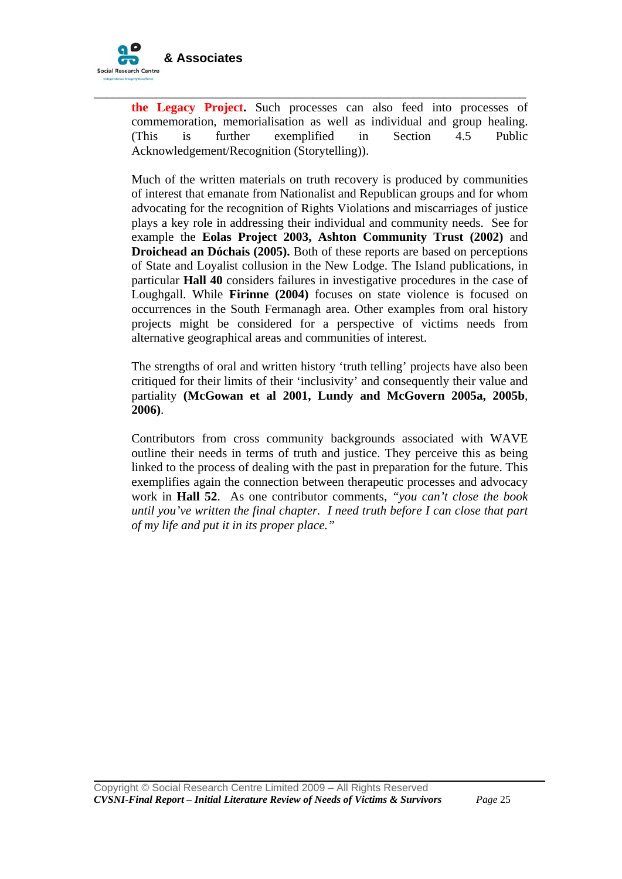

**the Legacy Project.** Such processes can also feed into processes of commemoration, memorialisation as well as individual and group healing. (This is further exemplified in Section 4.5 Public Acknowledgement/Recognition (Storytelling)).

\_\_\_\_\_\_\_\_\_\_\_\_\_\_\_\_\_\_\_\_\_\_\_\_\_\_\_\_\_\_\_\_\_\_\_\_\_\_\_\_\_\_\_\_\_\_\_\_\_\_\_\_\_\_\_\_\_\_\_\_\_\_\_\_\_\_\_\_\_

Much of the written materials on truth recovery is produced by communities of interest that emanate from Nationalist and Republican groups and for whom advocating for the recognition of Rights Violations and miscarriages of justice plays a key role in addressing their individual and community needs. See for example the **Eolas Project 2003, Ashton Community Trust (2002)** and **Droichead an Dóchais (2005).** Both of these reports are based on perceptions of State and Loyalist collusion in the New Lodge. The Island publications, in particular **Hall 40** considers failures in investigative procedures in the case of Loughgall. While **Firinne (2004)** focuses on state violence is focused on occurrences in the South Fermanagh area. Other examples from oral history projects might be considered for a perspective of victims needs from alternative geographical areas and communities of interest.

The strengths of oral and written history 'truth telling' projects have also been critiqued for their limits of their 'inclusivity' and consequently their value and partiality **(McGowan et al 2001, Lundy and McGovern 2005a, 2005b**, **2006)**.

Contributors from cross community backgrounds associated with WAVE outline their needs in terms of truth and justice. They perceive this as being linked to the process of dealing with the past in preparation for the future. This exemplifies again the connection between therapeutic processes and advocacy work in **Hall 52**. As one contributor comments, *"you can't close the book until you've written the final chapter. I need truth before I can close that part of my life and put it in its proper place."*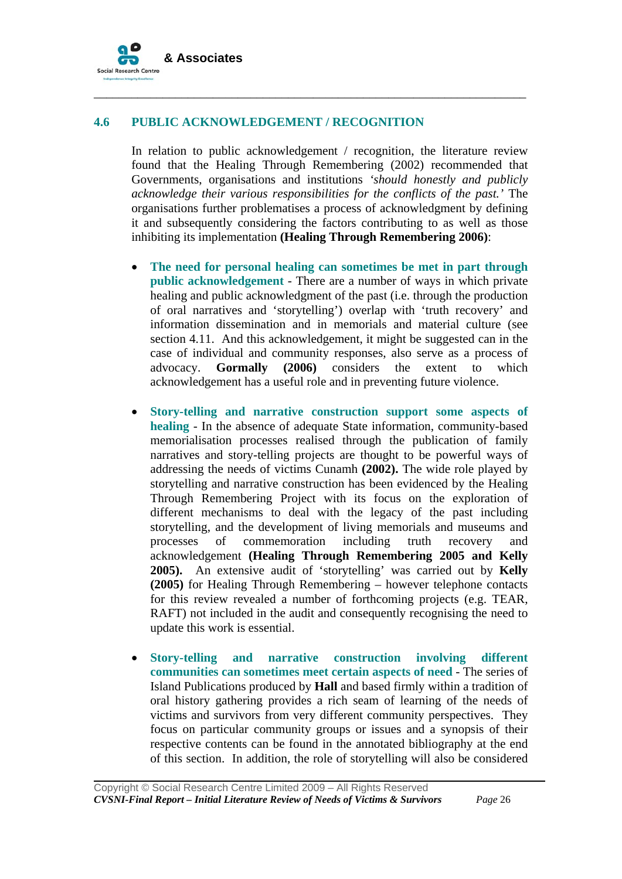

### **4.6 PUBLIC ACKNOWLEDGEMENT / RECOGNITION**

In relation to public acknowledgement / recognition, the literature review found that the Healing Through Remembering (2002) recommended that Governments, organisations and institutions *'should honestly and publicly acknowledge their various responsibilities for the conflicts of the past.'* The organisations further problematises a process of acknowledgment by defining it and subsequently considering the factors contributing to as well as those inhibiting its implementation **(Healing Through Remembering 2006)**:

\_\_\_\_\_\_\_\_\_\_\_\_\_\_\_\_\_\_\_\_\_\_\_\_\_\_\_\_\_\_\_\_\_\_\_\_\_\_\_\_\_\_\_\_\_\_\_\_\_\_\_\_\_\_\_\_\_\_\_\_\_\_\_\_\_\_\_\_\_

- **The need for personal healing can sometimes be met in part through public acknowledgement** - There are a number of ways in which private healing and public acknowledgment of the past (i.e. through the production of oral narratives and 'storytelling') overlap with 'truth recovery' and information dissemination and in memorials and material culture (see section 4.11. And this acknowledgement, it might be suggested can in the case of individual and community responses, also serve as a process of advocacy. **Gormally (2006)** considers the extent to which acknowledgement has a useful role and in preventing future violence.
- **Story-telling and narrative construction support some aspects of healing** - In the absence of adequate State information, community-based memorialisation processes realised through the publication of family narratives and story-telling projects are thought to be powerful ways of addressing the needs of victims Cunamh **(2002).** The wide role played by storytelling and narrative construction has been evidenced by the Healing Through Remembering Project with its focus on the exploration of different mechanisms to deal with the legacy of the past including storytelling, and the development of living memorials and museums and processes of commemoration including truth recovery and acknowledgement **(Healing Through Remembering 2005 and Kelly 2005).** An extensive audit of 'storytelling' was carried out by **Kelly (2005)** for Healing Through Remembering – however telephone contacts for this review revealed a number of forthcoming projects (e.g. TEAR, RAFT) not included in the audit and consequently recognising the need to update this work is essential.
- **Story-telling and narrative construction involving different communities can sometimes meet certain aspects of need** - The series of Island Publications produced by **Hall** and based firmly within a tradition of oral history gathering provides a rich seam of learning of the needs of victims and survivors from very different community perspectives. They focus on particular community groups or issues and a synopsis of their respective contents can be found in the annotated bibliography at the end of this section. In addition, the role of storytelling will also be considered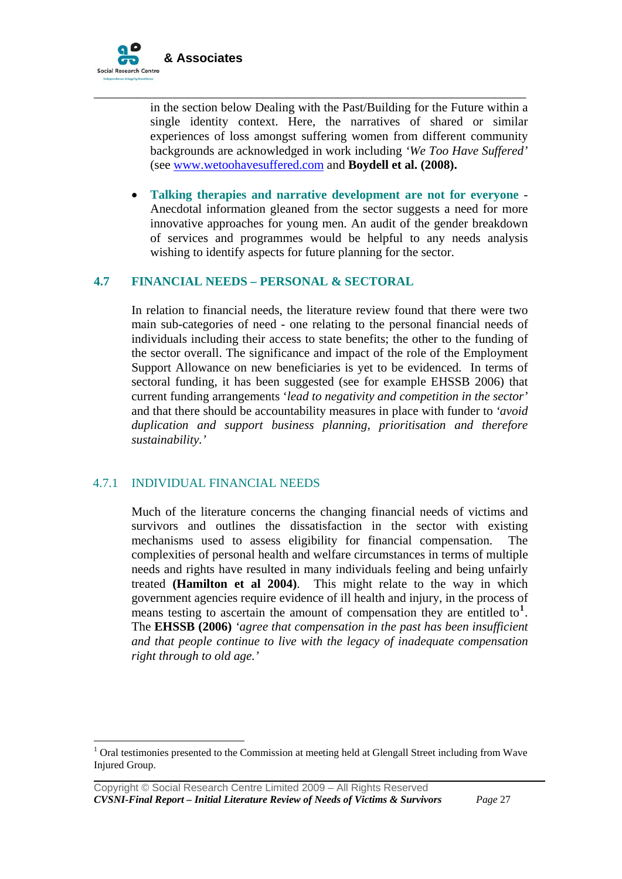

in the section below Dealing with the Past/Building for the Future within a single identity context. Here, the narratives of shared or similar experiences of loss amongst suffering women from different community backgrounds are acknowledged in work including *'We Too Have Suffered'*  (see [www.wetoohavesuffered.com](http://www.wetoohavesuffered.com/) and **Boydell et al. (2008).** 

\_\_\_\_\_\_\_\_\_\_\_\_\_\_\_\_\_\_\_\_\_\_\_\_\_\_\_\_\_\_\_\_\_\_\_\_\_\_\_\_\_\_\_\_\_\_\_\_\_\_\_\_\_\_\_\_\_\_\_\_\_\_\_\_\_\_\_\_\_

• **Talking therapies and narrative development are not for everyone** - Anecdotal information gleaned from the sector suggests a need for more innovative approaches for young men. An audit of the gender breakdown of services and programmes would be helpful to any needs analysis wishing to identify aspects for future planning for the sector.

### **4.7 FINANCIAL NEEDS – PERSONAL & SECTORAL**

In relation to financial needs, the literature review found that there were two main sub-categories of need - one relating to the personal financial needs of individuals including their access to state benefits; the other to the funding of the sector overall. The significance and impact of the role of the Employment Support Allowance on new beneficiaries is yet to be evidenced. In terms of sectoral funding, it has been suggested (see for example EHSSB 2006) that current funding arrangements '*lead to negativity and competition in the sector'*  and that there should be accountability measures in place with funder to *'avoid duplication and support business planning, prioritisation and therefore sustainability.'* 

### 4.7.1 INDIVIDUAL FINANCIAL NEEDS

 $\overline{a}$ 

Much of the literature concerns the changing financial needs of victims and survivors and outlines the dissatisfaction in the sector with existing mechanisms used to assess eligibility for financial compensation. The complexities of personal health and welfare circumstances in terms of multiple needs and rights have resulted in many individuals feeling and being unfairly treated **(Hamilton et al 2004)**. This might relate to the way in which government agencies require evidence of ill health and injury, in the process of means testing to ascertain the amount of compensation they are entitled to<sup>[1](#page-26-0)</sup>. The **EHSSB (2006)** *'agree that compensation in the past has been insufficient and that people continue to live with the legacy of inadequate compensation right through to old age.'*

<span id="page-26-0"></span> $1$  Oral testimonies presented to the Commission at meeting held at Glengall Street including from Wave Injured Group.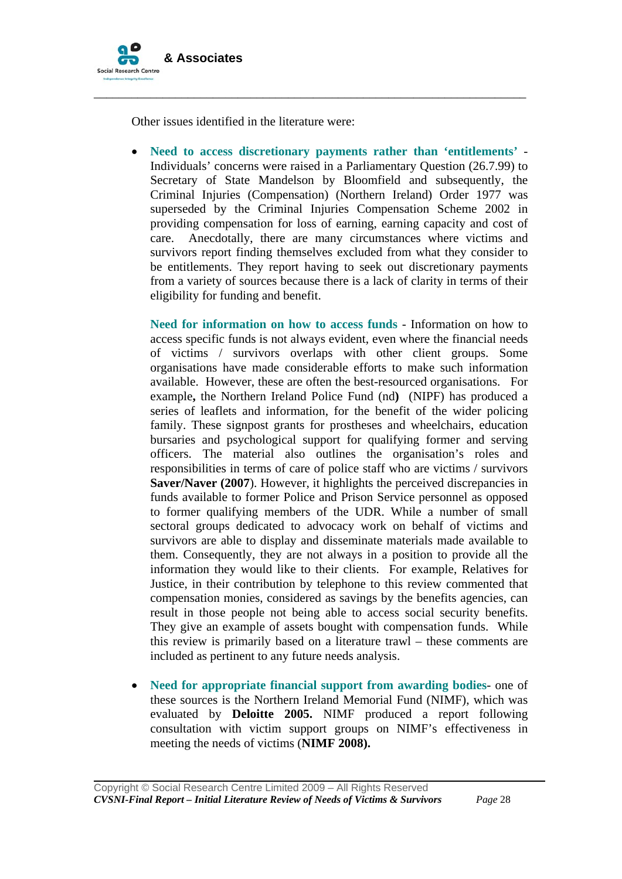

Other issues identified in the literature were:

• **Need to access discretionary payments rather than 'entitlements'** - Individuals' concerns were raised in a Parliamentary Question (26.7.99) to Secretary of State Mandelson by Bloomfield and subsequently, the Criminal Injuries (Compensation) (Northern Ireland) Order 1977 was superseded by the Criminal Injuries Compensation Scheme 2002 in providing compensation for loss of earning, earning capacity and cost of care. Anecdotally, there are many circumstances where victims and survivors report finding themselves excluded from what they consider to be entitlements. They report having to seek out discretionary payments from a variety of sources because there is a lack of clarity in terms of their eligibility for funding and benefit.

\_\_\_\_\_\_\_\_\_\_\_\_\_\_\_\_\_\_\_\_\_\_\_\_\_\_\_\_\_\_\_\_\_\_\_\_\_\_\_\_\_\_\_\_\_\_\_\_\_\_\_\_\_\_\_\_\_\_\_\_\_\_\_\_\_\_\_\_\_

**Need for information on how to access funds** - Information on how to access specific funds is not always evident, even where the financial needs of victims / survivors overlaps with other client groups. Some organisations have made considerable efforts to make such information available. However, these are often the best-resourced organisations.For example**,** the Northern Ireland Police Fund (nd**)** (NIPF) has produced a series of leaflets and information, for the benefit of the wider policing family. These signpost grants for prostheses and wheelchairs, education bursaries and psychological support for qualifying former and serving officers. The material also outlines the organisation's roles and responsibilities in terms of care of police staff who are victims / survivors **Saver/Naver (2007).** However, it highlights the perceived discrepancies in funds available to former Police and Prison Service personnel as opposed to former qualifying members of the UDR. While a number of small sectoral groups dedicated to advocacy work on behalf of victims and survivors are able to display and disseminate materials made available to them. Consequently, they are not always in a position to provide all the information they would like to their clients. For example, Relatives for Justice, in their contribution by telephone to this review commented that compensation monies, considered as savings by the benefits agencies, can result in those people not being able to access social security benefits. They give an example of assets bought with compensation funds. While this review is primarily based on a literature trawl – these comments are included as pertinent to any future needs analysis.

• **Need for appropriate financial support from awarding bodies**- one of these sources is the Northern Ireland Memorial Fund (NIMF), which was evaluated by **Deloitte 2005.** NIMF produced a report following consultation with victim support groups on NIMF's effectiveness in meeting the needs of victims (**NIMF 2008).**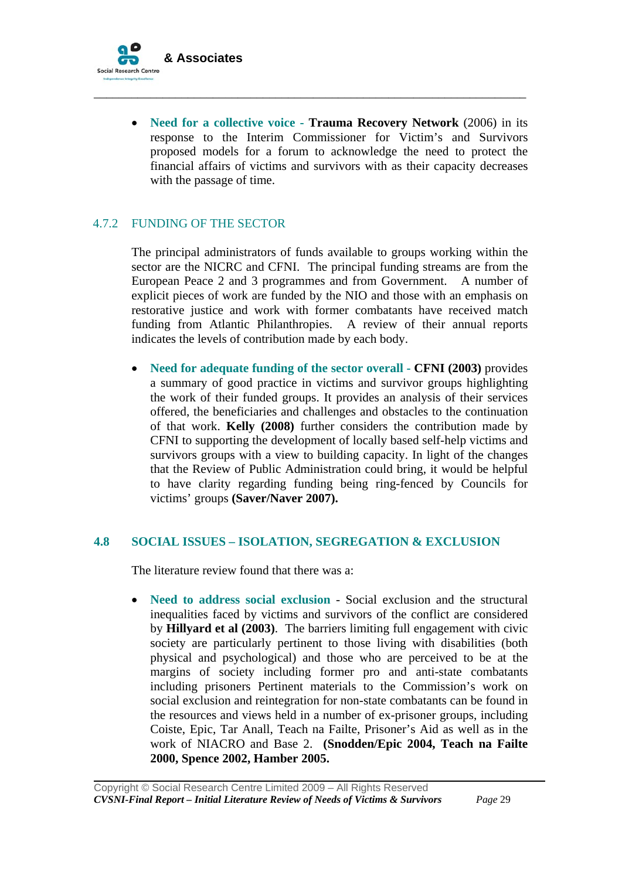

• **Need for a collective voice - Trauma Recovery Network** (2006) in its response to the Interim Commissioner for Victim's and Survivors proposed models for a forum to acknowledge the need to protect the financial affairs of victims and survivors with as their capacity decreases with the passage of time.

\_\_\_\_\_\_\_\_\_\_\_\_\_\_\_\_\_\_\_\_\_\_\_\_\_\_\_\_\_\_\_\_\_\_\_\_\_\_\_\_\_\_\_\_\_\_\_\_\_\_\_\_\_\_\_\_\_\_\_\_\_\_\_\_\_\_\_\_\_

### 4.7.2 FUNDING OF THE SECTOR

The principal administrators of funds available to groups working within the sector are the NICRC and CFNI. The principal funding streams are from the European Peace 2 and 3 programmes and from Government. A number of explicit pieces of work are funded by the NIO and those with an emphasis on restorative justice and work with former combatants have received match funding from Atlantic Philanthropies. A review of their annual reports indicates the levels of contribution made by each body.

• **Need for adequate funding of the sector overall - CFNI (2003)** provides a summary of good practice in victims and survivor groups highlighting the work of their funded groups. It provides an analysis of their services offered, the beneficiaries and challenges and obstacles to the continuation of that work. **Kelly (2008)** further considers the contribution made by CFNI to supporting the development of locally based self-help victims and survivors groups with a view to building capacity. In light of the changes that the Review of Public Administration could bring, it would be helpful to have clarity regarding funding being ring-fenced by Councils for victims' groups **(Saver/Naver 2007).** 

### **4.8 SOCIAL ISSUES – ISOLATION, SEGREGATION & EXCLUSION**

The literature review found that there was a:

• **Need to address social exclusion** - Social exclusion and the structural inequalities faced by victims and survivors of the conflict are considered by **Hillyard et al (2003)**. The barriers limiting full engagement with civic society are particularly pertinent to those living with disabilities (both physical and psychological) and those who are perceived to be at the margins of society including former pro and anti-state combatants including prisoners Pertinent materials to the Commission's work on social exclusion and reintegration for non-state combatants can be found in the resources and views held in a number of ex-prisoner groups, including Coiste, Epic, Tar Anall, Teach na Failte, Prisoner's Aid as well as in the work of NIACRO and Base 2. **(Snodden/Epic 2004, Teach na Failte 2000, Spence 2002, Hamber 2005.**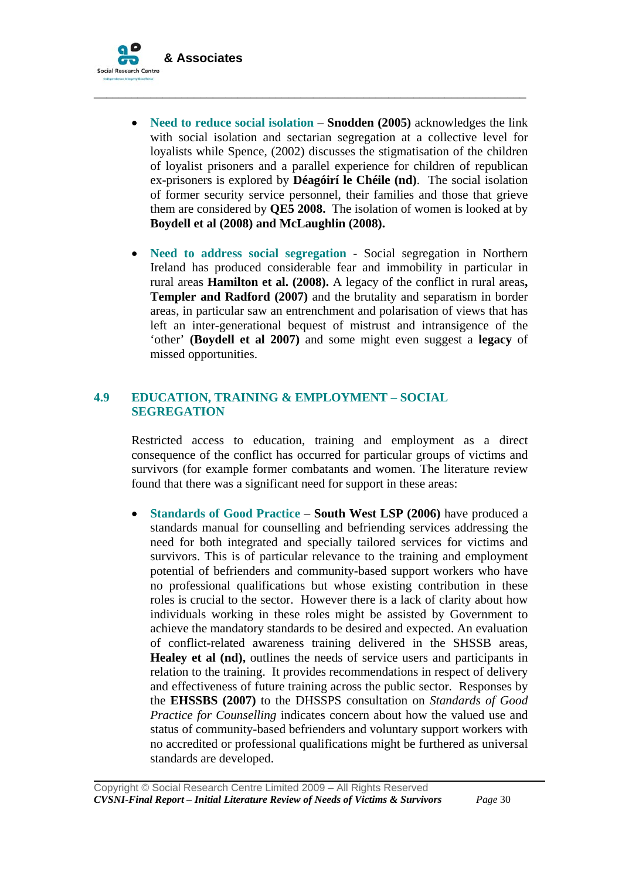

• **Need to reduce social isolation** – **Snodden (2005)** acknowledges the link with social isolation and sectarian segregation at a collective level for loyalists while Spence, (2002) discusses the stigmatisation of the children of loyalist prisoners and a parallel experience for children of republican ex-prisoners is explored by **Déagóirí le Chéile (nd)**. The social isolation of former security service personnel, their families and those that grieve them are considered by **QE5 2008.** The isolation of women is looked at by **Boydell et al (2008) and McLaughlin (2008).** 

\_\_\_\_\_\_\_\_\_\_\_\_\_\_\_\_\_\_\_\_\_\_\_\_\_\_\_\_\_\_\_\_\_\_\_\_\_\_\_\_\_\_\_\_\_\_\_\_\_\_\_\_\_\_\_\_\_\_\_\_\_\_\_\_\_\_\_\_\_

• **Need to address social segregation** - Social segregation in Northern Ireland has produced considerable fear and immobility in particular in rural areas **Hamilton et al. (2008).** A legacy of the conflict in rural areas**, Templer and Radford (2007)** and the brutality and separatism in border areas, in particular saw an entrenchment and polarisation of views that has left an inter-generational bequest of mistrust and intransigence of the 'other' **(Boydell et al 2007)** and some might even suggest a **legacy** of missed opportunities.

# **4.9 EDUCATION, TRAINING & EMPLOYMENT – SOCIAL SEGREGATION**

Restricted access to education, training and employment as a direct consequence of the conflict has occurred for particular groups of victims and survivors (for example former combatants and women. The literature review found that there was a significant need for support in these areas:

• **Standards of Good Practice** – **South West LSP (2006)** have produced a standards manual for counselling and befriending services addressing the need for both integrated and specially tailored services for victims and survivors. This is of particular relevance to the training and employment potential of befrienders and community-based support workers who have no professional qualifications but whose existing contribution in these roles is crucial to the sector. However there is a lack of clarity about how individuals working in these roles might be assisted by Government to achieve the mandatory standards to be desired and expected. An evaluation of conflict-related awareness training delivered in the SHSSB areas, **Healey et al (nd),** outlines the needs of service users and participants in relation to the training. It provides recommendations in respect of delivery and effectiveness of future training across the public sector. Responses by the **EHSSBS (2007)** to the DHSSPS consultation on *Standards of Good Practice for Counselling* indicates concern about how the valued use and status of community-based befrienders and voluntary support workers with no accredited or professional qualifications might be furthered as universal standards are developed.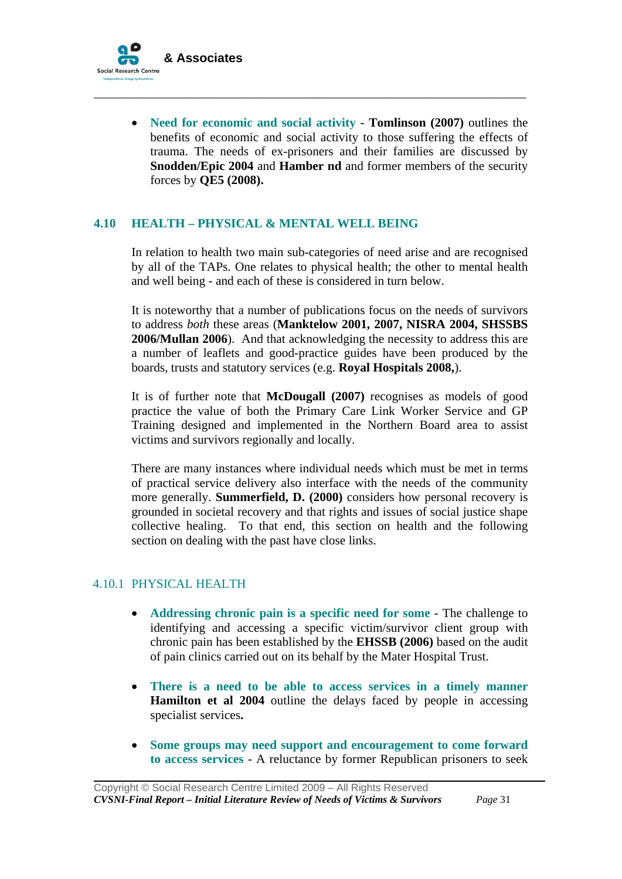

• **Need for economic and social activity** - **Tomlinson (2007)** outlines the benefits of economic and social activity to those suffering the effects of trauma. The needs of ex-prisoners and their families are discussed by **Snodden/Epic 2004** and **Hamber nd** and former members of the security forces by **QE5 (2008).**

\_\_\_\_\_\_\_\_\_\_\_\_\_\_\_\_\_\_\_\_\_\_\_\_\_\_\_\_\_\_\_\_\_\_\_\_\_\_\_\_\_\_\_\_\_\_\_\_\_\_\_\_\_\_\_\_\_\_\_\_\_\_\_\_\_\_\_\_\_

### **4.10 HEALTH – PHYSICAL & MENTAL WELL BEING**

In relation to health two main sub-categories of need arise and are recognised by all of the TAPs. One relates to physical health; the other to mental health and well being - and each of these is considered in turn below.

It is noteworthy that a number of publications focus on the needs of survivors to address *both* these areas (**Manktelow 2001, 2007, NISRA 2004, SHSSBS 2006/Mullan 2006**). And that acknowledging the necessity to address this are a number of leaflets and good-practice guides have been produced by the boards, trusts and statutory services (e.g. **Royal Hospitals 2008,**).

It is of further note that **McDougall (2007)** recognises as models of good practice the value of both the Primary Care Link Worker Service and GP Training designed and implemented in the Northern Board area to assist victims and survivors regionally and locally.

There are many instances where individual needs which must be met in terms of practical service delivery also interface with the needs of the community more generally. **Summerfield, D. (2000)** considers how personal recovery is grounded in societal recovery and that rights and issues of social justice shape collective healing. To that end, this section on health and the following section on dealing with the past have close links.

# 4.10.1 PHYSICAL HEALTH

- **Addressing chronic pain is a specific need for some**  The challenge to identifying and accessing a specific victim/survivor client group with chronic pain has been established by the **EHSSB (2006)** based on the audit of pain clinics carried out on its behalf by the Mater Hospital Trust.
- **There is a need to be able to access services in a timely manner Hamilton et al 2004** outline the delays faced by people in accessing specialist services**.**
- **Some groups may need support and encouragement to come forward to access services** - A reluctance by former Republican prisoners to seek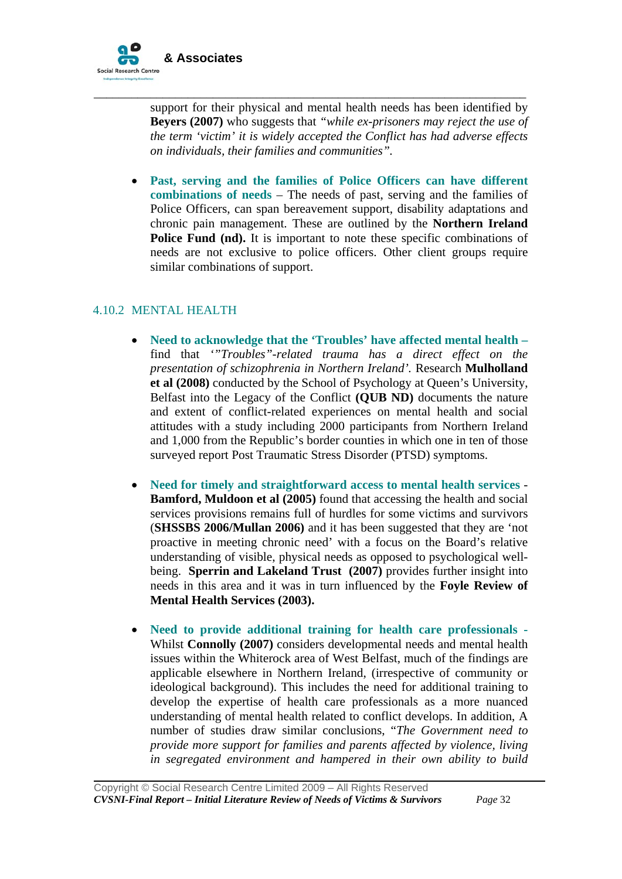

support for their physical and mental health needs has been identified by **Beyers (2007)** who suggests that *"while ex-prisoners may reject the use of the term 'victim' it is widely accepted the Conflict has had adverse effects on individuals, their families and communities".*

\_\_\_\_\_\_\_\_\_\_\_\_\_\_\_\_\_\_\_\_\_\_\_\_\_\_\_\_\_\_\_\_\_\_\_\_\_\_\_\_\_\_\_\_\_\_\_\_\_\_\_\_\_\_\_\_\_\_\_\_\_\_\_\_\_\_\_\_\_

• **Past, serving and the families of Police Officers can have different combinations of needs** – The needs of past, serving and the families of Police Officers, can span bereavement support, disability adaptations and chronic pain management. These are outlined by the **Northern Ireland Police Fund (nd).** It is important to note these specific combinations of needs are not exclusive to police officers. Other client groups require similar combinations of support.

### 4.10.2 MENTAL HEALTH

- **Need to acknowledge that the 'Troubles' have affected mental health –** find that *'"Troubles"-related trauma has a direct effect on the presentation of schizophrenia in Northern Ireland'.* Research **Mulholland et al (2008)** conducted by the School of Psychology at Queen's University, Belfast into the Legacy of the Conflict **(QUB ND)** documents the nature and extent of conflict-related experiences on mental health and social attitudes with a study including 2000 participants from Northern Ireland and 1,000 from the Republic's border counties in which one in ten of those surveyed report Post Traumatic Stress Disorder (PTSD) symptoms.
- **Need for timely and straightforward access to mental health services Bamford, Muldoon et al (2005)** found that accessing the health and social services provisions remains full of hurdles for some victims and survivors (**SHSSBS 2006/Mullan 2006)** and it has been suggested that they are 'not proactive in meeting chronic need' with a focus on the Board's relative understanding of visible, physical needs as opposed to psychological wellbeing. **Sperrin and Lakeland Trust (2007)** provides further insight into needs in this area and it was in turn influenced by the **Foyle Review of Mental Health Services (2003).**
- **Need to provide additional training for health care professionals -** Whilst **Connolly (2007)** considers developmental needs and mental health issues within the Whiterock area of West Belfast, much of the findings are applicable elsewhere in Northern Ireland, (irrespective of community or ideological background). This includes the need for additional training to develop the expertise of health care professionals as a more nuanced understanding of mental health related to conflict develops. In addition, A number of studies draw similar conclusions, "*The Government need to provide more support for families and parents affected by violence, living in segregated environment and hampered in their own ability to build*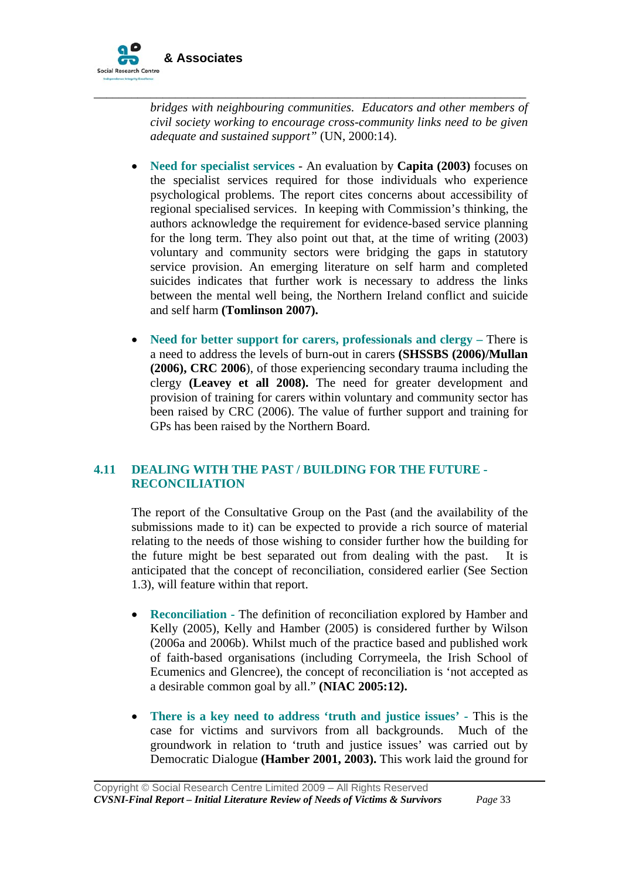

*bridges with neighbouring communities. Educators and other members of civil society working to encourage cross-community links need to be given adequate and sustained support"* (UN, 2000:14).

\_\_\_\_\_\_\_\_\_\_\_\_\_\_\_\_\_\_\_\_\_\_\_\_\_\_\_\_\_\_\_\_\_\_\_\_\_\_\_\_\_\_\_\_\_\_\_\_\_\_\_\_\_\_\_\_\_\_\_\_\_\_\_\_\_\_\_\_\_

- **Need for specialist services** An evaluation by **Capita (2003)** focuses on the specialist services required for those individuals who experience psychological problems. The report cites concerns about accessibility of regional specialised services. In keeping with Commission's thinking, the authors acknowledge the requirement for evidence-based service planning for the long term. They also point out that, at the time of writing (2003) voluntary and community sectors were bridging the gaps in statutory service provision. An emerging literature on self harm and completed suicides indicates that further work is necessary to address the links between the mental well being, the Northern Ireland conflict and suicide and self harm **(Tomlinson 2007).**
- **Need for better support for carers, professionals and clergy There is** a need to address the levels of burn-out in carers **(SHSSBS (2006)/Mullan (2006), CRC 2006**), of those experiencing secondary trauma including the clergy **(Leavey et all 2008).** The need for greater development and provision of training for carers within voluntary and community sector has been raised by CRC (2006). The value of further support and training for GPs has been raised by the Northern Board.

# **4.11 DEALING WITH THE PAST / BUILDING FOR THE FUTURE - RECONCILIATION**

The report of the Consultative Group on the Past (and the availability of the submissions made to it) can be expected to provide a rich source of material relating to the needs of those wishing to consider further how the building for the future might be best separated out from dealing with the past. It is anticipated that the concept of reconciliation, considered earlier (See Section 1.3), will feature within that report.

- **Reconciliation** The definition of reconciliation explored by Hamber and Kelly (2005), Kelly and Hamber (2005) is considered further by Wilson (2006a and 2006b). Whilst much of the practice based and published work of faith-based organisations (including Corrymeela, the Irish School of Ecumenics and Glencree), the concept of reconciliation is 'not accepted as a desirable common goal by all." **(NIAC 2005:12).**
- **There is a key need to address 'truth and justice issues'** This is the case for victims and survivors from all backgrounds. Much of the groundwork in relation to 'truth and justice issues' was carried out by Democratic Dialogue **(Hamber 2001, 2003).** This work laid the ground for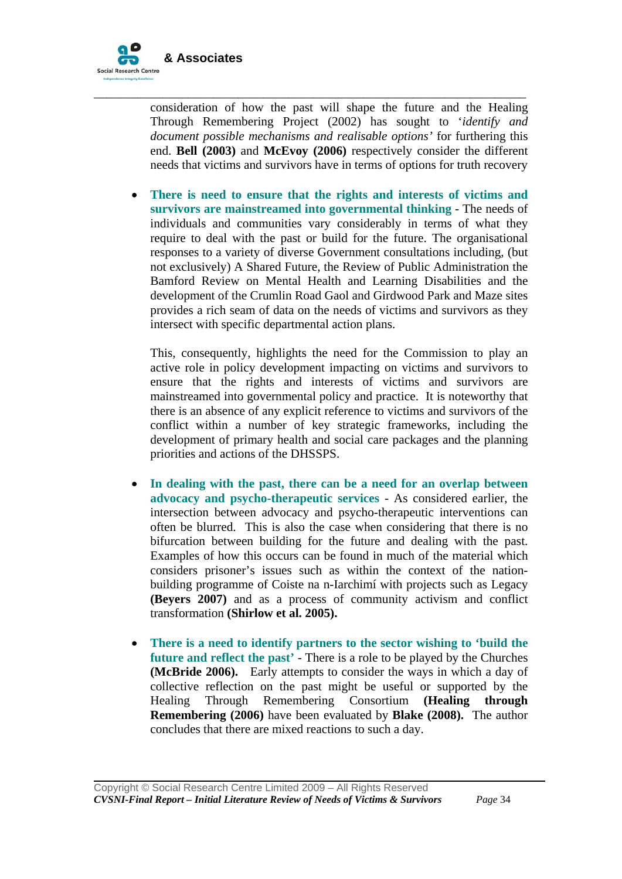

consideration of how the past will shape the future and the Healing Through Remembering Project (2002) has sought to '*identify and document possible mechanisms and realisable options'* for furthering this end. **Bell (2003)** and **McEvoy (2006)** respectively consider the different needs that victims and survivors have in terms of options for truth recovery

\_\_\_\_\_\_\_\_\_\_\_\_\_\_\_\_\_\_\_\_\_\_\_\_\_\_\_\_\_\_\_\_\_\_\_\_\_\_\_\_\_\_\_\_\_\_\_\_\_\_\_\_\_\_\_\_\_\_\_\_\_\_\_\_\_\_\_\_\_

• **There is need to ensure that the rights and interests of victims and survivors are mainstreamed into governmental thinking** - The needs of individuals and communities vary considerably in terms of what they require to deal with the past or build for the future. The organisational responses to a variety of diverse Government consultations including, (but not exclusively) A Shared Future, the Review of Public Administration the Bamford Review on Mental Health and Learning Disabilities and the development of the Crumlin Road Gaol and Girdwood Park and Maze sites provides a rich seam of data on the needs of victims and survivors as they intersect with specific departmental action plans.

This, consequently, highlights the need for the Commission to play an active role in policy development impacting on victims and survivors to ensure that the rights and interests of victims and survivors are mainstreamed into governmental policy and practice. It is noteworthy that there is an absence of any explicit reference to victims and survivors of the conflict within a number of key strategic frameworks, including the development of primary health and social care packages and the planning priorities and actions of the DHSSPS.

- **In dealing with the past, there can be a need for an overlap between advocacy and psycho-therapeutic services** - As considered earlier, the intersection between advocacy and psycho-therapeutic interventions can often be blurred. This is also the case when considering that there is no bifurcation between building for the future and dealing with the past. Examples of how this occurs can be found in much of the material which considers prisoner's issues such as within the context of the nationbuilding programme of Coiste na n-Iarchimí with projects such as Legacy **(Beyers 2007)** and as a process of community activism and conflict transformation **(Shirlow et al. 2005).**
- **There is a need to identify partners to the sector wishing to 'build the future and reflect the past'** - There is a role to be played by the Churches **(McBride 2006).** Early attempts to consider the ways in which a day of collective reflection on the past might be useful or supported by the Healing Through Remembering Consortium **(Healing through Remembering (2006)** have been evaluated by **Blake (2008).** The author concludes that there are mixed reactions to such a day.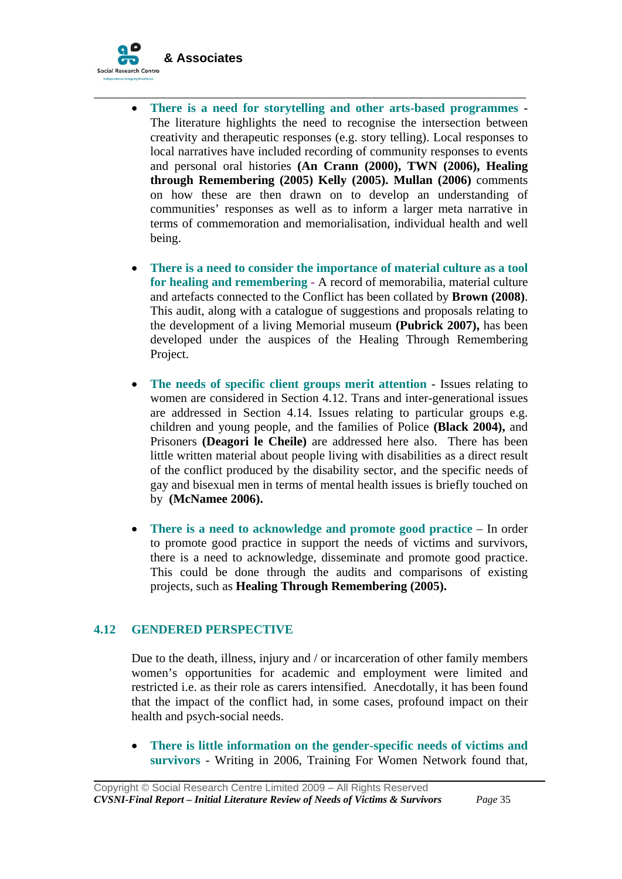

• **There is a need for storytelling and other arts-based programmes** - The literature highlights the need to recognise the intersection between creativity and therapeutic responses (e.g. story telling). Local responses to local narratives have included recording of community responses to events and personal oral histories **(An Crann (2000), TWN (2006), Healing through Remembering (2005) Kelly (2005). Mullan (2006)** comments on how these are then drawn on to develop an understanding of communities' responses as well as to inform a larger meta narrative in terms of commemoration and memorialisation, individual health and well being.

\_\_\_\_\_\_\_\_\_\_\_\_\_\_\_\_\_\_\_\_\_\_\_\_\_\_\_\_\_\_\_\_\_\_\_\_\_\_\_\_\_\_\_\_\_\_\_\_\_\_\_\_\_\_\_\_\_\_\_\_\_\_\_\_\_\_\_\_\_

- **There is a need to consider the importance of material culture as a tool for healing and remembering** - A record of memorabilia, material culture and artefacts connected to the Conflict has been collated by **Brown (2008)**. This audit, along with a catalogue of suggestions and proposals relating to the development of a living Memorial museum **(Pubrick 2007),** has been developed under the auspices of the Healing Through Remembering Project.
- **The needs of specific client groups merit attention** Issues relating to women are considered in Section 4.12. Trans and inter-generational issues are addressed in Section 4.14. Issues relating to particular groups e.g. children and young people, and the families of Police **(Black 2004),** and Prisoners **(Deagori le Cheile)** are addressed here also. There has been little written material about people living with disabilities as a direct result of the conflict produced by the disability sector, and the specific needs of gay and bisexual men in terms of mental health issues is briefly touched on by **(McNamee 2006).**
- **There is a need to acknowledge and promote good practice In order** to promote good practice in support the needs of victims and survivors, there is a need to acknowledge, disseminate and promote good practice. This could be done through the audits and comparisons of existing projects, such as **Healing Through Remembering (2005).**

# **4.12 GENDERED PERSPECTIVE**

Due to the death, illness, injury and / or incarceration of other family members women's opportunities for academic and employment were limited and restricted i.e. as their role as carers intensified. Anecdotally, it has been found that the impact of the conflict had, in some cases, profound impact on their health and psych-social needs.

• **There is little information on the gender-specific needs of victims and survivors** - Writing in 2006, Training For Women Network found that*,*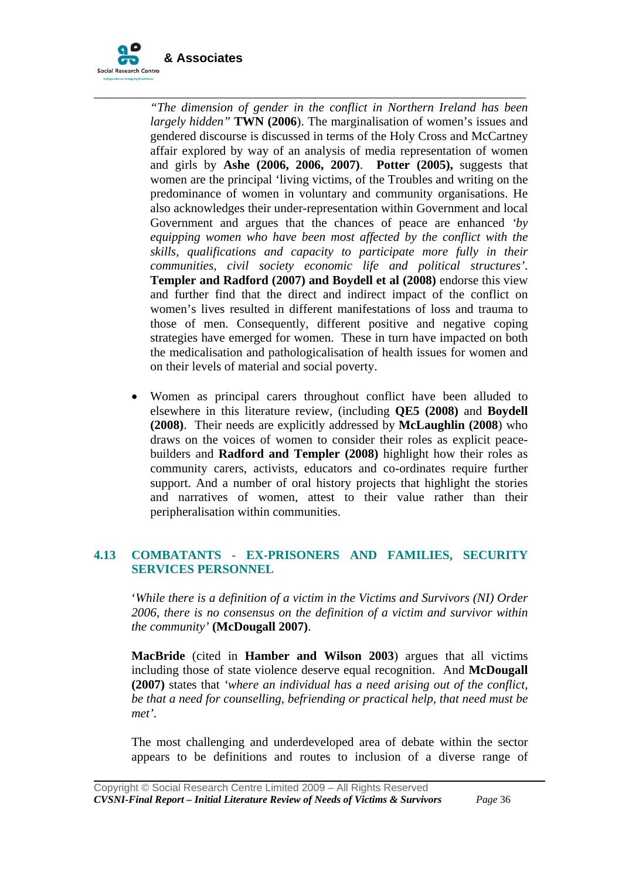

*"The dimension of gender in the conflict in Northern Ireland has been largely hidden"* **TWN (2006**). The marginalisation of women's issues and gendered discourse is discussed in terms of the Holy Cross and McCartney affair explored by way of an analysis of media representation of women and girls by **Ashe (2006, 2006, 2007)**. **Potter (2005),** suggests that women are the principal 'living victims, of the Troubles and writing on the predominance of women in voluntary and community organisations. He also acknowledges their under-representation within Government and local Government and argues that the chances of peace are enhanced *'by equipping women who have been most affected by the conflict with the skills, qualifications and capacity to participate more fully in their communities, civil society economic life and political structures'*. **Templer and Radford (2007) and Boydell et al (2008)** endorse this view and further find that the direct and indirect impact of the conflict on women's lives resulted in different manifestations of loss and trauma to those of men. Consequently, different positive and negative coping strategies have emerged for women. These in turn have impacted on both the medicalisation and pathologicalisation of health issues for women and on their levels of material and social poverty.

\_\_\_\_\_\_\_\_\_\_\_\_\_\_\_\_\_\_\_\_\_\_\_\_\_\_\_\_\_\_\_\_\_\_\_\_\_\_\_\_\_\_\_\_\_\_\_\_\_\_\_\_\_\_\_\_\_\_\_\_\_\_\_\_\_\_\_\_\_

Women as principal carers throughout conflict have been alluded to elsewhere in this literature review, (including **QE5 (2008)** and **Boydell (2008)**. Their needs are explicitly addressed by **McLaughlin (2008**) who draws on the voices of women to consider their roles as explicit peacebuilders and **Radford and Templer (2008)** highlight how their roles as community carers, activists, educators and co-ordinates require further support. And a number of oral history projects that highlight the stories and narratives of women, attest to their value rather than their peripheralisation within communities.

# **4.13 COMBATANTS - EX-PRISONERS AND FAMILIES, SECURITY SERVICES PERSONNEL**

'*While there is a definition of a victim in the Victims and Survivors (NI) Order 2006, there is no consensus on the definition of a victim and survivor within the community'* **(McDougall 2007)**.

**MacBride** (cited in **Hamber and Wilson 2003**) argues that all victims including those of state violence deserve equal recognition. And **McDougall (2007)** states that *'where an individual has a need arising out of the conflict, be that a need for counselling, befriending or practical help, that need must be met'.*

The most challenging and underdeveloped area of debate within the sector appears to be definitions and routes to inclusion of a diverse range of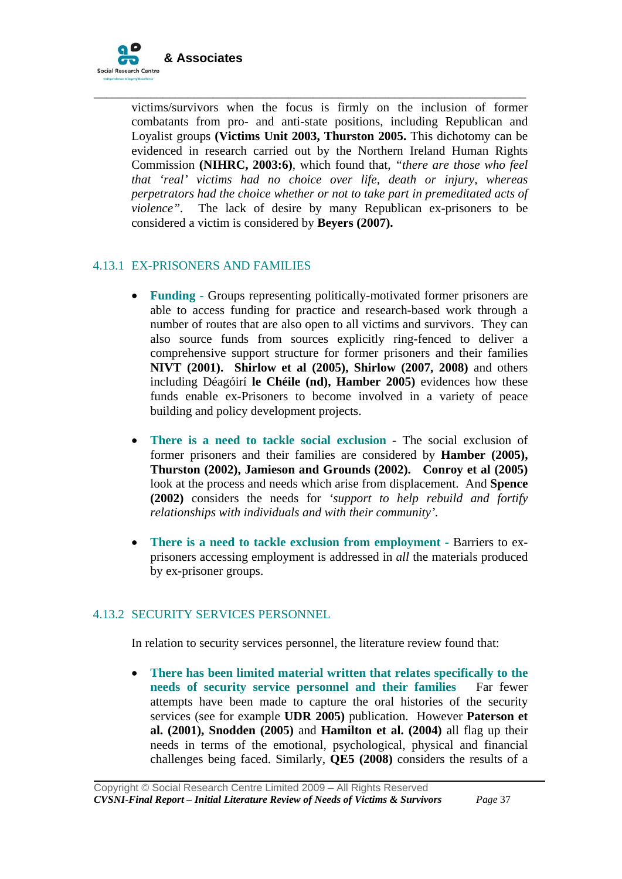

victims/survivors when the focus is firmly on the inclusion of former combatants from pro- and anti-state positions, including Republican and Loyalist groups **(Victims Unit 2003, Thurston 2005.** This dichotomy can be evidenced in research carried out by the Northern Ireland Human Rights Commission **(NIHRC, 2003:6)**, which found that, *"there are those who feel that 'real' victims had no choice over life, death or injury, whereas perpetrators had the choice whether or not to take part in premeditated acts of violence".* The lack of desire by many Republican ex-prisoners to be considered a victim is considered by **Beyers (2007).** 

\_\_\_\_\_\_\_\_\_\_\_\_\_\_\_\_\_\_\_\_\_\_\_\_\_\_\_\_\_\_\_\_\_\_\_\_\_\_\_\_\_\_\_\_\_\_\_\_\_\_\_\_\_\_\_\_\_\_\_\_\_\_\_\_\_\_\_\_\_

## 4.13.1 EX-PRISONERS AND FAMILIES

- **Funding -** Groups representing politically-motivated former prisoners are able to access funding for practice and research-based work through a number of routes that are also open to all victims and survivors. They can also source funds from sources explicitly ring-fenced to deliver a comprehensive support structure for former prisoners and their families **NIVT (2001). Shirlow et al (2005), Shirlow (2007, 2008)** and others including Déagóirí **le Chéile (nd), Hamber 2005)** evidences how these funds enable ex-Prisoners to become involved in a variety of peace building and policy development projects.
- **There is a need to tackle social exclusion**  The social exclusion of former prisoners and their families are considered by **Hamber (2005), Thurston (2002), Jamieson and Grounds (2002). Conroy et al (2005)**  look at the process and needs which arise from displacement. And **Spence (2002)** considers the needs for *'support to help rebuild and fortify relationships with individuals and with their community'.*
- **There is a need to tackle exclusion from employment Barriers to ex**prisoners accessing employment is addressed in *all* the materials produced by ex-prisoner groups.

#### 4.13.2 SECURITY SERVICES PERSONNEL

In relation to security services personnel, the literature review found that:

• **There has been limited material written that relates specifically to the needs of security service personnel and their families** Far fewer attempts have been made to capture the oral histories of the security services (see for example **UDR 2005)** publication. However **Paterson et al. (2001), Snodden (2005)** and **Hamilton et al. (2004)** all flag up their needs in terms of the emotional, psychological, physical and financial challenges being faced. Similarly, **QE5 (2008)** considers the results of a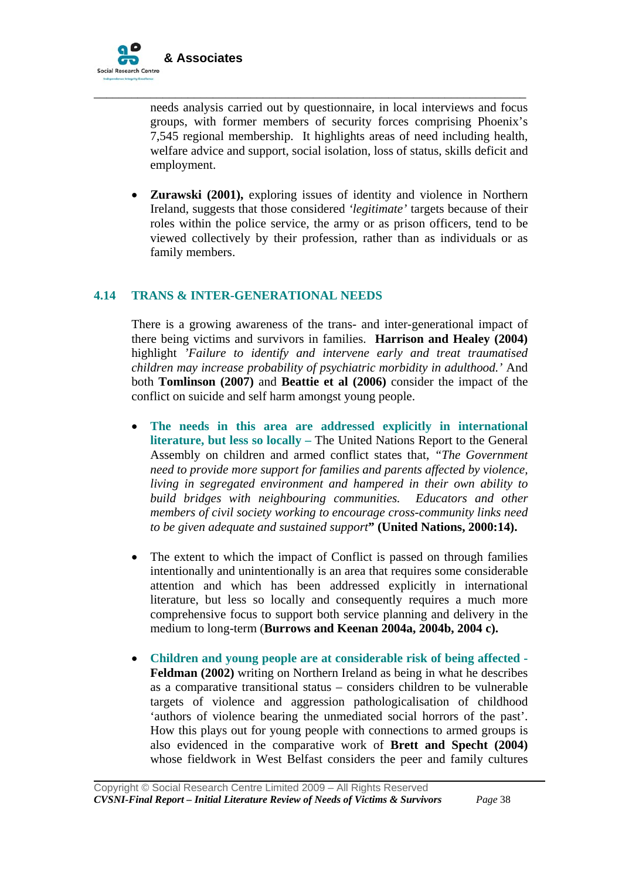

needs analysis carried out by questionnaire, in local interviews and focus groups, with former members of security forces comprising Phoenix's 7,545 regional membership. It highlights areas of need including health, welfare advice and support, social isolation, loss of status, skills deficit and employment.

\_\_\_\_\_\_\_\_\_\_\_\_\_\_\_\_\_\_\_\_\_\_\_\_\_\_\_\_\_\_\_\_\_\_\_\_\_\_\_\_\_\_\_\_\_\_\_\_\_\_\_\_\_\_\_\_\_\_\_\_\_\_\_\_\_\_\_\_\_

• **Zurawski (2001),** exploring issues of identity and violence in Northern Ireland, suggests that those considered *'legitimate'* targets because of their roles within the police service, the army or as prison officers, tend to be viewed collectively by their profession, rather than as individuals or as family members.

#### **4.14 TRANS & INTER-GENERATIONAL NEEDS**

There is a growing awareness of the trans- and inter-generational impact of there being victims and survivors in families. **Harrison and Healey (2004)** highlight *'Failure to identify and intervene early and treat traumatised children may increase probability of psychiatric morbidity in adulthood.'* And both **Tomlinson (2007)** and **Beattie et al (2006)** consider the impact of the conflict on suicide and self harm amongst young people.

- **The needs in this area are addressed explicitly in international literature, but less so locally –** The United Nations Report to the General Assembly on children and armed conflict states that, *"The Government need to provide more support for families and parents affected by violence, living in segregated environment and hampered in their own ability to build bridges with neighbouring communities. Educators and other members of civil society working to encourage cross-community links need to be given adequate and sustained support***" (United Nations, 2000:14).**
- The extent to which the impact of Conflict is passed on through families intentionally and unintentionally is an area that requires some considerable attention and which has been addressed explicitly in international literature, but less so locally and consequently requires a much more comprehensive focus to support both service planning and delivery in the medium to long-term (**Burrows and Keenan 2004a, 2004b, 2004 c).**
- **Children and young people are at considerable risk of being affected - Feldman (2002)** writing on Northern Ireland as being in what he describes as a comparative transitional status – considers children to be vulnerable targets of violence and aggression pathologicalisation of childhood 'authors of violence bearing the unmediated social horrors of the past'. How this plays out for young people with connections to armed groups is also evidenced in the comparative work of **Brett and Specht (2004)** whose fieldwork in West Belfast considers the peer and family cultures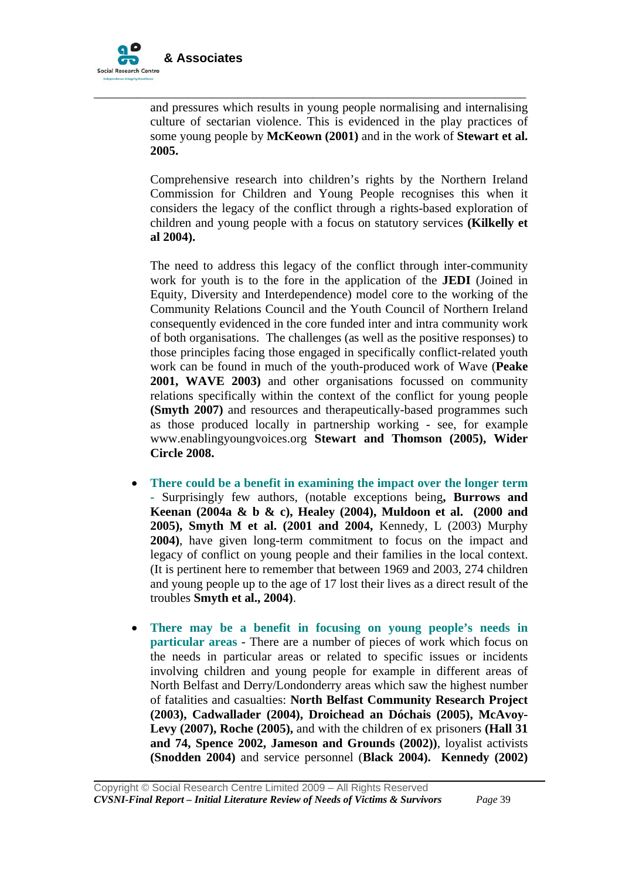

and pressures which results in young people normalising and internalising culture of sectarian violence. This is evidenced in the play practices of some young people by **McKeown (2001)** and in the work of **Stewart et al. 2005.** 

\_\_\_\_\_\_\_\_\_\_\_\_\_\_\_\_\_\_\_\_\_\_\_\_\_\_\_\_\_\_\_\_\_\_\_\_\_\_\_\_\_\_\_\_\_\_\_\_\_\_\_\_\_\_\_\_\_\_\_\_\_\_\_\_\_\_\_\_\_

Comprehensive research into children's rights by the Northern Ireland Commission for Children and Young People recognises this when it considers the legacy of the conflict through a rights-based exploration of children and young people with a focus on statutory services **(Kilkelly et al 2004).** 

The need to address this legacy of the conflict through inter-community work for youth is to the fore in the application of the **JEDI** (Joined in Equity, Diversity and Interdependence) model core to the working of the Community Relations Council and the Youth Council of Northern Ireland consequently evidenced in the core funded inter and intra community work of both organisations. The challenges (as well as the positive responses) to those principles facing those engaged in specifically conflict-related youth work can be found in much of the youth-produced work of Wave (**Peake 2001, WAVE 2003)** and other organisations focussed on community relations specifically within the context of the conflict for young people **(Smyth 2007)** and resources and therapeutically-based programmes such as those produced locally in partnership working - see, for example www.enablingyoungvoices.org **Stewart and Thomson (2005), Wider Circle 2008.**

- **There could be a benefit in examining the impact over the longer term -** Surprisingly few authors, (notable exceptions being**, Burrows and Keenan (2004a & b & c), Healey (2004), Muldoon et al. (2000 and 2005), Smyth M et al. (2001 and 2004,** Kennedy, L (2003) Murphy **2004)**, have given long-term commitment to focus on the impact and legacy of conflict on young people and their families in the local context. (It is pertinent here to remember that between 1969 and 2003, 274 children and young people up to the age of 17 lost their lives as a direct result of the troubles **Smyth et al., 2004)**.
- **There may be a benefit in focusing on young people's needs in particular areas** - There are a number of pieces of work which focus on the needs in particular areas or related to specific issues or incidents involving children and young people for example in different areas of North Belfast and Derry/Londonderry areas which saw the highest number of fatalities and casualties: **North Belfast Community Research Project (2003), Cadwallader (2004), Droichead an Dóchais (2005), McAvoy-Levy (2007), Roche (2005),** and with the children of ex prisoners **(Hall 31 and 74, Spence 2002, Jameson and Grounds (2002))**, loyalist activists **(Snodden 2004)** and service personnel (**Black 2004). Kennedy (2002)**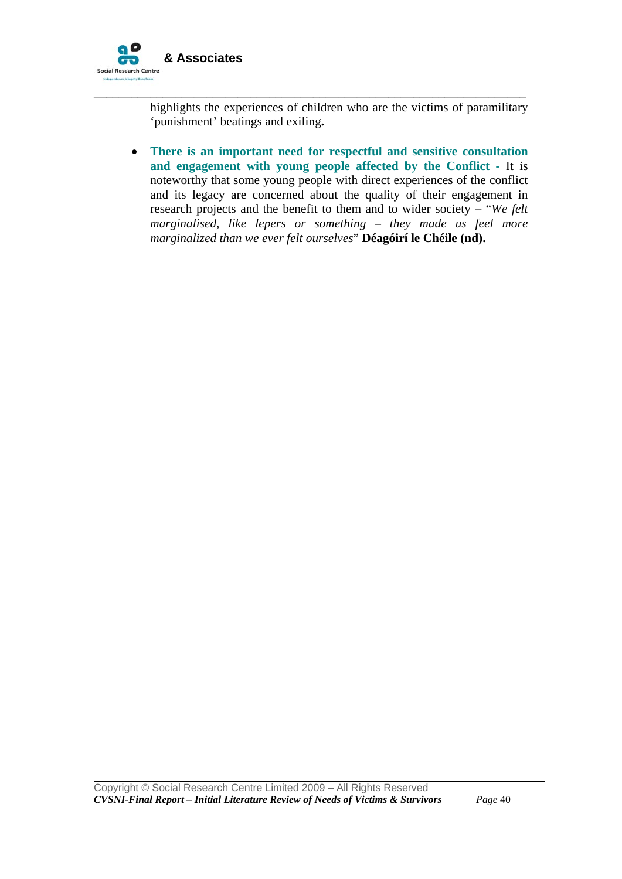

highlights the experiences of children who are the victims of paramilitary 'punishment' beatings and exiling**.** 

\_\_\_\_\_\_\_\_\_\_\_\_\_\_\_\_\_\_\_\_\_\_\_\_\_\_\_\_\_\_\_\_\_\_\_\_\_\_\_\_\_\_\_\_\_\_\_\_\_\_\_\_\_\_\_\_\_\_\_\_\_\_\_\_\_\_\_\_\_

• **There is an important need for respectful and sensitive consultation and engagement with young people affected by the Conflict -** It is noteworthy that some young people with direct experiences of the conflict and its legacy are concerned about the quality of their engagement in research projects and the benefit to them and to wider society – "*We felt marginalised, like lepers or something – they made us feel more marginalized than we ever felt ourselves*" **Déagóirí le Chéile (nd).**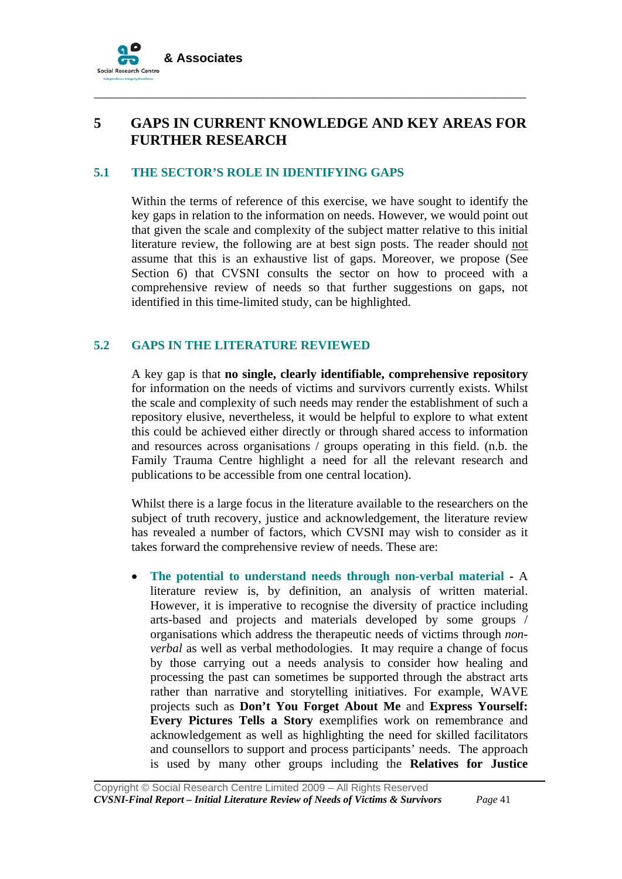

# **5 GAPS IN CURRENT KNOWLEDGE AND KEY AREAS FOR FURTHER RESEARCH**

\_\_\_\_\_\_\_\_\_\_\_\_\_\_\_\_\_\_\_\_\_\_\_\_\_\_\_\_\_\_\_\_\_\_\_\_\_\_\_\_\_\_\_\_\_\_\_\_\_\_\_\_\_\_\_\_\_\_\_\_\_\_\_\_\_\_\_\_\_

#### **5.1 THE SECTOR'S ROLE IN IDENTIFYING GAPS**

Within the terms of reference of this exercise, we have sought to identify the key gaps in relation to the information on needs. However, we would point out that given the scale and complexity of the subject matter relative to this initial literature review, the following are at best sign posts. The reader should not assume that this is an exhaustive list of gaps. Moreover, we propose (See Section 6) that CVSNI consults the sector on how to proceed with a comprehensive review of needs so that further suggestions on gaps, not identified in this time-limited study, can be highlighted.

#### **5.2 GAPS IN THE LITERATURE REVIEWED**

A key gap is that **no single, clearly identifiable, comprehensive repository** for information on the needs of victims and survivors currently exists. Whilst the scale and complexity of such needs may render the establishment of such a repository elusive, nevertheless, it would be helpful to explore to what extent this could be achieved either directly or through shared access to information and resources across organisations / groups operating in this field. (n.b. the Family Trauma Centre highlight a need for all the relevant research and publications to be accessible from one central location).

Whilst there is a large focus in the literature available to the researchers on the subject of truth recovery, justice and acknowledgement, the literature review has revealed a number of factors, which CVSNI may wish to consider as it takes forward the comprehensive review of needs. These are:

• **The potential to understand needs through non-verbal material -** A literature review is, by definition, an analysis of written material. However, it is imperative to recognise the diversity of practice including arts-based and projects and materials developed by some groups / organisations which address the therapeutic needs of victims through *nonverbal* as well as verbal methodologies. It may require a change of focus by those carrying out a needs analysis to consider how healing and processing the past can sometimes be supported through the abstract arts rather than narrative and storytelling initiatives. For example, WAVE projects such as **Don't You Forget About Me** and **Express Yourself: Every Pictures Tells a Story** exemplifies work on remembrance and acknowledgement as well as highlighting the need for skilled facilitators and counsellors to support and process participants' needs. The approach is used by many other groups including the **Relatives for Justice**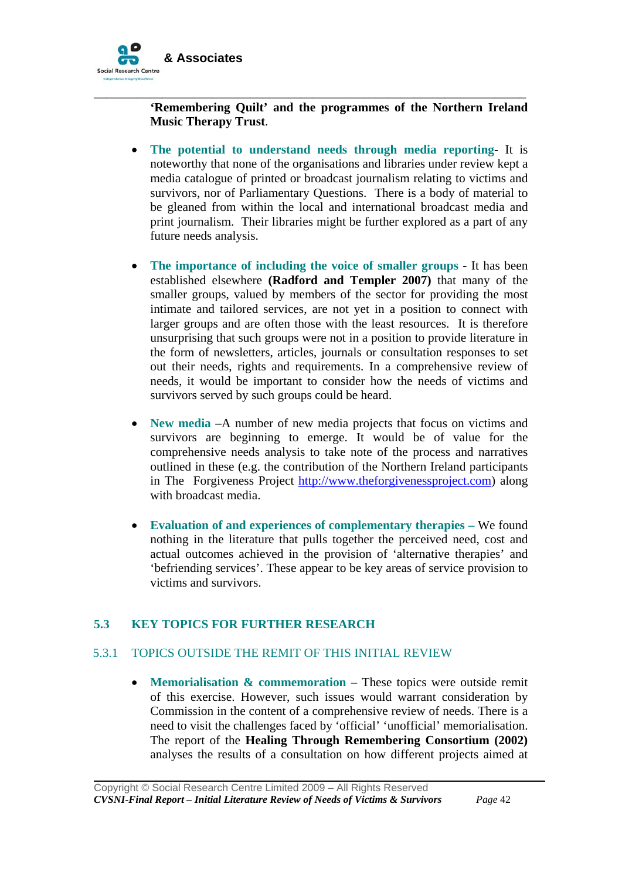

**'Remembering Quilt' and the programmes of the Northern Ireland Music Therapy Trust**.

\_\_\_\_\_\_\_\_\_\_\_\_\_\_\_\_\_\_\_\_\_\_\_\_\_\_\_\_\_\_\_\_\_\_\_\_\_\_\_\_\_\_\_\_\_\_\_\_\_\_\_\_\_\_\_\_\_\_\_\_\_\_\_\_\_\_\_\_\_

- **The potential to understand needs through media reporting-** It is noteworthy that none of the organisations and libraries under review kept a media catalogue of printed or broadcast journalism relating to victims and survivors, nor of Parliamentary Questions. There is a body of material to be gleaned from within the local and international broadcast media and print journalism. Their libraries might be further explored as a part of any future needs analysis.
- **The importance of including the voice of smaller groups** It has been established elsewhere **(Radford and Templer 2007)** that many of the smaller groups, valued by members of the sector for providing the most intimate and tailored services, are not yet in a position to connect with larger groups and are often those with the least resources. It is therefore unsurprising that such groups were not in a position to provide literature in the form of newsletters, articles, journals or consultation responses to set out their needs, rights and requirements. In a comprehensive review of needs, it would be important to consider how the needs of victims and survivors served by such groups could be heard.
- **New media** –A number of new media projects that focus on victims and survivors are beginning to emerge. It would be of value for the comprehensive needs analysis to take note of the process and narratives outlined in these (e.g. the contribution of the Northern Ireland participants in The Forgiveness Project [http://www.theforgivenessproject.com\)](http://www.theforgivenessproject.com/) along with broadcast media.
- **Evaluation of and experiences of complementary therapies –** We found nothing in the literature that pulls together the perceived need, cost and actual outcomes achieved in the provision of 'alternative therapies' and 'befriending services'. These appear to be key areas of service provision to victims and survivors.

#### **5.3 KEY TOPICS FOR FURTHER RESEARCH**

#### 5.3.1 TOPICS OUTSIDE THE REMIT OF THIS INITIAL REVIEW

• **Memorialisation & commemoration** – These topics were outside remit of this exercise. However, such issues would warrant consideration by Commission in the content of a comprehensive review of needs. There is a need to visit the challenges faced by 'official' 'unofficial' memorialisation. The report of the **Healing Through Remembering Consortium (2002)** analyses the results of a consultation on how different projects aimed at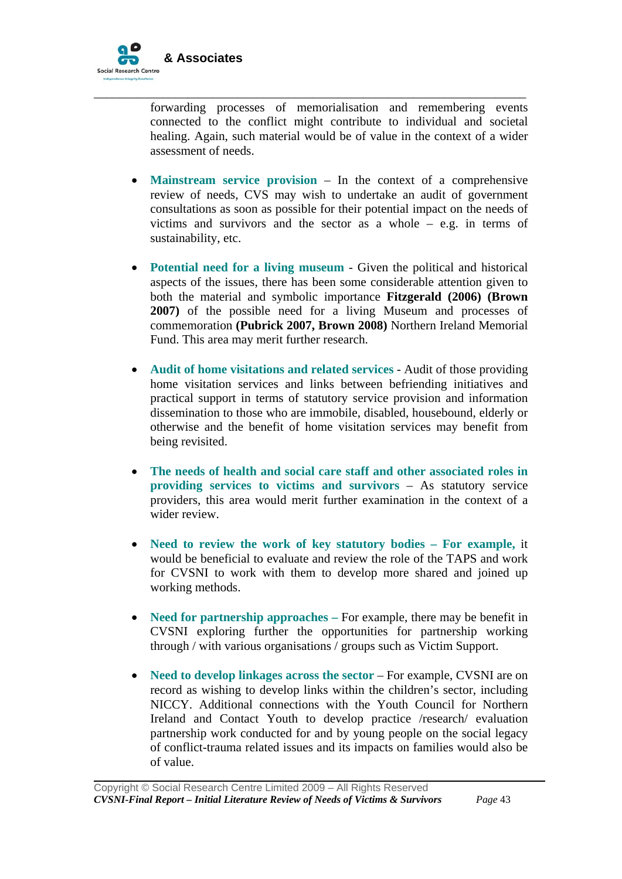

forwarding processes of memorialisation and remembering events connected to the conflict might contribute to individual and societal healing. Again, such material would be of value in the context of a wider assessment of needs.

\_\_\_\_\_\_\_\_\_\_\_\_\_\_\_\_\_\_\_\_\_\_\_\_\_\_\_\_\_\_\_\_\_\_\_\_\_\_\_\_\_\_\_\_\_\_\_\_\_\_\_\_\_\_\_\_\_\_\_\_\_\_\_\_\_\_\_\_\_

- **Mainstream service provision** In the context of a comprehensive review of needs, CVS may wish to undertake an audit of government consultations as soon as possible for their potential impact on the needs of victims and survivors and the sector as a whole – e.g. in terms of sustainability, etc.
- **Potential need for a living museum**  Given the political and historical aspects of the issues, there has been some considerable attention given to both the material and symbolic importance **Fitzgerald (2006) (Brown 2007)** of the possible need for a living Museum and processes of commemoration **(Pubrick 2007, Brown 2008)** Northern Ireland Memorial Fund. This area may merit further research.
- **Audit of home visitations and related services**  Audit of those providing home visitation services and links between befriending initiatives and practical support in terms of statutory service provision and information dissemination to those who are immobile, disabled, housebound, elderly or otherwise and the benefit of home visitation services may benefit from being revisited.
- **The needs of health and social care staff and other associated roles in providing services to victims and survivors** – As statutory service providers, this area would merit further examination in the context of a wider review.
- **Need to review the work of key statutory bodies For example,** it would be beneficial to evaluate and review the role of the TAPS and work for CVSNI to work with them to develop more shared and joined up working methods.
- **Need for partnership approaches** For example, there may be benefit in CVSNI exploring further the opportunities for partnership working through / with various organisations / groups such as Victim Support.
- **Need to develop linkages across the sector For example, CVSNI are on** record as wishing to develop links within the children's sector, including NICCY. Additional connections with the Youth Council for Northern Ireland and Contact Youth to develop practice /research/ evaluation partnership work conducted for and by young people on the social legacy of conflict-trauma related issues and its impacts on families would also be of value.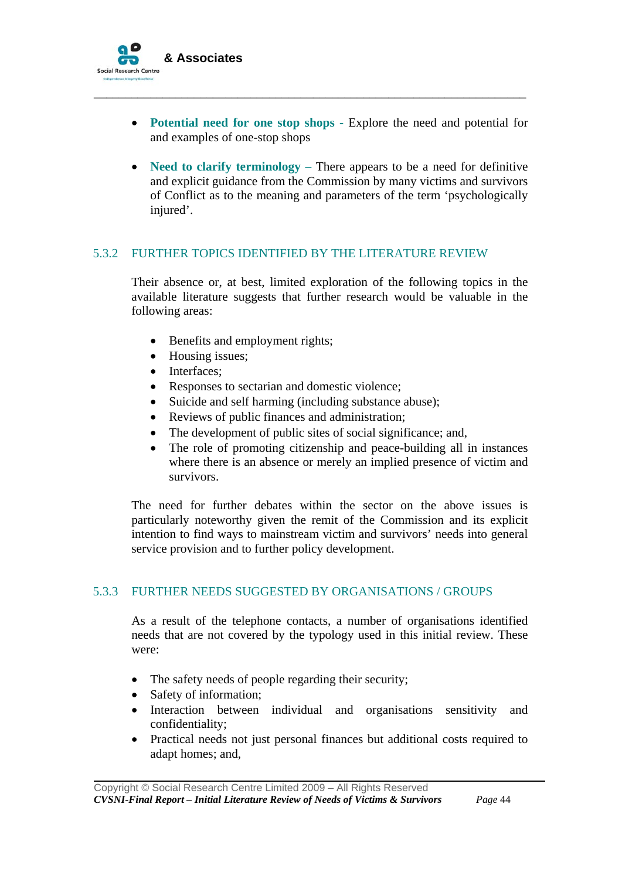

• **Potential need for one stop shops -** Explore the need and potential for and examples of one-stop shops

\_\_\_\_\_\_\_\_\_\_\_\_\_\_\_\_\_\_\_\_\_\_\_\_\_\_\_\_\_\_\_\_\_\_\_\_\_\_\_\_\_\_\_\_\_\_\_\_\_\_\_\_\_\_\_\_\_\_\_\_\_\_\_\_\_\_\_\_\_

• **Need to clarify terminology** – There appears to be a need for definitive and explicit guidance from the Commission by many victims and survivors of Conflict as to the meaning and parameters of the term 'psychologically injured'.

#### 5.3.2 FURTHER TOPICS IDENTIFIED BY THE LITERATURE REVIEW

Their absence or, at best, limited exploration of the following topics in the available literature suggests that further research would be valuable in the following areas:

- Benefits and employment rights;
- Housing issues;
- Interfaces;
- Responses to sectarian and domestic violence;
- Suicide and self harming (including substance abuse);
- Reviews of public finances and administration;
- The development of public sites of social significance; and,
- The role of promoting citizenship and peace-building all in instances where there is an absence or merely an implied presence of victim and survivors.

The need for further debates within the sector on the above issues is particularly noteworthy given the remit of the Commission and its explicit intention to find ways to mainstream victim and survivors' needs into general service provision and to further policy development.

#### 5.3.3 FURTHER NEEDS SUGGESTED BY ORGANISATIONS / GROUPS

As a result of the telephone contacts, a number of organisations identified needs that are not covered by the typology used in this initial review. These were:

- The safety needs of people regarding their security;
- Safety of information:

- Interaction between individual and organisations sensitivity and confidentiality;
- Practical needs not just personal finances but additional costs required to adapt homes; and,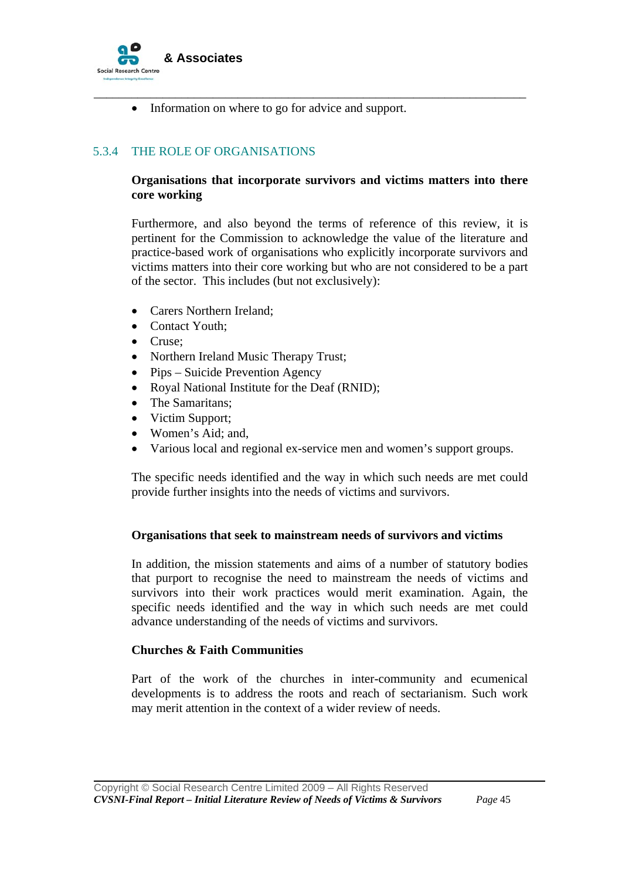

• Information on where to go for advice and support.

# 5.3.4 THE ROLE OF ORGANISATIONS

#### **Organisations that incorporate survivors and victims matters into there core working**

\_\_\_\_\_\_\_\_\_\_\_\_\_\_\_\_\_\_\_\_\_\_\_\_\_\_\_\_\_\_\_\_\_\_\_\_\_\_\_\_\_\_\_\_\_\_\_\_\_\_\_\_\_\_\_\_\_\_\_\_\_\_\_\_\_\_\_\_\_

Furthermore, and also beyond the terms of reference of this review, it is pertinent for the Commission to acknowledge the value of the literature and practice-based work of organisations who explicitly incorporate survivors and victims matters into their core working but who are not considered to be a part of the sector. This includes (but not exclusively):

- Carers Northern Ireland;
- Contact Youth:
- Cruse;

- Northern Ireland Music Therapy Trust;
- Pips Suicide Prevention Agency
- Royal National Institute for the Deaf (RNID):
- The Samaritans;
- Victim Support:
- Women's Aid; and,
- Various local and regional ex-service men and women's support groups.

The specific needs identified and the way in which such needs are met could provide further insights into the needs of victims and survivors.

#### **Organisations that seek to mainstream needs of survivors and victims**

In addition, the mission statements and aims of a number of statutory bodies that purport to recognise the need to mainstream the needs of victims and survivors into their work practices would merit examination. Again, the specific needs identified and the way in which such needs are met could advance understanding of the needs of victims and survivors.

#### **Churches & Faith Communities**

Part of the work of the churches in inter-community and ecumenical developments is to address the roots and reach of sectarianism. Such work may merit attention in the context of a wider review of needs.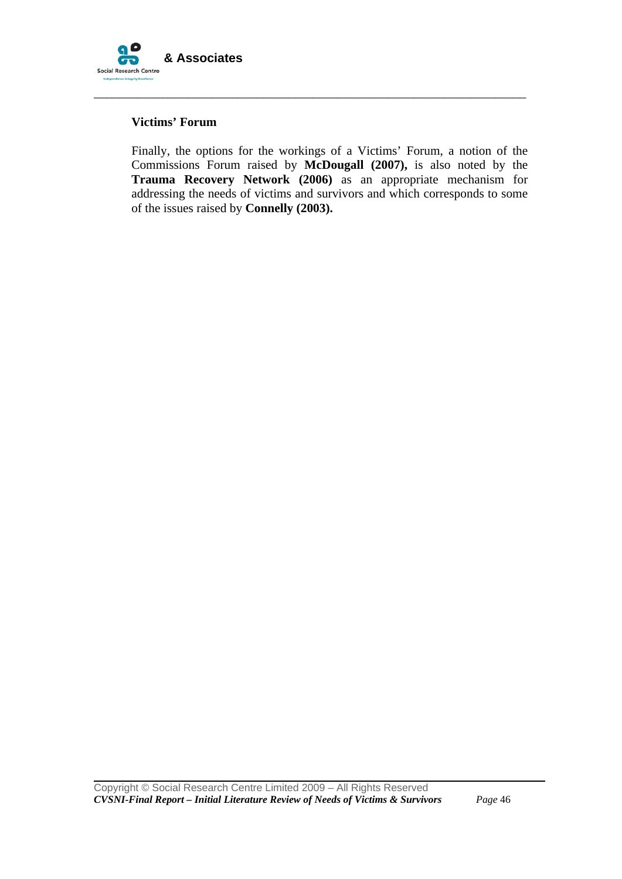

#### **Victims' Forum**

Finally, the options for the workings of a Victims' Forum, a notion of the Commissions Forum raised by **McDougall (2007),** is also noted by the **Trauma Recovery Network (2006)** as an appropriate mechanism for addressing the needs of victims and survivors and which corresponds to some of the issues raised by **Connelly (2003).** 

\_\_\_\_\_\_\_\_\_\_\_\_\_\_\_\_\_\_\_\_\_\_\_\_\_\_\_\_\_\_\_\_\_\_\_\_\_\_\_\_\_\_\_\_\_\_\_\_\_\_\_\_\_\_\_\_\_\_\_\_\_\_\_\_\_\_\_\_\_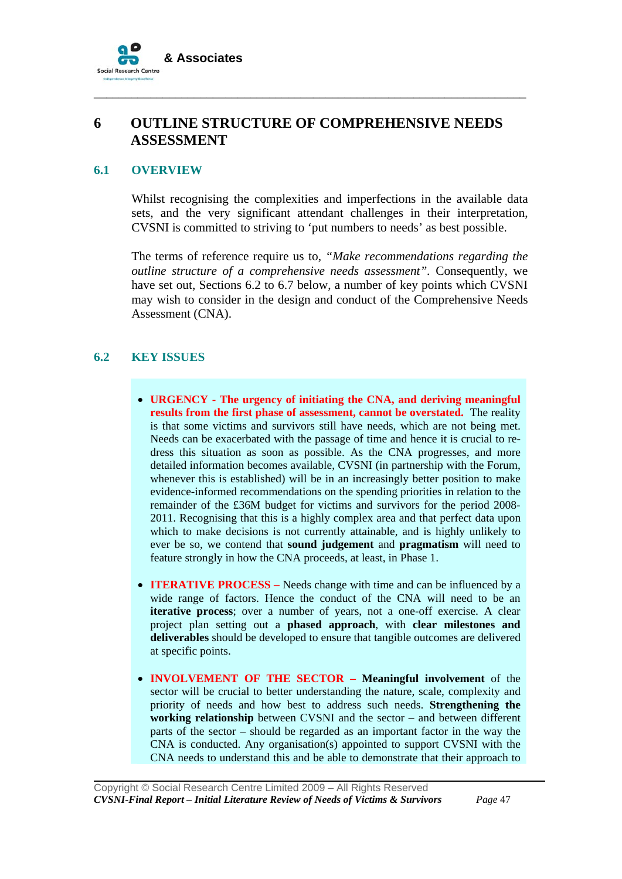

# **6 OUTLINE STRUCTURE OF COMPREHENSIVE NEEDS ASSESSMENT**

\_\_\_\_\_\_\_\_\_\_\_\_\_\_\_\_\_\_\_\_\_\_\_\_\_\_\_\_\_\_\_\_\_\_\_\_\_\_\_\_\_\_\_\_\_\_\_\_\_\_\_\_\_\_\_\_\_\_\_\_\_\_\_\_\_\_\_\_\_

#### **6.1 OVERVIEW**

Whilst recognising the complexities and imperfections in the available data sets, and the very significant attendant challenges in their interpretation, CVSNI is committed to striving to 'put numbers to needs' as best possible.

The terms of reference require us to, *"Make recommendations regarding the outline structure of a comprehensive needs assessment".* Consequently, we have set out, Sections 6.2 to 6.7 below, a number of key points which CVSNI may wish to consider in the design and conduct of the Comprehensive Needs Assessment (CNA).

## **6.2 KEY ISSUES**

- **URGENCY The urgency of initiating the CNA, and deriving meaningful results from the first phase of assessment, cannot be overstated.** The reality is that some victims and survivors still have needs, which are not being met. Needs can be exacerbated with the passage of time and hence it is crucial to redress this situation as soon as possible. As the CNA progresses, and more detailed information becomes available, CVSNI (in partnership with the Forum, whenever this is established) will be in an increasingly better position to make evidence-informed recommendations on the spending priorities in relation to the remainder of the £36M budget for victims and survivors for the period 2008- 2011. Recognising that this is a highly complex area and that perfect data upon which to make decisions is not currently attainable, and is highly unlikely to ever be so, we contend that **sound judgement** and **pragmatism** will need to feature strongly in how the CNA proceeds, at least, in Phase 1.
- **ITERATIVE PROCESS** Needs change with time and can be influenced by a wide range of factors. Hence the conduct of the CNA will need to be an **iterative process**; over a number of years, not a one-off exercise. A clear project plan setting out a **phased approach**, with **clear milestones and deliverables** should be developed to ensure that tangible outcomes are delivered at specific points.
- **INVOLVEMENT OF THE SECTOR Meaningful involvement** of the sector will be crucial to better understanding the nature, scale, complexity and priority of needs and how best to address such needs. **Strengthening the working relationship** between CVSNI and the sector – and between different parts of the sector – should be regarded as an important factor in the way the CNA is conducted. Any organisation(s) appointed to support CVSNI with the CNA needs to understand this and be able to demonstrate that their approach to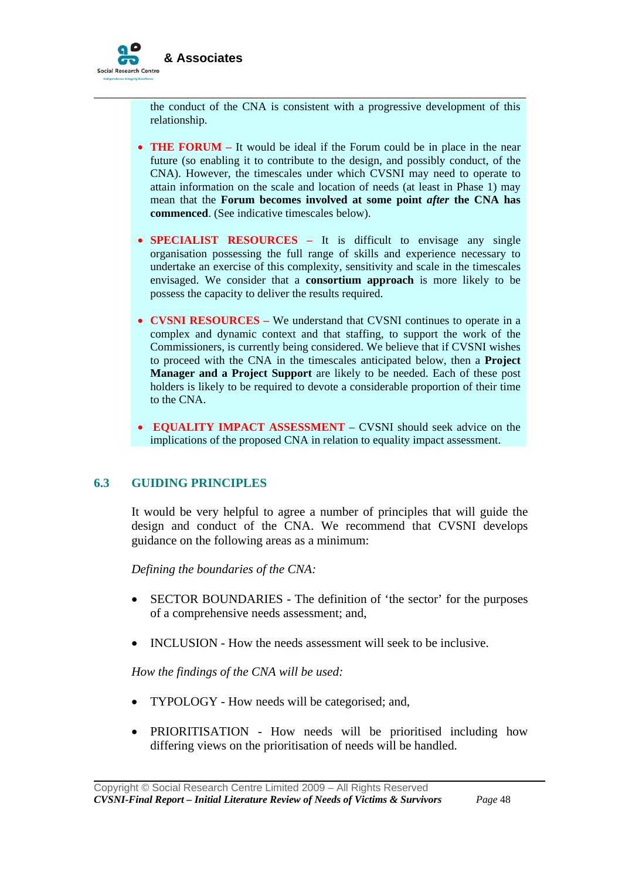

the conduct of the CNA is consistent with a progressive development of this relationship.

\_\_\_\_\_\_\_\_\_\_\_\_\_\_\_\_\_\_\_\_\_\_\_\_\_\_\_\_\_\_\_\_\_\_\_\_\_\_\_\_\_\_\_\_\_\_\_\_\_\_\_\_\_\_\_\_\_\_\_\_\_\_\_\_\_\_\_\_\_

- **THE FORUM** It would be ideal if the Forum could be in place in the near future (so enabling it to contribute to the design, and possibly conduct, of the CNA). However, the timescales under which CVSNI may need to operate to attain information on the scale and location of needs (at least in Phase 1) may mean that the **Forum becomes involved at some point** *after* **the CNA has commenced**. (See indicative timescales below).
- **SPECIALIST RESOURCES –** It is difficult to envisage any single organisation possessing the full range of skills and experience necessary to undertake an exercise of this complexity, sensitivity and scale in the timescales envisaged. We consider that a **consortium approach** is more likely to be possess the capacity to deliver the results required.
- **CVSNI RESOURCES** We understand that CVSNI continues to operate in a complex and dynamic context and that staffing, to support the work of the Commissioners, is currently being considered. We believe that if CVSNI wishes to proceed with the CNA in the timescales anticipated below, then a **Project Manager and a Project Support** are likely to be needed. Each of these post holders is likely to be required to devote a considerable proportion of their time to the CNA.
- **EQUALITY IMPACT ASSESSMENT** CVSNI should seek advice on the implications of the proposed CNA in relation to equality impact assessment.

#### **6.3 GUIDING PRINCIPLES**

It would be very helpful to agree a number of principles that will guide the design and conduct of the CNA. We recommend that CVSNI develops guidance on the following areas as a minimum:

*Defining the boundaries of the CNA:* 

- SECTOR BOUNDARIES The definition of 'the sector' for the purposes of a comprehensive needs assessment; and,
- INCLUSION How the needs assessment will seek to be inclusive.

*How the findings of the CNA will be used:* 

- TYPOLOGY How needs will be categorised; and,
- PRIORITISATION How needs will be prioritised including how differing views on the prioritisation of needs will be handled.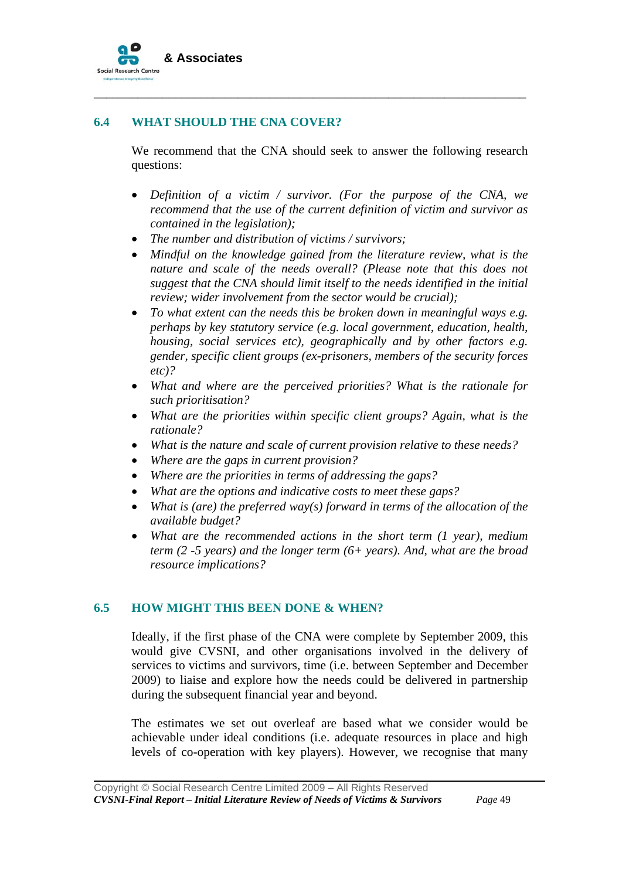

#### **6.4 WHAT SHOULD THE CNA COVER?**

We recommend that the CNA should seek to answer the following research questions:

\_\_\_\_\_\_\_\_\_\_\_\_\_\_\_\_\_\_\_\_\_\_\_\_\_\_\_\_\_\_\_\_\_\_\_\_\_\_\_\_\_\_\_\_\_\_\_\_\_\_\_\_\_\_\_\_\_\_\_\_\_\_\_\_\_\_\_\_\_

- *Definition of a victim / survivor. (For the purpose of the CNA, we recommend that the use of the current definition of victim and survivor as contained in the legislation);*
- *The number and distribution of victims / survivors;*
- *Mindful on the knowledge gained from the literature review, what is the nature and scale of the needs overall? (Please note that this does not suggest that the CNA should limit itself to the needs identified in the initial review; wider involvement from the sector would be crucial);*
- *To what extent can the needs this be broken down in meaningful ways e.g. perhaps by key statutory service (e.g. local government, education, health, housing, social services etc), geographically and by other factors e.g. gender, specific client groups (ex-prisoners, members of the security forces etc)?*
- *What and where are the perceived priorities? What is the rationale for such prioritisation?*
- *What are the priorities within specific client groups? Again, what is the rationale?*
- *What is the nature and scale of current provision relative to these needs?*
- *Where are the gaps in current provision?*
- *Where are the priorities in terms of addressing the gaps?*
- *What are the options and indicative costs to meet these gaps?*
- *What is (are) the preferred way(s) forward in terms of the allocation of the available budget?*
- *What are the recommended actions in the short term (1 year), medium term (2 -5 years) and the longer term (6+ years). And, what are the broad resource implications?*

#### **6.5 HOW MIGHT THIS BEEN DONE & WHEN?**

Ideally, if the first phase of the CNA were complete by September 2009, this would give CVSNI, and other organisations involved in the delivery of services to victims and survivors, time (i.e. between September and December 2009) to liaise and explore how the needs could be delivered in partnership during the subsequent financial year and beyond.

The estimates we set out overleaf are based what we consider would be achievable under ideal conditions (i.e. adequate resources in place and high levels of co-operation with key players). However, we recognise that many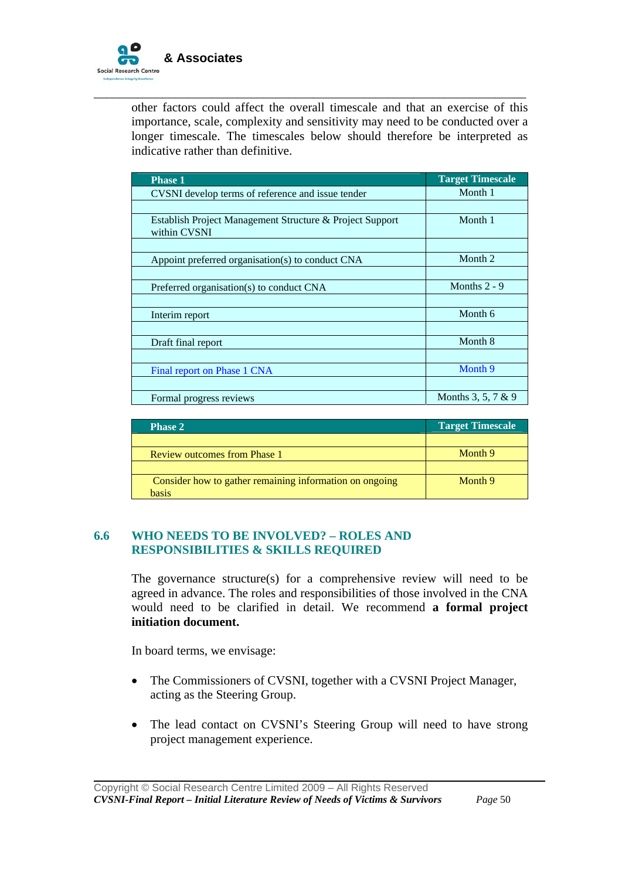

other factors could affect the overall timescale and that an exercise of this importance, scale, complexity and sensitivity may need to be conducted over a longer timescale. The timescales below should therefore be interpreted as indicative rather than definitive.

\_\_\_\_\_\_\_\_\_\_\_\_\_\_\_\_\_\_\_\_\_\_\_\_\_\_\_\_\_\_\_\_\_\_\_\_\_\_\_\_\_\_\_\_\_\_\_\_\_\_\_\_\_\_\_\_\_\_\_\_\_\_\_\_\_\_\_\_\_

| <b>Phase 1</b>                                                           | <b>Target Timescale</b> |
|--------------------------------------------------------------------------|-------------------------|
| CVSNI develop terms of reference and issue tender                        | Month 1                 |
|                                                                          |                         |
| Establish Project Management Structure & Project Support<br>within CVSNI | Month 1                 |
|                                                                          |                         |
| Appoint preferred organisation(s) to conduct CNA                         | Month 2                 |
|                                                                          |                         |
| Preferred organisation(s) to conduct CNA                                 | Months $2 - 9$          |
|                                                                          |                         |
| Interim report                                                           | Month 6                 |
|                                                                          |                         |
| Draft final report                                                       | Month 8                 |
|                                                                          |                         |
| Final report on Phase 1 CNA                                              | Month 9                 |
|                                                                          |                         |
| Formal progress reviews                                                  | Months 3, 5, 7 & 9      |

| <b>Phase 2</b>                                          | <b>Target Timescale</b> |
|---------------------------------------------------------|-------------------------|
|                                                         |                         |
| <b>Review outcomes from Phase 1</b>                     | Month 9                 |
|                                                         |                         |
| Consider how to gather remaining information on ongoing | Month 9                 |
| hasis                                                   |                         |

#### **6.6 WHO NEEDS TO BE INVOLVED? – ROLES AND RESPONSIBILITIES & SKILLS REQUIRED**

The governance structure(s) for a comprehensive review will need to be agreed in advance. The roles and responsibilities of those involved in the CNA would need to be clarified in detail. We recommend **a formal project initiation document.** 

In board terms, we envisage:

- The Commissioners of CVSNI, together with a CVSNI Project Manager, acting as the Steering Group.
- The lead contact on CVSNI's Steering Group will need to have strong project management experience.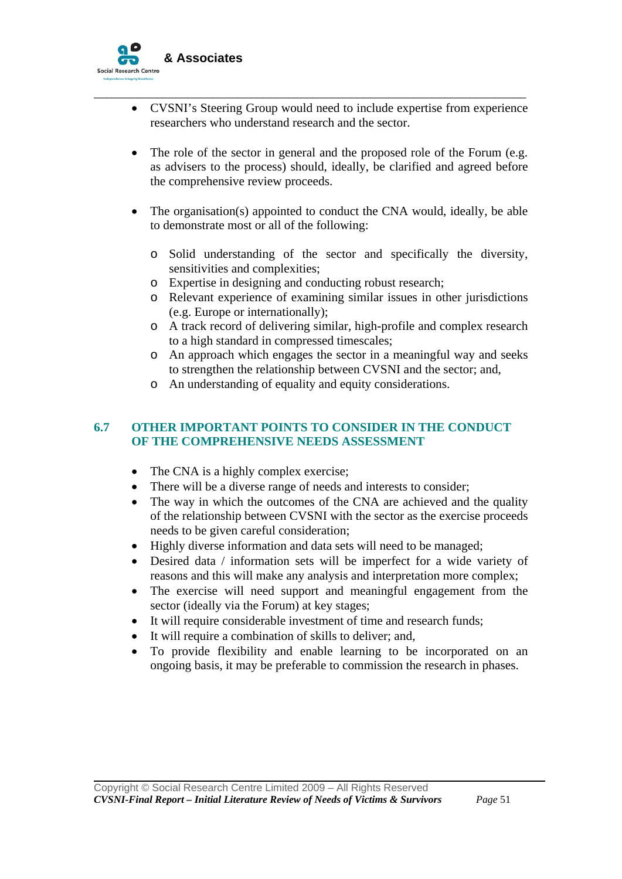

• CVSNI's Steering Group would need to include expertise from experience researchers who understand research and the sector.

\_\_\_\_\_\_\_\_\_\_\_\_\_\_\_\_\_\_\_\_\_\_\_\_\_\_\_\_\_\_\_\_\_\_\_\_\_\_\_\_\_\_\_\_\_\_\_\_\_\_\_\_\_\_\_\_\_\_\_\_\_\_\_\_\_\_\_\_\_

- The role of the sector in general and the proposed role of the Forum (e.g. as advisers to the process) should, ideally, be clarified and agreed before the comprehensive review proceeds.
- The organisation(s) appointed to conduct the CNA would, ideally, be able to demonstrate most or all of the following:
	- o Solid understanding of the sector and specifically the diversity, sensitivities and complexities;
	- o Expertise in designing and conducting robust research;
	- o Relevant experience of examining similar issues in other jurisdictions (e.g. Europe or internationally);
	- o A track record of delivering similar, high-profile and complex research to a high standard in compressed timescales;
	- o An approach which engages the sector in a meaningful way and seeks to strengthen the relationship between CVSNI and the sector; and,
	- o An understanding of equality and equity considerations.

#### **6.7 OTHER IMPORTANT POINTS TO CONSIDER IN THE CONDUCT OF THE COMPREHENSIVE NEEDS ASSESSMENT**

- The CNA is a highly complex exercise;
- There will be a diverse range of needs and interests to consider;
- The way in which the outcomes of the CNA are achieved and the quality of the relationship between CVSNI with the sector as the exercise proceeds needs to be given careful consideration;
- Highly diverse information and data sets will need to be managed;
- Desired data / information sets will be imperfect for a wide variety of reasons and this will make any analysis and interpretation more complex;
- The exercise will need support and meaningful engagement from the sector (ideally via the Forum) at key stages;
- It will require considerable investment of time and research funds;
- It will require a combination of skills to deliver; and,
- To provide flexibility and enable learning to be incorporated on an ongoing basis, it may be preferable to commission the research in phases.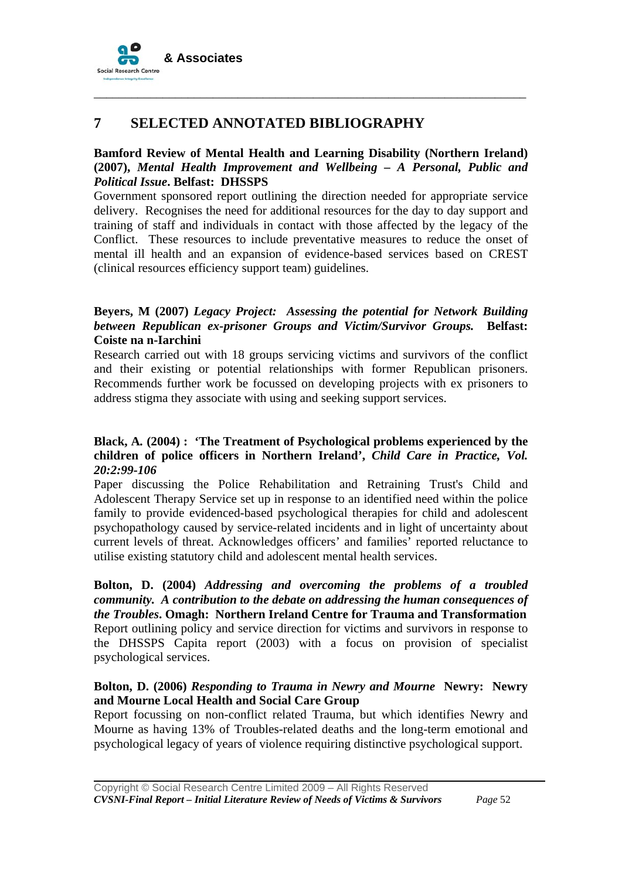

# **7 SELECTED ANNOTATED BIBLIOGRAPHY**

#### **Bamford Review of Mental Health and Learning Disability (Northern Ireland) (2007),** *Mental Health Improvement and Wellbeing – A Personal, Public and Political Issue***. Belfast: DHSSPS**

\_\_\_\_\_\_\_\_\_\_\_\_\_\_\_\_\_\_\_\_\_\_\_\_\_\_\_\_\_\_\_\_\_\_\_\_\_\_\_\_\_\_\_\_\_\_\_\_\_\_\_\_\_\_\_\_\_\_\_\_\_\_\_\_\_\_\_\_\_

Government sponsored report outlining the direction needed for appropriate service delivery. Recognises the need for additional resources for the day to day support and training of staff and individuals in contact with those affected by the legacy of the Conflict. These resources to include preventative measures to reduce the onset of mental ill health and an expansion of evidence-based services based on CREST (clinical resources efficiency support team) guidelines.

#### **Beyers, M (2007)** *Legacy Project: Assessing the potential for Network Building between Republican ex-prisoner Groups and Victim/Survivor Groups.* **Belfast: Coiste na n-Iarchini**

Research carried out with 18 groups servicing victims and survivors of the conflict and their existing or potential relationships with former Republican prisoners. Recommends further work be focussed on developing projects with ex prisoners to address stigma they associate with using and seeking support services.

#### **Black, A***.* **(2004) : 'The Treatment of Psychological problems experienced by the children of police officers in Northern Ireland',** *Child Care in Practice, Vol. 20:2:99-106*

Paper discussing the Police Rehabilitation and Retraining Trust's Child and Adolescent Therapy Service set up in response to an identified need within the police family to provide evidenced-based psychological therapies for child and adolescent psychopathology caused by service-related incidents and in light of uncertainty about current levels of threat. Acknowledges officers' and families' reported reluctance to utilise existing statutory child and adolescent mental health services.

**Bolton, D. (2004)** *Addressing and overcoming the problems of a troubled community. A contribution to the debate on addressing the human consequences of the Troubles***. Omagh: Northern Ireland Centre for Trauma and Transformation**  Report outlining policy and service direction for victims and survivors in response to the DHSSPS Capita report (2003) with a focus on provision of specialist psychological services.

#### **Bolton, D. (2006)** *Responding to Trauma in Newry and Mourne* **Newry: Newry and Mourne Local Health and Social Care Group**

Report focussing on non-conflict related Trauma, but which identifies Newry and Mourne as having 13% of Troubles-related deaths and the long-term emotional and psychological legacy of years of violence requiring distinctive psychological support.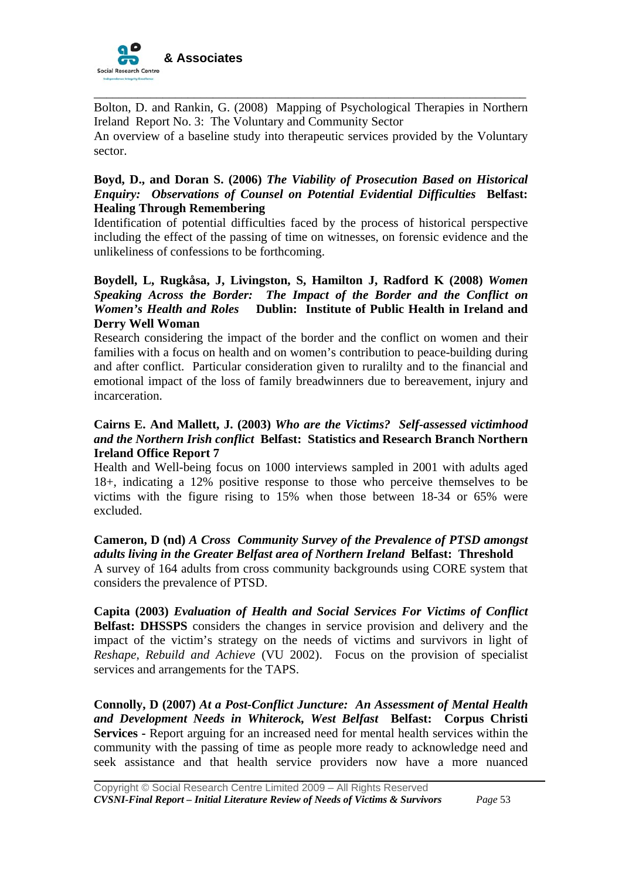

Bolton, D. and Rankin, G. (2008) Mapping of Psychological Therapies in Northern Ireland Report No. 3: The Voluntary and Community Sector

\_\_\_\_\_\_\_\_\_\_\_\_\_\_\_\_\_\_\_\_\_\_\_\_\_\_\_\_\_\_\_\_\_\_\_\_\_\_\_\_\_\_\_\_\_\_\_\_\_\_\_\_\_\_\_\_\_\_\_\_\_\_\_\_\_\_\_\_\_

An overview of a baseline study into therapeutic services provided by the Voluntary sector.

#### **Boyd, D., and Doran S. (2006)** *The Viability of Prosecution Based on Historical Enquiry: Observations of Counsel on Potential Evidential Difficulties* **Belfast: Healing Through Remembering**

Identification of potential difficulties faced by the process of historical perspective including the effect of the passing of time on witnesses, on forensic evidence and the unlikeliness of confessions to be forthcoming.

#### **Boydell, L, Rugkåsa, J, Livingston, S, Hamilton J, Radford K (2008)** *Women Speaking Across the Border: The Impact of the Border and the Conflict on Women's Health and Roles* **Dublin: Institute of Public Health in Ireland and Derry Well Woman**

Research considering the impact of the border and the conflict on women and their families with a focus on health and on women's contribution to peace-building during and after conflict. Particular consideration given to ruralilty and to the financial and emotional impact of the loss of family breadwinners due to bereavement, injury and incarceration.

#### **Cairns E. And Mallett, J. (2003)** *Who are the Victims? Self-assessed victimhood and the Northern Irish conflict* **Belfast: Statistics and Research Branch Northern Ireland Office Report 7**

Health and Well-being focus on 1000 interviews sampled in 2001 with adults aged 18+, indicating a 12% positive response to those who perceive themselves to be victims with the figure rising to 15% when those between 18-34 or 65% were excluded.

# **Cameron, D (nd)** *A Cross Community Survey of the Prevalence of PTSD amongst adults living in the Greater Belfast area of Northern Ireland* **Belfast: Threshold**

A survey of 164 adults from cross community backgrounds using CORE system that considers the prevalence of PTSD.

**Capita (2003)** *Evaluation of Health and Social Services For Victims of Conflict*  **Belfast: DHSSPS** considers the changes in service provision and delivery and the impact of the victim's strategy on the needs of victims and survivors in light of *Reshape, Rebuild and Achieve* (VU 2002). Focus on the provision of specialist services and arrangements for the TAPS.

**Connolly, D (2007)** *At a Post-Conflict Juncture: An Assessment of Mental Health and Development Needs in Whiterock, West Belfast* **Belfast: Corpus Christi Services -** Report arguing for an increased need for mental health services within the community with the passing of time as people more ready to acknowledge need and seek assistance and that health service providers now have a more nuanced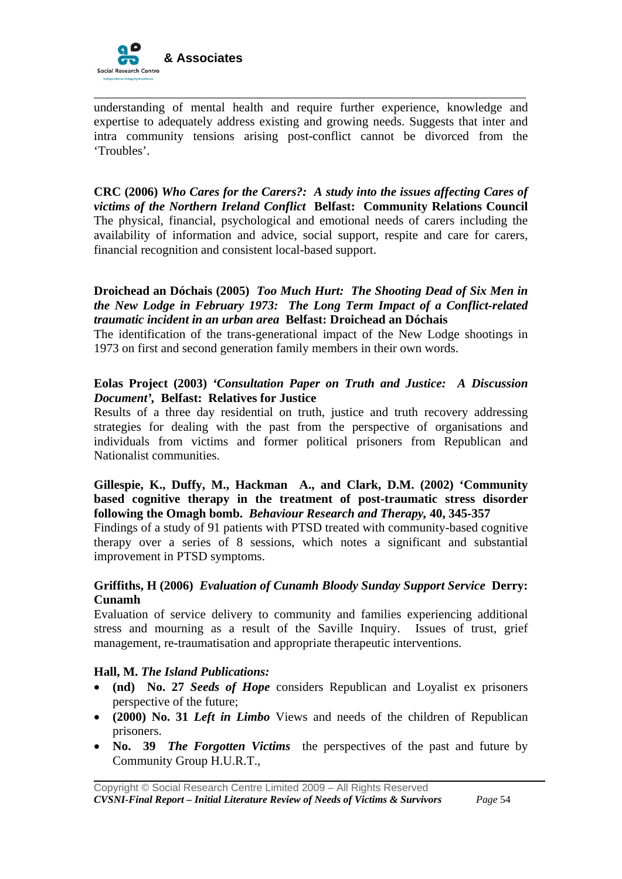

understanding of mental health and require further experience, knowledge and expertise to adequately address existing and growing needs. Suggests that inter and intra community tensions arising post-conflict cannot be divorced from the 'Troubles'.

\_\_\_\_\_\_\_\_\_\_\_\_\_\_\_\_\_\_\_\_\_\_\_\_\_\_\_\_\_\_\_\_\_\_\_\_\_\_\_\_\_\_\_\_\_\_\_\_\_\_\_\_\_\_\_\_\_\_\_\_\_\_\_\_\_\_\_\_\_

**CRC (2006)** *Who Cares for the Carers?: A study into the issues affecting Cares of victims of the Northern Ireland Conflict* **Belfast: Community Relations Council**  The physical, financial, psychological and emotional needs of carers including the availability of information and advice, social support, respite and care for carers, financial recognition and consistent local-based support.

#### **Droichead an Dóchais (2005)** *Too Much Hurt: The Shooting Dead of Six Men in the New Lodge in February 1973: The Long Term Impact of a Conflict-related traumatic incident in an urban area* **Belfast: Droichead an Dóchais**

The identification of the trans-generational impact of the New Lodge shootings in 1973 on first and second generation family members in their own words.

#### **Eolas Project (2003)** *'Consultation Paper on Truth and Justice: A Discussion Document',* **Belfast: Relatives for Justice**

Results of a three day residential on truth, justice and truth recovery addressing strategies for dealing with the past from the perspective of organisations and individuals from victims and former political prisoners from Republican and Nationalist communities.

#### **Gillespie, K., Duffy, M., Hackman A., and Clark, D.M. (2002) 'Community based cognitive therapy in the treatment of post-traumatic stress disorder following the Omagh bomb.** *Behaviour Research and Therapy,* **40, 345-357**

Findings of a study of 91 patients with PTSD treated with community-based cognitive therapy over a series of 8 sessions, which notes a significant and substantial improvement in PTSD symptoms.

#### **Griffiths, H (2006)** *Evaluation of Cunamh Bloody Sunday Support Service* **Derry: Cunamh**

Evaluation of service delivery to community and families experiencing additional stress and mourning as a result of the Saville Inquiry. Issues of trust, grief management, re-traumatisation and appropriate therapeutic interventions.

#### **Hall, M.** *The Island Publications:*

- **(nd) No. 27** *Seeds of Hope* considers Republican and Loyalist ex prisoners perspective of the future;
- **(2000) No. 31** *Left in Limbo* Views and needs of the children of Republican prisoners.
- **No. 39** *The Forgotten Victims* the perspectives of the past and future by Community Group H.U.R.T.,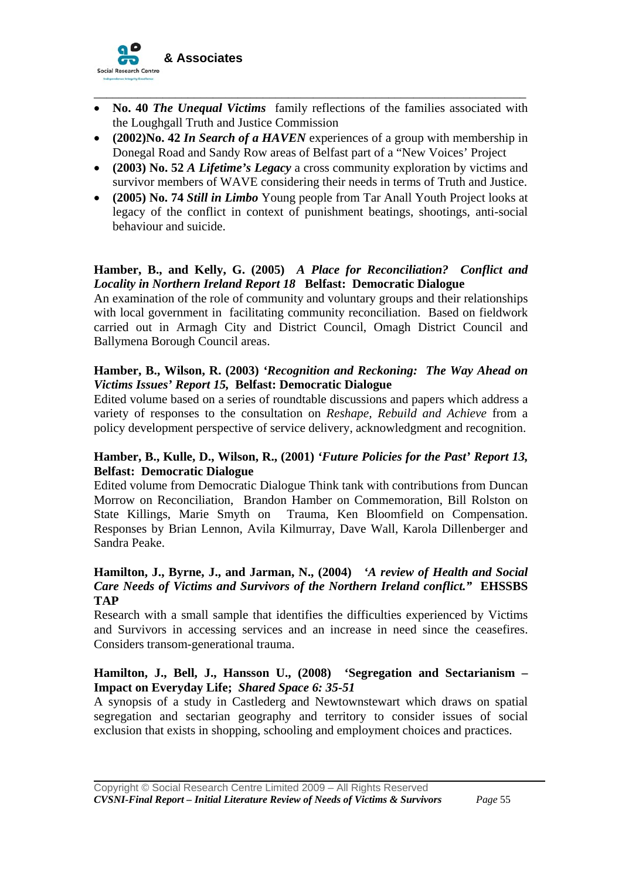

• **No. 40** *The Unequal Victims* family reflections of the families associated with the Loughgall Truth and Justice Commission

\_\_\_\_\_\_\_\_\_\_\_\_\_\_\_\_\_\_\_\_\_\_\_\_\_\_\_\_\_\_\_\_\_\_\_\_\_\_\_\_\_\_\_\_\_\_\_\_\_\_\_\_\_\_\_\_\_\_\_\_\_\_\_\_\_\_\_\_\_

- **(2002)No. 42** *In Search of a HAVEN* experiences of a group with membership in Donegal Road and Sandy Row areas of Belfast part of a "New Voices' Project
- **(2003) No. 52** *A Lifetime's Legacy* a cross community exploration by victims and survivor members of WAVE considering their needs in terms of Truth and Justice.
- **(2005) No. 74** *Still in Limbo* Young people from Tar Anall Youth Project looks at legacy of the conflict in context of punishment beatings, shootings, anti-social behaviour and suicide.

#### **Hamber, B., and Kelly, G. (2005)** *A Place for Reconciliation? Conflict and Locality in Northern Ireland Report 18* **Belfast: Democratic Dialogue**

An examination of the role of community and voluntary groups and their relationships with local government in facilitating community reconciliation. Based on fieldwork carried out in Armagh City and District Council, Omagh District Council and Ballymena Borough Council areas.

#### **Hamber, B., Wilson, R. (2003)** *'Recognition and Reckoning: The Way Ahead on Victims Issues' Report 15,* **Belfast: Democratic Dialogue**

Edited volume based on a series of roundtable discussions and papers which address a variety of responses to the consultation on *Reshape, Rebuild and Achieve* from a policy development perspective of service delivery, acknowledgment and recognition.

#### **Hamber, B., Kulle, D., Wilson, R., (2001)** *'Future Policies for the Past' Report 13,*  **Belfast: Democratic Dialogue**

Edited volume from Democratic Dialogue Think tank with contributions from Duncan Morrow on Reconciliation, Brandon Hamber on Commemoration, Bill Rolston on State Killings, Marie Smyth on Trauma, Ken Bloomfield on Compensation. Responses by Brian Lennon, Avila Kilmurray, Dave Wall, Karola Dillenberger and Sandra Peake.

#### **Hamilton, J., Byrne, J., and Jarman, N., (2004)** *'A review of Health and Social Care Needs of Victims and Survivors of the Northern Ireland conflict."* **EHSSBS TAP**

Research with a small sample that identifies the difficulties experienced by Victims and Survivors in accessing services and an increase in need since the ceasefires. Considers transom-generational trauma.

#### **Hamilton, J., Bell, J., Hansson U., (2008) 'Segregation and Sectarianism – Impact on Everyday Life;** *Shared Space 6: 35-51*

A synopsis of a study in Castlederg and Newtownstewart which draws on spatial segregation and sectarian geography and territory to consider issues of social exclusion that exists in shopping, schooling and employment choices and practices.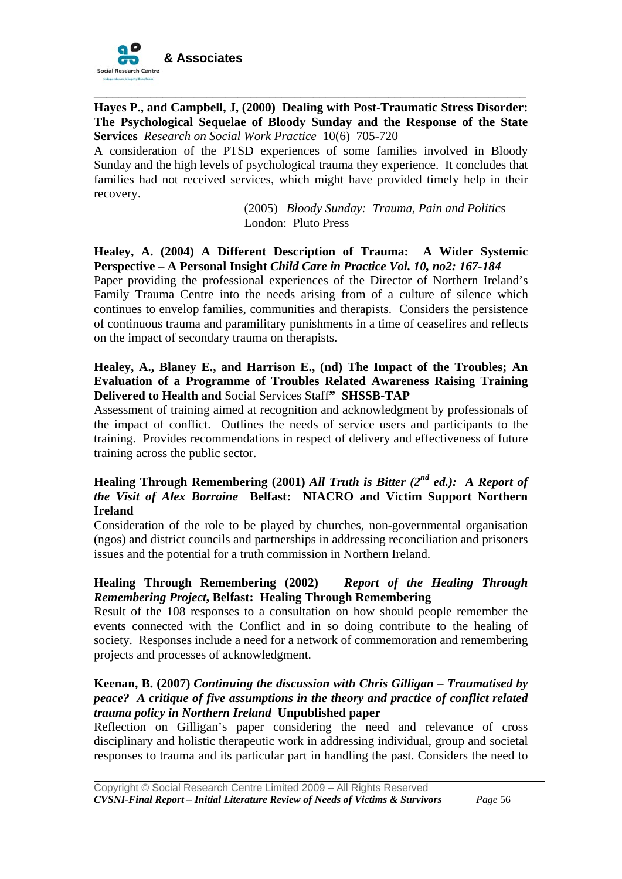

**Hayes P., and Campbell, J, (2000) Dealing with Post-Traumatic Stress Disorder: The Psychological Sequelae of Bloody Sunday and the Response of the State Services** *Research on Social Work Practice* 10(6) 705-720

\_\_\_\_\_\_\_\_\_\_\_\_\_\_\_\_\_\_\_\_\_\_\_\_\_\_\_\_\_\_\_\_\_\_\_\_\_\_\_\_\_\_\_\_\_\_\_\_\_\_\_\_\_\_\_\_\_\_\_\_\_\_\_\_\_\_\_\_\_

A consideration of the PTSD experiences of some families involved in Bloody Sunday and the high levels of psychological trauma they experience. It concludes that families had not received services, which might have provided timely help in their recovery.

> (2005) *Bloody Sunday: Trauma, Pain and Politics*  London: Pluto Press

#### **Healey, A. (2004) A Different Description of Trauma: A Wider Systemic Perspective – A Personal Insight** *Child Care in Practice Vol. 10, no2: 167-184*

Paper providing the professional experiences of the Director of Northern Ireland's Family Trauma Centre into the needs arising from of a culture of silence which continues to envelop families, communities and therapists. Considers the persistence of continuous trauma and paramilitary punishments in a time of ceasefires and reflects on the impact of secondary trauma on therapists.

#### **Healey, A., Blaney E., and Harrison E., (nd) The Impact of the Troubles; An Evaluation of a Programme of Troubles Related Awareness Raising Training Delivered to Health and** Social Services Staff**" SHSSB-TAP**

Assessment of training aimed at recognition and acknowledgment by professionals of the impact of conflict. Outlines the needs of service users and participants to the training. Provides recommendations in respect of delivery and effectiveness of future training across the public sector.

#### **Healing Through Remembering (2001)** *All Truth is Bitter (2nd ed.): A Report of the Visit of Alex Borraine* **Belfast: NIACRO and Victim Support Northern Ireland**

Consideration of the role to be played by churches, non-governmental organisation (ngos) and district councils and partnerships in addressing reconciliation and prisoners issues and the potential for a truth commission in Northern Ireland.

#### **Healing Through Remembering (2002)** *Report of the Healing Through Remembering Project***, Belfast: Healing Through Remembering**

Result of the 108 responses to a consultation on how should people remember the events connected with the Conflict and in so doing contribute to the healing of society. Responses include a need for a network of commemoration and remembering projects and processes of acknowledgment.

## **Keenan, B. (2007)** *Continuing the discussion with Chris Gilligan – Traumatised by peace? A critique of five assumptions in the theory and practice of conflict related trauma policy in Northern Ireland* **Unpublished paper**

Reflection on Gilligan's paper considering the need and relevance of cross disciplinary and holistic therapeutic work in addressing individual, group and societal responses to trauma and its particular part in handling the past. Considers the need to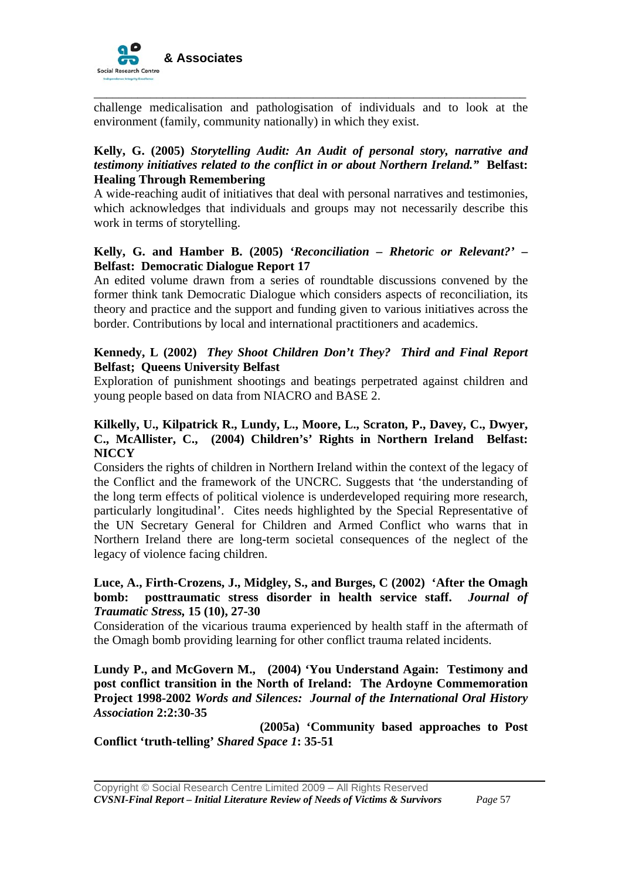

challenge medicalisation and pathologisation of individuals and to look at the environment (family, community nationally) in which they exist.

\_\_\_\_\_\_\_\_\_\_\_\_\_\_\_\_\_\_\_\_\_\_\_\_\_\_\_\_\_\_\_\_\_\_\_\_\_\_\_\_\_\_\_\_\_\_\_\_\_\_\_\_\_\_\_\_\_\_\_\_\_\_\_\_\_\_\_\_\_

#### **Kelly, G. (2005)** *Storytelling Audit: An Audit of personal story, narrative and testimony initiatives related to the conflict in or about Northern Ireland."* **Belfast: Healing Through Remembering**

A wide-reaching audit of initiatives that deal with personal narratives and testimonies, which acknowledges that individuals and groups may not necessarily describe this work in terms of storytelling.

#### **Kelly, G. and Hamber B. (2005)** *'Reconciliation – Rhetoric or Relevant?' –*  **Belfast: Democratic Dialogue Report 17**

An edited volume drawn from a series of roundtable discussions convened by the former think tank Democratic Dialogue which considers aspects of reconciliation, its theory and practice and the support and funding given to various initiatives across the border. Contributions by local and international practitioners and academics.

#### **Kennedy, L (2002)** *They Shoot Children Don't They? Third and Final Report* **Belfast; Queens University Belfast**

Exploration of punishment shootings and beatings perpetrated against children and young people based on data from NIACRO and BASE 2.

#### **Kilkelly, U., Kilpatrick R., Lundy, L., Moore, L., Scraton, P., Davey, C., Dwyer, C., McAllister, C., (2004) Children's' Rights in Northern Ireland Belfast: NICCY**

Considers the rights of children in Northern Ireland within the context of the legacy of the Conflict and the framework of the UNCRC. Suggests that 'the understanding of the long term effects of political violence is underdeveloped requiring more research, particularly longitudinal'. Cites needs highlighted by the Special Representative of the UN Secretary General for Children and Armed Conflict who warns that in Northern Ireland there are long-term societal consequences of the neglect of the legacy of violence facing children.

#### **Luce, A., Firth-Crozens, J., Midgley, S., and Burges, C (2002) 'After the Omagh bomb: posttraumatic stress disorder in health service staff.** *Journal of Traumatic Stress,* **15 (10), 27-30**

Consideration of the vicarious trauma experienced by health staff in the aftermath of the Omagh bomb providing learning for other conflict trauma related incidents.

**Lundy P., and McGovern M., (2004) 'You Understand Again: Testimony and post conflict transition in the North of Ireland: The Ardoyne Commemoration Project 1998-2002** *Words and Silences: Journal of the International Oral History Association* **2:2:30-35**

 **(2005a) 'Community based approaches to Post Conflict 'truth-telling'** *Shared Space 1***: 35-51**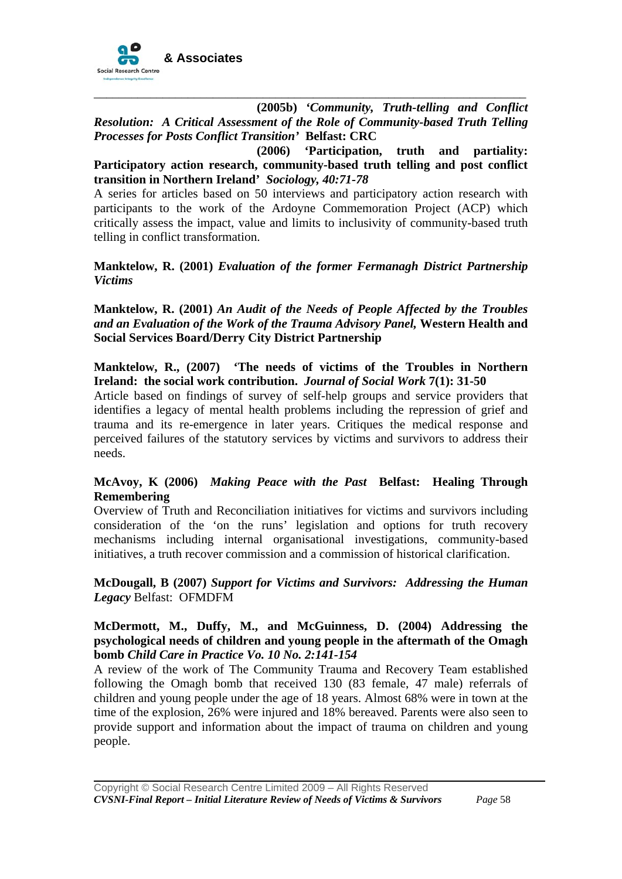

 **(2005b)** *'Community, Truth-telling and Conflict Resolution: A Critical Assessment of the Role of Community-based Truth Telling Processes for Posts Conflict Transition'* **Belfast: CRC** 

\_\_\_\_\_\_\_\_\_\_\_\_\_\_\_\_\_\_\_\_\_\_\_\_\_\_\_\_\_\_\_\_\_\_\_\_\_\_\_\_\_\_\_\_\_\_\_\_\_\_\_\_\_\_\_\_\_\_\_\_\_\_\_\_\_\_\_\_\_

 **(2006) 'Participation, truth and partiality: Participatory action research, community-based truth telling and post conflict transition in Northern Ireland'** *Sociology, 40:71-78* 

A series for articles based on 50 interviews and participatory action research with participants to the work of the Ardoyne Commemoration Project (ACP) which critically assess the impact, value and limits to inclusivity of community-based truth telling in conflict transformation.

#### **Manktelow, R. (2001)** *Evaluation of the former Fermanagh District Partnership Victims*

**Manktelow, R. (2001)** *An Audit of the Needs of People Affected by the Troubles and an Evaluation of the Work of the Trauma Advisory Panel,* **Western Health and Social Services Board/Derry City District Partnership**

#### **Manktelow, R., (2007) 'The needs of victims of the Troubles in Northern Ireland: the social work contribution.** *Journal of Social Work* **7(1): 31-50**

Article based on findings of survey of self-help groups and service providers that identifies a legacy of mental health problems including the repression of grief and trauma and its re-emergence in later years. Critiques the medical response and perceived failures of the statutory services by victims and survivors to address their needs.

#### **McAvoy, K (2006)** *Making Peace with the Past* **Belfast: Healing Through Remembering**

Overview of Truth and Reconciliation initiatives for victims and survivors including consideration of the 'on the runs' legislation and options for truth recovery mechanisms including internal organisational investigations, community-based initiatives, a truth recover commission and a commission of historical clarification.

#### **McDougall, B (2007)** *Support for Victims and Survivors: Addressing the Human Legacy* Belfast: OFMDFM

#### **McDermott, M., Duffy, M., and McGuinness, D. (2004) Addressing the psychological needs of children and young people in the aftermath of the Omagh bomb** *Child Care in Practice Vo. 10 No. 2:141-154*

A review of the work of The Community Trauma and Recovery Team established following the Omagh bomb that received 130 (83 female, 47 male) referrals of children and young people under the age of 18 years. Almost 68% were in town at the time of the explosion, 26% were injured and 18% bereaved. Parents were also seen to provide support and information about the impact of trauma on children and young people.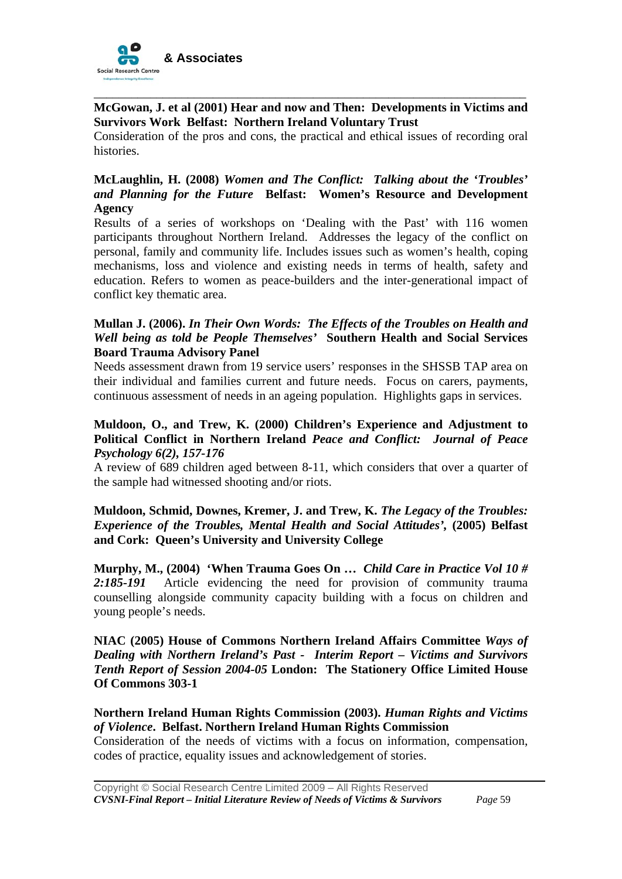

#### **McGowan, J. et al (2001) Hear and now and Then: Developments in Victims and Survivors Work Belfast: Northern Ireland Voluntary Trust**

\_\_\_\_\_\_\_\_\_\_\_\_\_\_\_\_\_\_\_\_\_\_\_\_\_\_\_\_\_\_\_\_\_\_\_\_\_\_\_\_\_\_\_\_\_\_\_\_\_\_\_\_\_\_\_\_\_\_\_\_\_\_\_\_\_\_\_\_\_

Consideration of the pros and cons, the practical and ethical issues of recording oral histories.

#### **McLaughlin, H. (2008)** *Women and The Conflict: Talking about the 'Troubles' and Planning for the Future* **Belfast: Women's Resource and Development Agency**

Results of a series of workshops on 'Dealing with the Past' with 116 women participants throughout Northern Ireland. Addresses the legacy of the conflict on personal, family and community life. Includes issues such as women's health, coping mechanisms, loss and violence and existing needs in terms of health, safety and education. Refers to women as peace-builders and the inter-generational impact of conflict key thematic area.

#### **Mullan J. (2006).** *In Their Own Words: The Effects of the Troubles on Health and Well being as told be People Themselves'* **Southern Health and Social Services Board Trauma Advisory Panel**

Needs assessment drawn from 19 service users' responses in the SHSSB TAP area on their individual and families current and future needs. Focus on carers, payments, continuous assessment of needs in an ageing population. Highlights gaps in services.

#### **Muldoon, O., and Trew, K. (2000) Children's Experience and Adjustment to Political Conflict in Northern Ireland** *Peace and Conflict: Journal of Peace Psychology 6(2), 157-176*

A review of 689 children aged between 8-11, which considers that over a quarter of the sample had witnessed shooting and/or riots.

#### **Muldoon, Schmid, Downes, Kremer, J. and Trew, K.** *The Legacy of the Troubles: Experience of the Troubles, Mental Health and Social Attitudes',* **(2005) Belfast and Cork: Queen's University and University College**

**Murphy, M., (2004) 'When Trauma Goes On …** *Child Care in Practice Vol 10 # 2:185-191*Article evidencing the need for provision of community trauma counselling alongside community capacity building with a focus on children and young people's needs.

**NIAC (2005) House of Commons Northern Ireland Affairs Committee** *Ways of Dealing with Northern Ireland's Past - Interim Report – Victims and Survivors Tenth Report of Session 2004-05* **London: The Stationery Office Limited House Of Commons 303-1** 

#### **Northern Ireland Human Rights Commission (2003).** *Human Rights and Victims of Violence***. Belfast. Northern Ireland Human Rights Commission**

Consideration of the needs of victims with a focus on information, compensation, codes of practice, equality issues and acknowledgement of stories.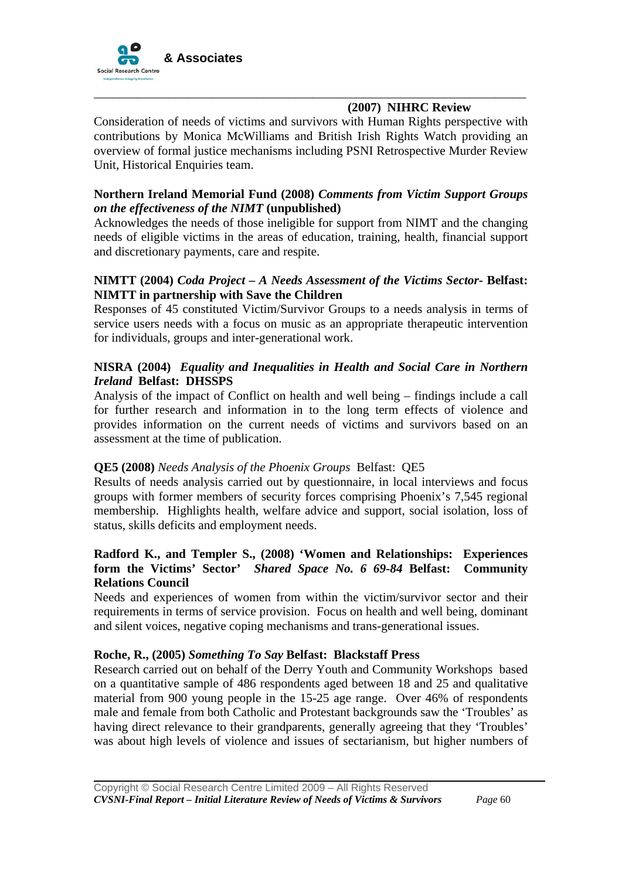

## **(2007) NIHRC Review**

Consideration of needs of victims and survivors with Human Rights perspective with contributions by Monica McWilliams and British Irish Rights Watch providing an overview of formal justice mechanisms including PSNI Retrospective Murder Review Unit, Historical Enquiries team.

\_\_\_\_\_\_\_\_\_\_\_\_\_\_\_\_\_\_\_\_\_\_\_\_\_\_\_\_\_\_\_\_\_\_\_\_\_\_\_\_\_\_\_\_\_\_\_\_\_\_\_\_\_\_\_\_\_\_\_\_\_\_\_\_\_\_\_\_\_

#### **Northern Ireland Memorial Fund (2008)** *Comments from Victim Support Groups on the effectiveness of the NIMT* **(unpublished)**

Acknowledges the needs of those ineligible for support from NIMT and the changing needs of eligible victims in the areas of education, training, health, financial support and discretionary payments, care and respite.

#### **NIMTT (2004)** *Coda Project – A Needs Assessment of the Victims Sector-* **Belfast: NIMTT in partnership with Save the Children**

Responses of 45 constituted Victim/Survivor Groups to a needs analysis in terms of service users needs with a focus on music as an appropriate therapeutic intervention for individuals, groups and inter-generational work.

#### **NISRA (2004)** *Equality and Inequalities in Health and Social Care in Northern Ireland* **Belfast: DHSSPS**

Analysis of the impact of Conflict on health and well being – findings include a call for further research and information in to the long term effects of violence and provides information on the current needs of victims and survivors based on an assessment at the time of publication.

#### **QE5 (2008)** *Needs Analysis of the Phoenix Groups* Belfast: QE5

Results of needs analysis carried out by questionnaire, in local interviews and focus groups with former members of security forces comprising Phoenix's 7,545 regional membership. Highlights health, welfare advice and support, social isolation, loss of status, skills deficits and employment needs.

#### **Radford K., and Templer S., (2008) 'Women and Relationships: Experiences form the Victims' Sector'** *Shared Space No. 6 69-84* **Belfast: Community Relations Council**

Needs and experiences of women from within the victim/survivor sector and their requirements in terms of service provision. Focus on health and well being, dominant and silent voices, negative coping mechanisms and trans-generational issues.

#### **Roche, R., (2005)** *Something To Say* **Belfast: Blackstaff Press**

Research carried out on behalf of the Derry Youth and Community Workshops based on a quantitative sample of 486 respondents aged between 18 and 25 and qualitative material from 900 young people in the 15-25 age range. Over 46% of respondents male and female from both Catholic and Protestant backgrounds saw the 'Troubles' as having direct relevance to their grandparents, generally agreeing that they 'Troubles' was about high levels of violence and issues of sectarianism, but higher numbers of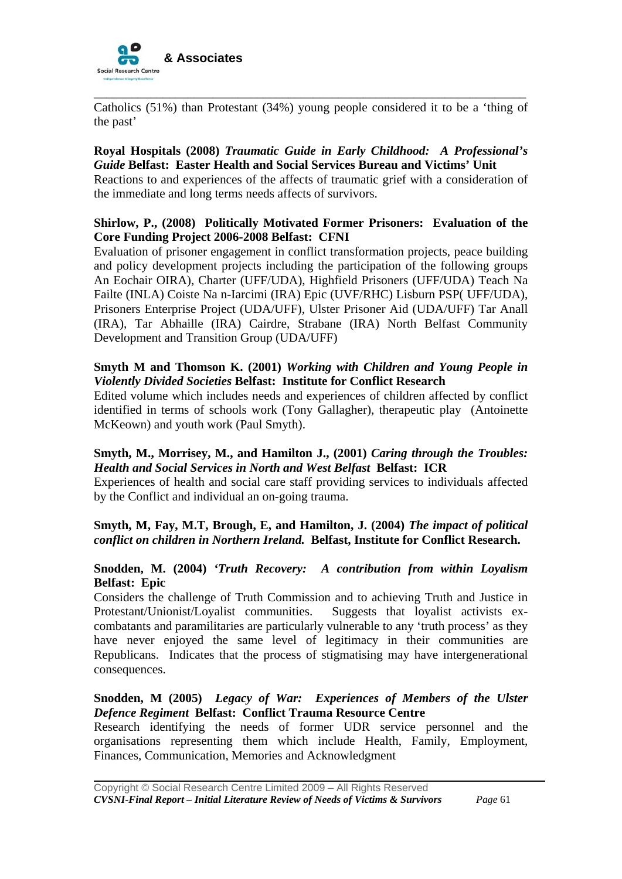

Catholics (51%) than Protestant (34%) young people considered it to be a 'thing of the past'

\_\_\_\_\_\_\_\_\_\_\_\_\_\_\_\_\_\_\_\_\_\_\_\_\_\_\_\_\_\_\_\_\_\_\_\_\_\_\_\_\_\_\_\_\_\_\_\_\_\_\_\_\_\_\_\_\_\_\_\_\_\_\_\_\_\_\_\_\_

#### **Royal Hospitals (2008)** *Traumatic Guide in Early Childhood: A Professional's Guide* **Belfast: Easter Health and Social Services Bureau and Victims' Unit**

Reactions to and experiences of the affects of traumatic grief with a consideration of the immediate and long terms needs affects of survivors.

#### **Shirlow, P., (2008) Politically Motivated Former Prisoners: Evaluation of the Core Funding Project 2006-2008 Belfast: CFNI**

Evaluation of prisoner engagement in conflict transformation projects, peace building and policy development projects including the participation of the following groups An Eochair OIRA), Charter (UFF/UDA), Highfield Prisoners (UFF/UDA) Teach Na Failte (INLA) Coiste Na n-Iarcimi (IRA) Epic (UVF/RHC) Lisburn PSP( UFF/UDA), Prisoners Enterprise Project (UDA/UFF), Ulster Prisoner Aid (UDA/UFF) Tar Anall (IRA), Tar Abhaille (IRA) Cairdre, Strabane (IRA) North Belfast Community Development and Transition Group (UDA/UFF)

#### **Smyth M and Thomson K. (2001)** *Working with Children and Young People in Violently Divided Societies* **Belfast: Institute for Conflict Research**

Edited volume which includes needs and experiences of children affected by conflict identified in terms of schools work (Tony Gallagher), therapeutic play (Antoinette McKeown) and youth work (Paul Smyth).

#### **Smyth, M., Morrisey, M., and Hamilton J., (2001)** *Caring through the Troubles: Health and Social Services in North and West Belfast* **Belfast: ICR**

Experiences of health and social care staff providing services to individuals affected by the Conflict and individual an on-going trauma.

#### **Smyth, M, Fay, M.T, Brough, E, and Hamilton, J. (2004)** *The impact of political conflict on children in Northern Ireland.* **Belfast, Institute for Conflict Research.**

#### **Snodden, M. (2004)** *'Truth Recovery: A contribution from within Loyalism*  **Belfast: Epic**

Considers the challenge of Truth Commission and to achieving Truth and Justice in Protestant/Unionist/Loyalist communities. Suggests that loyalist activists excombatants and paramilitaries are particularly vulnerable to any 'truth process' as they have never enjoyed the same level of legitimacy in their communities are Republicans. Indicates that the process of stigmatising may have intergenerational consequences.

#### **Snodden, M (2005)** *Legacy of War: Experiences of Members of the Ulster Defence Regiment* **Belfast: Conflict Trauma Resource Centre**

Research identifying the needs of former UDR service personnel and the organisations representing them which include Health, Family, Employment, Finances, Communication, Memories and Acknowledgment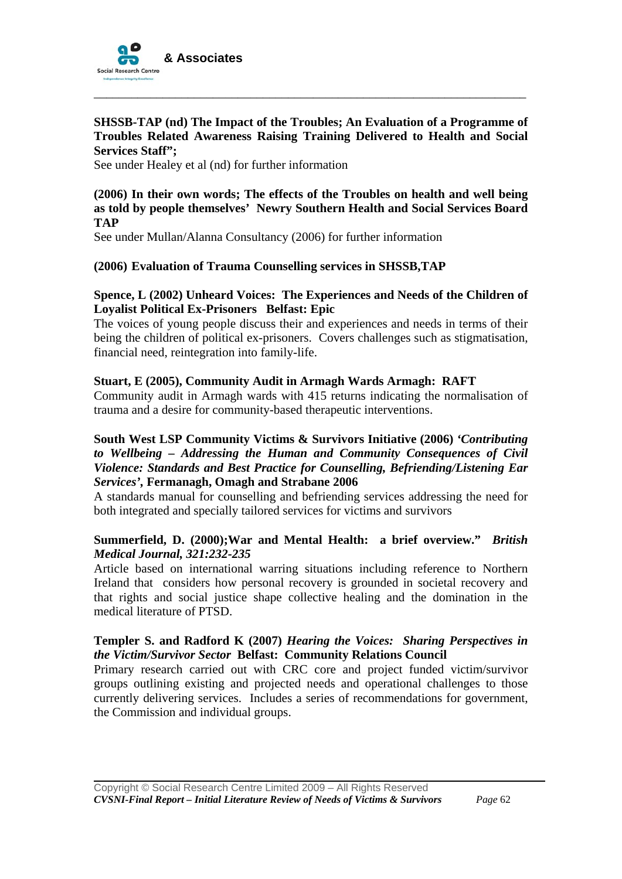

#### **SHSSB-TAP (nd) The Impact of the Troubles; An Evaluation of a Programme of Troubles Related Awareness Raising Training Delivered to Health and Social Services Staff";**

\_\_\_\_\_\_\_\_\_\_\_\_\_\_\_\_\_\_\_\_\_\_\_\_\_\_\_\_\_\_\_\_\_\_\_\_\_\_\_\_\_\_\_\_\_\_\_\_\_\_\_\_\_\_\_\_\_\_\_\_\_\_\_\_\_\_\_\_\_

See under Healey et al (nd) for further information

**(2006) In their own words; The effects of the Troubles on health and well being as told by people themselves' Newry Southern Health and Social Services Board TAP** 

See under Mullan/Alanna Consultancy (2006) for further information

#### **(2006) Evaluation of Trauma Counselling services in SHSSB,TAP**

#### **Spence, L (2002) Unheard Voices: The Experiences and Needs of the Children of Loyalist Political Ex-Prisoners Belfast: Epic**

The voices of young people discuss their and experiences and needs in terms of their being the children of political ex-prisoners. Covers challenges such as stigmatisation, financial need, reintegration into family-life.

#### **Stuart, E (2005), Community Audit in Armagh Wards Armagh: RAFT**

Community audit in Armagh wards with 415 returns indicating the normalisation of trauma and a desire for community-based therapeutic interventions.

#### **South West LSP Community Victims & Survivors Initiative (2006)** *'Contributing to Wellbeing – Addressing the Human and Community Consequences of Civil Violence: Standards and Best Practice for Counselling, Befriending/Listening Ear Services',* **Fermanagh, Omagh and Strabane 2006**

A standards manual for counselling and befriending services addressing the need for both integrated and specially tailored services for victims and survivors

#### **Summerfield, D. (2000);War and Mental Health: a brief overview."** *British Medical Journal, 321:232-235*

Article based on international warring situations including reference to Northern Ireland that considers how personal recovery is grounded in societal recovery and that rights and social justice shape collective healing and the domination in the medical literature of PTSD.

#### **Templer S. and Radford K (2007)** *Hearing the Voices: Sharing Perspectives in the Victim/Survivor Sector* **Belfast: Community Relations Council**

Primary research carried out with CRC core and project funded victim/survivor groups outlining existing and projected needs and operational challenges to those currently delivering services. Includes a series of recommendations for government, the Commission and individual groups.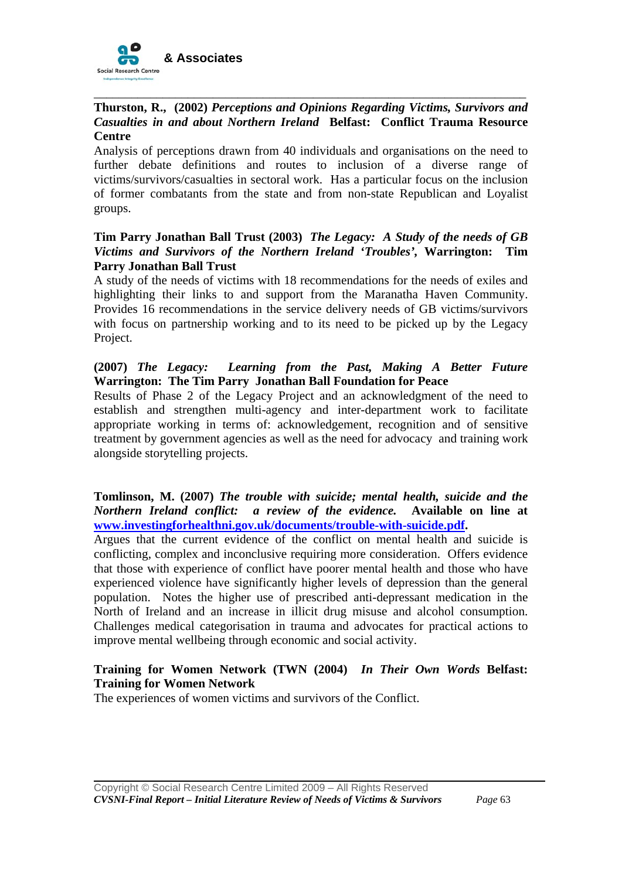

#### \_\_\_\_\_\_\_\_\_\_\_\_\_\_\_\_\_\_\_\_\_\_\_\_\_\_\_\_\_\_\_\_\_\_\_\_\_\_\_\_\_\_\_\_\_\_\_\_\_\_\_\_\_\_\_\_\_\_\_\_\_\_\_\_\_\_\_\_\_ **Thurston, R., (2002)** *Perceptions and Opinions Regarding Victims, Survivors and Casualties in and about Northern Ireland* **Belfast: Conflict Trauma Resource Centre**

Analysis of perceptions drawn from 40 individuals and organisations on the need to further debate definitions and routes to inclusion of a diverse range of victims/survivors/casualties in sectoral work. Has a particular focus on the inclusion of former combatants from the state and from non-state Republican and Loyalist groups.

#### **Tim Parry Jonathan Ball Trust (2003)** *The Legacy: A Study of the needs of GB Victims and Survivors of the Northern Ireland 'Troubles',* **Warrington: Tim Parry Jonathan Ball Trust**

A study of the needs of victims with 18 recommendations for the needs of exiles and highlighting their links to and support from the Maranatha Haven Community. Provides 16 recommendations in the service delivery needs of GB victims/survivors with focus on partnership working and to its need to be picked up by the Legacy Project.

#### **(2007)** *The Legacy: Learning from the Past, Making A Better Future* **Warrington: The Tim Parry Jonathan Ball Foundation for Peace**

Results of Phase 2 of the Legacy Project and an acknowledgment of the need to establish and strengthen multi-agency and inter-department work to facilitate appropriate working in terms of: acknowledgement, recognition and of sensitive treatment by government agencies as well as the need for advocacy and training work alongside storytelling projects.

#### **Tomlinson, M. (2007)** *The trouble with suicide; mental health, suicide and the Northern Ireland conflict: a review of the evidence.* **Available on line at [www.investingforhealthni.gov.uk/documents/trouble-with-suicide.pdf](http://www.investingforhealthni.gov.uk/documents/trouble-with-suicide.pdf).**

Argues that the current evidence of the conflict on mental health and suicide is conflicting, complex and inconclusive requiring more consideration. Offers evidence that those with experience of conflict have poorer mental health and those who have experienced violence have significantly higher levels of depression than the general population. Notes the higher use of prescribed anti-depressant medication in the North of Ireland and an increase in illicit drug misuse and alcohol consumption. Challenges medical categorisation in trauma and advocates for practical actions to improve mental wellbeing through economic and social activity.

# **Training for Women Network (TWN (2004)** *In Their Own Words* **Belfast: Training for Women Network**

The experiences of women victims and survivors of the Conflict.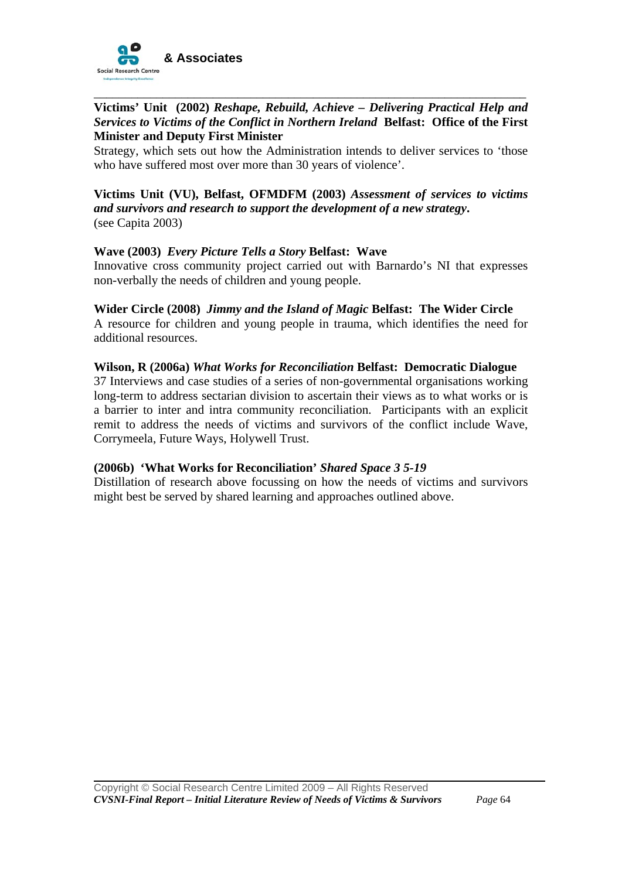

#### \_\_\_\_\_\_\_\_\_\_\_\_\_\_\_\_\_\_\_\_\_\_\_\_\_\_\_\_\_\_\_\_\_\_\_\_\_\_\_\_\_\_\_\_\_\_\_\_\_\_\_\_\_\_\_\_\_\_\_\_\_\_\_\_\_\_\_\_\_ **Victims' Unit (2002)** *Reshape, Rebuild, Achieve – Delivering Practical Help and Services to Victims of the Conflict in Northern Ireland* **Belfast: Office of the First Minister and Deputy First Minister**

Strategy, which sets out how the Administration intends to deliver services to 'those who have suffered most over more than 30 years of violence'.

#### **Victims Unit (VU), Belfast, OFMDFM (2003)** *Assessment of services to victims and survivors and research to support the development of a new strategy***.**  (see Capita 2003)

#### **Wave (2003)** *Every Picture Tells a Story* **Belfast: Wave**

Innovative cross community project carried out with Barnardo's NI that expresses non-verbally the needs of children and young people.

#### **Wider Circle (2008)** *Jimmy and the Island of Magic* **Belfast: The Wider Circle**

A resource for children and young people in trauma, which identifies the need for additional resources.

#### **Wilson, R (2006a)** *What Works for Reconciliation* **Belfast: Democratic Dialogue**

37 Interviews and case studies of a series of non-governmental organisations working long-term to address sectarian division to ascertain their views as to what works or is a barrier to inter and intra community reconciliation. Participants with an explicit remit to address the needs of victims and survivors of the conflict include Wave, Corrymeela, Future Ways, Holywell Trust.

#### **(2006b) 'What Works for Reconciliation'** *Shared Space 3 5-19*

Distillation of research above focussing on how the needs of victims and survivors might best be served by shared learning and approaches outlined above.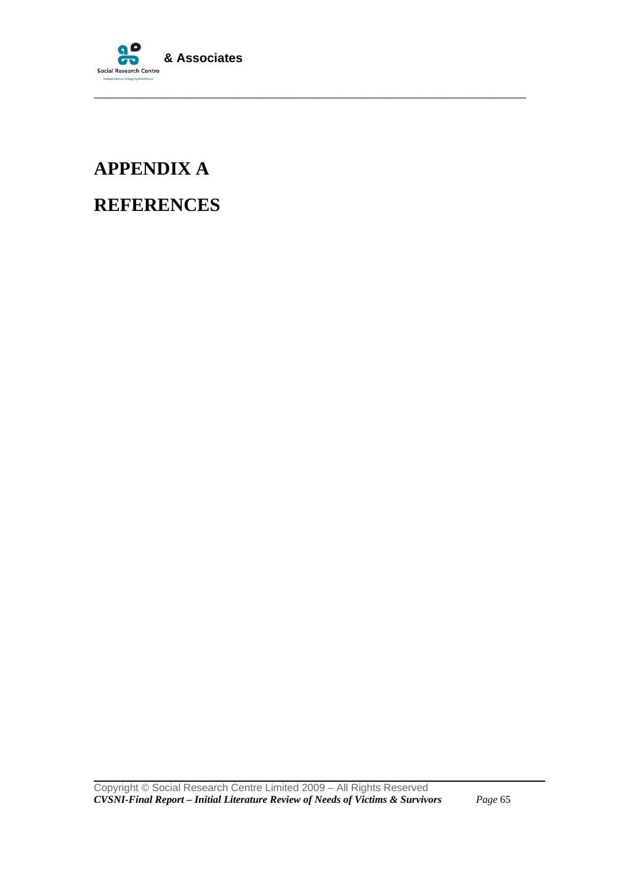

\_\_\_\_\_\_\_\_\_\_\_\_\_\_\_\_\_\_\_\_\_\_\_\_\_\_\_\_\_\_\_\_\_\_\_\_\_\_\_\_\_\_\_\_\_\_\_\_\_\_\_\_\_\_\_\_\_\_\_\_\_\_\_\_\_\_\_\_\_

# **APPENDIX A REFERENCES**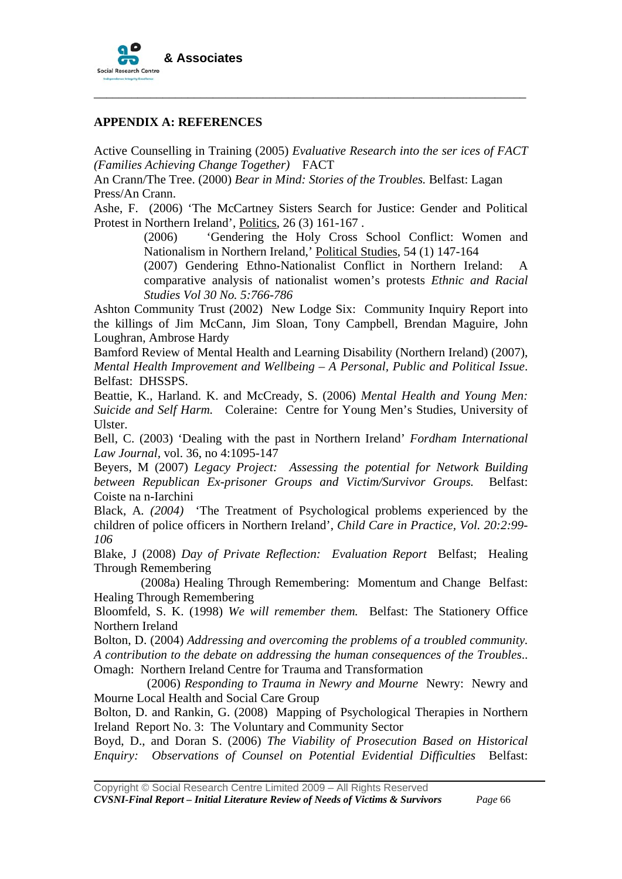

#### **APPENDIX A: REFERENCES**

Active Counselling in Training (2005) *Evaluative Research into the ser ices of FACT (Families Achieving Change Together)* FACT

\_\_\_\_\_\_\_\_\_\_\_\_\_\_\_\_\_\_\_\_\_\_\_\_\_\_\_\_\_\_\_\_\_\_\_\_\_\_\_\_\_\_\_\_\_\_\_\_\_\_\_\_\_\_\_\_\_\_\_\_\_\_\_\_\_\_\_\_\_

An Crann/The Tree. (2000) *Bear in Mind: Stories of the Troubles.* Belfast: Lagan Press/An Crann.

Ashe, F. (2006) 'The McCartney Sisters Search for Justice: Gender and Political Protest in Northern Ireland', Politics, 26 (3) 161-167 .

> (2006) 'Gendering the Holy Cross School Conflict: Women and Nationalism in Northern Ireland,' Political Studies, 54 (1) 147-164

> (2007) Gendering Ethno-Nationalist Conflict in Northern Ireland: A comparative analysis of nationalist women's protests *Ethnic and Racial Studies Vol 30 No. 5:766-786*

Ashton Community Trust (2002) New Lodge Six: Community Inquiry Report into the killings of Jim McCann, Jim Sloan, Tony Campbell, Brendan Maguire, John Loughran, Ambrose Hardy

Bamford Review of Mental Health and Learning Disability (Northern Ireland) (2007), *Mental Health Improvement and Wellbeing – A Personal, Public and Political Issue*. Belfast: DHSSPS.

Beattie, K., Harland. K. and McCready, S. (2006) *Mental Health and Young Men: Suicide and Self Harm.* Coleraine: Centre for Young Men's Studies, University of Ulster.

Bell, C. (2003) 'Dealing with the past in Northern Ireland' *Fordham International Law Journal,* vol. 36, no 4:1095-147

Beyers, M (2007) *Legacy Project: Assessing the potential for Network Building between Republican Ex-prisoner Groups and Victim/Survivor Groups.* Belfast: Coiste na n-Iarchini

Black, A*. (2004)* 'The Treatment of Psychological problems experienced by the children of police officers in Northern Ireland', *Child Care in Practice, Vol. 20:2:99- 106* 

Blake, J (2008) *Day of Private Reflection: Evaluation Report* Belfast; Healing Through Remembering

 (2008a) Healing Through Remembering: Momentum and Change Belfast: Healing Through Remembering

Bloomfeld, S. K. (1998) *We will remember them.* Belfast: The Stationery Office Northern Ireland

Bolton, D. (2004) *Addressing and overcoming the problems of a troubled community. A contribution to the debate on addressing the human consequences of the Troubles*.. Omagh: Northern Ireland Centre for Trauma and Transformation

 (2006) *Responding to Trauma in Newry and Mourne* Newry: Newry and Mourne Local Health and Social Care Group

Bolton, D. and Rankin, G. (2008) Mapping of Psychological Therapies in Northern Ireland Report No. 3: The Voluntary and Community Sector

Boyd, D., and Doran S. (2006) *The Viability of Prosecution Based on Historical Enquiry: Observations of Counsel on Potential Evidential Difficulties* Belfast: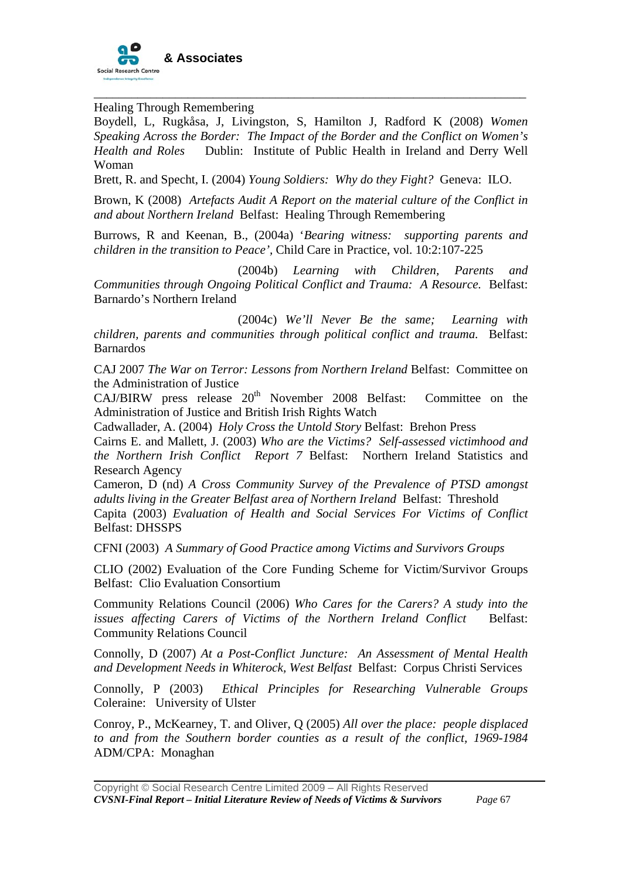

Healing Through Remembering

Boydell, L, Rugkåsa, J, Livingston, S, Hamilton J, Radford K (2008) *Women Speaking Across the Border: The Impact of the Border and the Conflict on Women's Health and Roles* Dublin: Institute of Public Health in Ireland and Derry Well Woman

\_\_\_\_\_\_\_\_\_\_\_\_\_\_\_\_\_\_\_\_\_\_\_\_\_\_\_\_\_\_\_\_\_\_\_\_\_\_\_\_\_\_\_\_\_\_\_\_\_\_\_\_\_\_\_\_\_\_\_\_\_\_\_\_\_\_\_\_\_

Brett, R. and Specht, I. (2004) *Young Soldiers: Why do they Fight?* Geneva: ILO.

Brown, K (2008) *Artefacts Audit A Report on the material culture of the Conflict in and about Northern Ireland* Belfast: Healing Through Remembering

Burrows, R and Keenan, B., (2004a) '*Bearing witness: supporting parents and children in the transition to Peace',* Child Care in Practice, vol. 10:2:107-225

 (2004b) *Learning with Children, Parents and Communities through Ongoing Political Conflict and Trauma: A Resource.* Belfast: Barnardo's Northern Ireland

 (2004c) *We'll Never Be the same; Learning with children, parents and communities through political conflict and trauma.* Belfast: Barnardos

CAJ 2007 *The War on Terror: Lessons from Northern Ireland* Belfast: Committee on the Administration of Justice

 $CAJ/BIRW$  press release  $20<sup>th</sup>$  November 2008 Belfast: Committee on the Administration of Justice and British Irish Rights Watch

Cadwallader, A. (2004) *Holy Cross the Untold Story* Belfast: Brehon Press

Cairns E. and Mallett, J. (2003) *Who are the Victims? Self-assessed victimhood and the Northern Irish Conflict Report 7* Belfast: Northern Ireland Statistics and Research Agency

Cameron, D (nd) *A Cross Community Survey of the Prevalence of PTSD amongst adults living in the Greater Belfast area of Northern Ireland* Belfast: Threshold

Capita (2003) *Evaluation of Health and Social Services For Victims of Conflict*  Belfast: DHSSPS

CFNI (2003) *A Summary of Good Practice among Victims and Survivors Groups*

CLIO (2002) Evaluation of the Core Funding Scheme for Victim/Survivor Groups Belfast: Clio Evaluation Consortium

Community Relations Council (2006) *Who Cares for the Carers? A study into the issues affecting Carers of Victims of the Northern Ireland Conflict* Belfast: Community Relations Council

Connolly, D (2007) *At a Post-Conflict Juncture: An Assessment of Mental Health and Development Needs in Whiterock, West Belfast* Belfast: Corpus Christi Services

Connolly, P (2003) *Ethical Principles for Researching Vulnerable Groups* Coleraine: University of Ulster

Conroy, P., McKearney, T. and Oliver, Q (2005) *All over the place: people displaced to and from the Southern border counties as a result of the conflict, 1969-1984*  ADM/CPA: Monaghan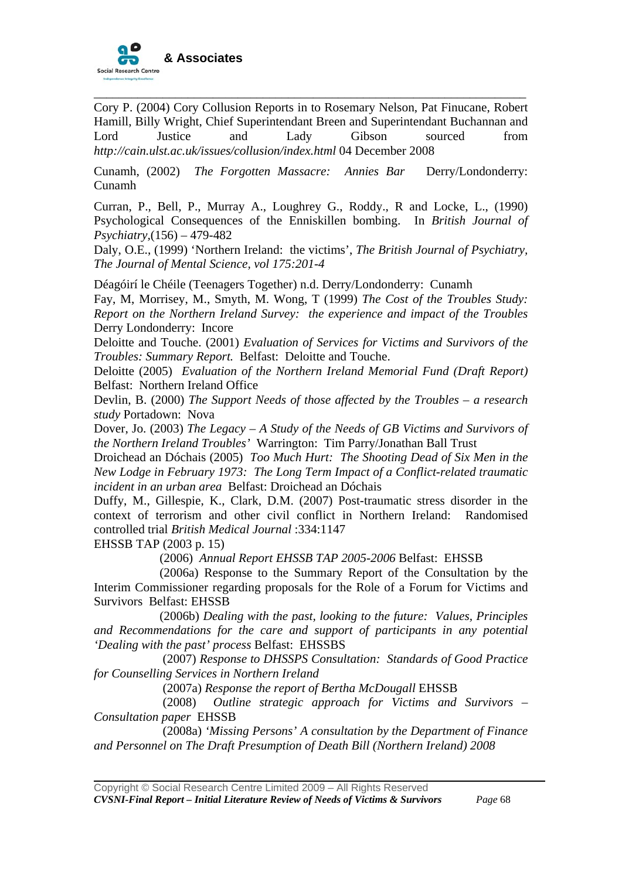

Cory P. (2004) Cory Collusion Reports in to Rosemary Nelson, Pat Finucane, Robert Hamill, Billy Wright, Chief Superintendant Breen and Superintendant Buchannan and Lord Justice and Lady Gibson sourced from *http://cain.ulst.ac.uk/issues/collusion/index.html* 04 December 2008

\_\_\_\_\_\_\_\_\_\_\_\_\_\_\_\_\_\_\_\_\_\_\_\_\_\_\_\_\_\_\_\_\_\_\_\_\_\_\_\_\_\_\_\_\_\_\_\_\_\_\_\_\_\_\_\_\_\_\_\_\_\_\_\_\_\_\_\_\_

Cunamh, (2002) *The Forgotten Massacre: Annies Bar* Derry/Londonderry: Cunamh

Curran, P., Bell, P., Murray A., Loughrey G., Roddy., R and Locke, L., (1990) Psychological Consequences of the Enniskillen bombing. In *British Journal of Psychiatry,*(156) – 479-482

Daly, O.E., (1999) 'Northern Ireland: the victims', *The British Journal of Psychiatry, The Journal of Mental Science, vol 175:201-4* 

Déagóirí le Chéile (Teenagers Together) n.d. Derry/Londonderry: Cunamh

Fay, M, Morrisey, M., Smyth, M. Wong, T (1999) *The Cost of the Troubles Study: Report on the Northern Ireland Survey: the experience and impact of the Troubles* Derry Londonderry: Incore

Deloitte and Touche. (2001) *Evaluation of Services for Victims and Survivors of the Troubles: Summary Report.* Belfast: Deloitte and Touche.

Deloitte (2005) *Evaluation of the Northern Ireland Memorial Fund (Draft Report)* Belfast: Northern Ireland Office

Devlin, B. (2000) *The Support Needs of those affected by the Troubles – a research study* Portadown: Nova

Dover, Jo. (2003) *The Legacy – A Study of the Needs of GB Victims and Survivors of the Northern Ireland Troubles'* Warrington: Tim Parry/Jonathan Ball Trust

Droichead an Dóchais (2005) *Too Much Hurt: The Shooting Dead of Six Men in the New Lodge in February 1973: The Long Term Impact of a Conflict-related traumatic incident in an urban area* Belfast: Droichead an Dóchais

Duffy, M., Gillespie, K., Clark, D.M. (2007) Post-traumatic stress disorder in the context of terrorism and other civil conflict in Northern Ireland: Randomised controlled trial *British Medical Journal* :334:1147

EHSSB TAP (2003 p. 15)

(2006) *Annual Report EHSSB TAP 2005-2006* Belfast: EHSSB

 (2006a) Response to the Summary Report of the Consultation by the Interim Commissioner regarding proposals for the Role of a Forum for Victims and Survivors Belfast: EHSSB

 (2006b) *Dealing with the past, looking to the future: Values, Principles and Recommendations for the care and support of participants in any potential 'Dealing with the past' process* Belfast: EHSSBS

 (2007) *Response to DHSSPS Consultation: Standards of Good Practice for Counselling Services in Northern Ireland* 

(2007a) *Response the report of Bertha McDougall* EHSSB

 (2008) *Outline strategic approach for Victims and Survivors – Consultation paper* EHSSB

 (2008a) *'Missing Persons' A consultation by the Department of Finance and Personnel on The Draft Presumption of Death Bill (Northern Ireland) 2008*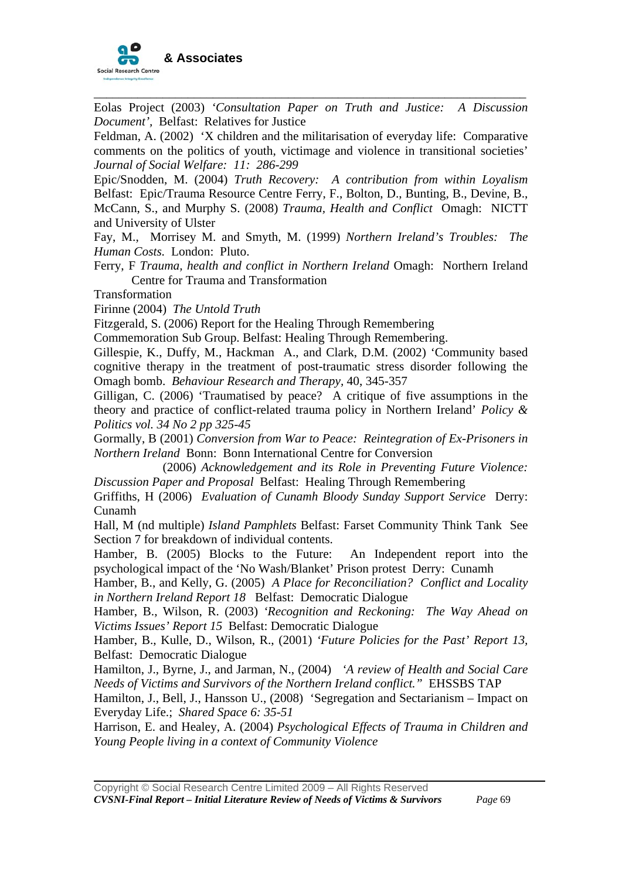

Eolas Project (2003) *'Consultation Paper on Truth and Justice: A Discussion Document',* Belfast: Relatives for Justice

\_\_\_\_\_\_\_\_\_\_\_\_\_\_\_\_\_\_\_\_\_\_\_\_\_\_\_\_\_\_\_\_\_\_\_\_\_\_\_\_\_\_\_\_\_\_\_\_\_\_\_\_\_\_\_\_\_\_\_\_\_\_\_\_\_\_\_\_\_

Feldman, A. (2002) 'X children and the militarisation of everyday life: Comparative comments on the politics of youth, victimage and violence in transitional societies' *Journal of Social Welfare: 11: 286-299* 

Epic/Snodden, M. (2004) *Truth Recovery: A contribution from within Loyalism*  Belfast: Epic/Trauma Resource Centre Ferry, F., Bolton, D., Bunting, B., Devine, B., McCann, S., and Murphy S. (2008) *Trauma, Health and Conflict* Omagh: NICTT and University of Ulster

Fay, M., Morrisey M. and Smyth, M. (1999) *Northern Ireland's Troubles: The Human Costs.* London: Pluto.

Ferry, F *Trauma, health and conflict in Northern Ireland* Omagh: Northern Ireland Centre for Trauma and Transformation

Transformation

Firinne (2004) *The Untold Truth*

Fitzgerald, S. (2006) Report for the Healing Through Remembering

Commemoration Sub Group. Belfast: Healing Through Remembering.

Gillespie, K., Duffy, M., Hackman A., and Clark, D.M. (2002) 'Community based cognitive therapy in the treatment of post-traumatic stress disorder following the Omagh bomb. *Behaviour Research and Therapy,* 40, 345-357

Gilligan, C. (2006) 'Traumatised by peace? A critique of five assumptions in the theory and practice of conflict-related trauma policy in Northern Ireland' *Policy & Politics vol. 34 No 2 pp 325-45* 

Gormally, B (2001) *Conversion from War to Peace: Reintegration of Ex-Prisoners in Northern Ireland* Bonn: Bonn International Centre for Conversion

 (2006) *Acknowledgement and its Role in Preventing Future Violence: Discussion Paper and Proposal* Belfast: Healing Through Remembering

Griffiths, H (2006) *Evaluation of Cunamh Bloody Sunday Support Service* Derry: Cunamh

Hall, M (nd multiple) *Island Pamphlets* Belfast: Farset Community Think Tank See Section 7 for breakdown of individual contents.

Hamber, B. (2005) Blocks to the Future: An Independent report into the psychological impact of the 'No Wash/Blanket' Prison protestDerry: Cunamh

Hamber, B., and Kelly, G. (2005) *A Place for Reconciliation? Conflict and Locality in Northern Ireland Report 18* Belfast: Democratic Dialogue

Hamber, B., Wilson, R. (2003) *'Recognition and Reckoning: The Way Ahead on Victims Issues' Report 15* Belfast: Democratic Dialogue

Hamber, B., Kulle, D., Wilson, R., (2001) *'Future Policies for the Past' Report 13,*  Belfast: Democratic Dialogue

Hamilton, J., Byrne, J., and Jarman, N., (2004) *'A review of Health and Social Care Needs of Victims and Survivors of the Northern Ireland conflict."* EHSSBS TAP

Hamilton, J., Bell, J., Hansson U., (2008) 'Segregation and Sectarianism – Impact on Everyday Life.; *Shared Space 6: 35-51* 

Harrison, E. and Healey, A. (2004) *Psychological Effects of Trauma in Children and Young People living in a context of Community Violence*

Copyright © Social Research Centre Limited 2009 – All Rights Reserved *CVSNI-Final Report – Initial Literature Review of Needs of Victims & Survivors Page* 69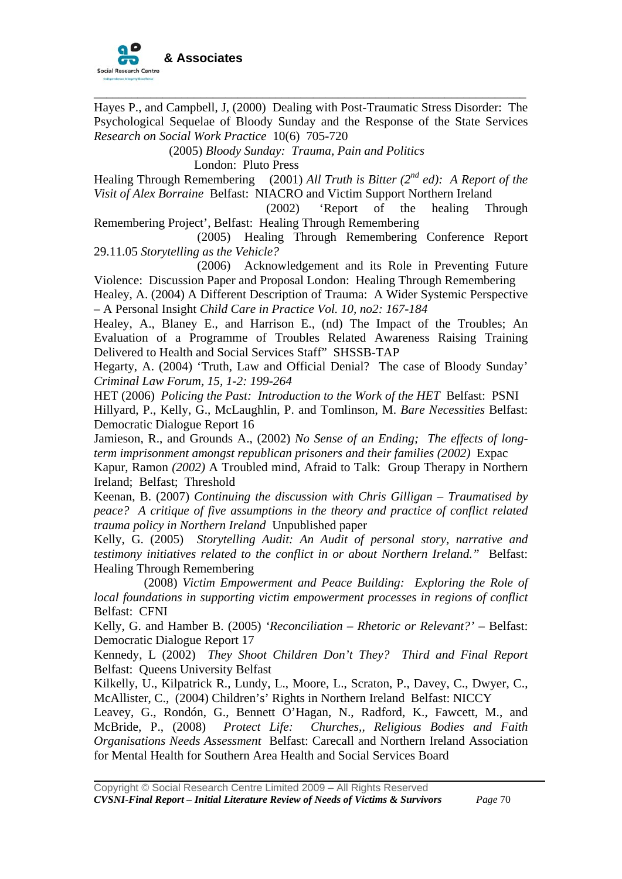

Hayes P., and Campbell, J, (2000) Dealing with Post-Traumatic Stress Disorder: The Psychological Sequelae of Bloody Sunday and the Response of the State Services *Research on Social Work Practice* 10(6) 705-720

\_\_\_\_\_\_\_\_\_\_\_\_\_\_\_\_\_\_\_\_\_\_\_\_\_\_\_\_\_\_\_\_\_\_\_\_\_\_\_\_\_\_\_\_\_\_\_\_\_\_\_\_\_\_\_\_\_\_\_\_\_\_\_\_\_\_\_\_\_

(2005) *Bloody Sunday: Trauma, Pain and Politics*  London: Pluto Press

Healing Through Remembering (2001) *All Truth is Bitter (2nd ed): A Report of the Visit of Alex Borraine* Belfast: NIACRO and Victim Support Northern Ireland

(2002) 'Report of the healing Through Remembering Project', Belfast: Healing Through Remembering

(2005) Healing Through Remembering Conference Report 29.11.05 *Storytelling as the Vehicle?* 

(2006) Acknowledgement and its Role in Preventing Future Violence: Discussion Paper and Proposal London: Healing Through Remembering

Healey, A. (2004) A Different Description of Trauma: A Wider Systemic Perspective – A Personal Insight *Child Care in Practice Vol. 10, no2: 167-184* 

Healey, A., Blaney E., and Harrison E., (nd) The Impact of the Troubles; An Evaluation of a Programme of Troubles Related Awareness Raising Training Delivered to Health and Social Services Staff" SHSSB-TAP

Hegarty, A. (2004) 'Truth, Law and Official Denial? The case of Bloody Sunday' *Criminal Law Forum, 15, 1-2: 199-264* 

HET (2006) *Policing the Past: Introduction to the Work of the HET* Belfast: PSNI Hillyard, P., Kelly, G., McLaughlin, P. and Tomlinson, M. *Bare Necessities* Belfast: Democratic Dialogue Report 16

Jamieson, R., and Grounds A., (2002) *No Sense of an Ending; The effects of longterm imprisonment amongst republican prisoners and their families (2002)* Expac

Kapur, Ramon *(2002)* A Troubled mind, Afraid to Talk: Group Therapy in Northern Ireland; Belfast; Threshold

Keenan, B. (2007) *Continuing the discussion with Chris Gilligan – Traumatised by peace? A critique of five assumptions in the theory and practice of conflict related trauma policy in Northern Ireland* Unpublished paper

Kelly, G. (2005) *Storytelling Audit: An Audit of personal story, narrative and testimony initiatives related to the conflict in or about Northern Ireland."* Belfast: Healing Through Remembering

 (2008) *Victim Empowerment and Peace Building: Exploring the Role of local foundations in supporting victim empowerment processes in regions of conflict* Belfast: CFNI

Kelly, G. and Hamber B. (2005) *'Reconciliation – Rhetoric or Relevant?' –* Belfast: Democratic Dialogue Report 17

Kennedy, L (2002) *They Shoot Children Don't They? Third and Final Report* Belfast: Queens University Belfast

Kilkelly, U., Kilpatrick R., Lundy, L., Moore, L., Scraton, P., Davey, C., Dwyer, C., McAllister, C., (2004) Children's' Rights in Northern Ireland Belfast: NICCY

Leavey, G., Rondón, G., Bennett O'Hagan, N., Radford, K., Fawcett, M., and McBride, P., (2008) *Protect Life: Churches,, Religious Bodies and Faith Organisations Needs Assessment* Belfast: Carecall and Northern Ireland Association for Mental Health for Southern Area Health and Social Services Board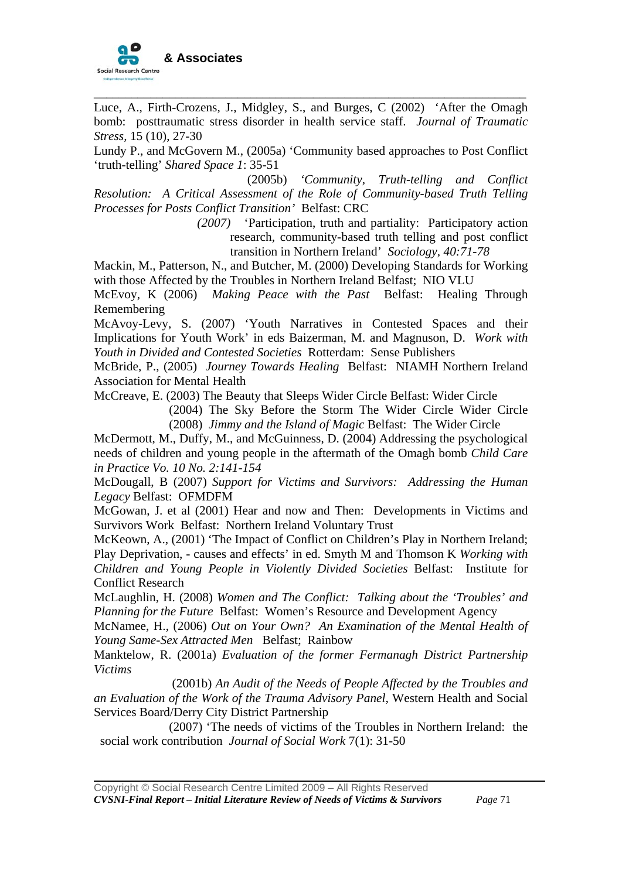

Luce, A., Firth-Crozens, J., Midgley, S., and Burges, C (2002) 'After the Omagh bomb: posttraumatic stress disorder in health service staff. *Journal of Traumatic Stress,* 15 (10), 27-30

\_\_\_\_\_\_\_\_\_\_\_\_\_\_\_\_\_\_\_\_\_\_\_\_\_\_\_\_\_\_\_\_\_\_\_\_\_\_\_\_\_\_\_\_\_\_\_\_\_\_\_\_\_\_\_\_\_\_\_\_\_\_\_\_\_\_\_\_\_

Lundy P., and McGovern M., (2005a) 'Community based approaches to Post Conflict 'truth-telling' *Shared Space 1*: 35-51

 (2005b) *'Community, Truth-telling and Conflict Resolution: A Critical Assessment of the Role of Community-based Truth Telling Processes for Posts Conflict Transition'* Belfast: CRC

> *(2007)* 'Participation, truth and partiality: Participatory action research, community-based truth telling and post conflict transition in Northern Ireland' *Sociology, 40:71-78*

Mackin, M., Patterson, N., and Butcher, M. (2000) Developing Standards for Working with those Affected by the Troubles in Northern Ireland Belfast; NIO VLU

McEvoy, K (2006) *Making Peace with the Past* Belfast: Healing Through Remembering

McAvoy-Levy, S. (2007) 'Youth Narratives in Contested Spaces and their Implications for Youth Work' in eds Baizerman, M. and Magnuson, D. *Work with Youth in Divided and Contested Societies* Rotterdam: Sense Publishers

McBride, P., (2005) *Journey Towards Healing* Belfast: NIAMH Northern Ireland Association for Mental Health

McCreave, E. (2003) The Beauty that Sleeps Wider Circle Belfast: Wider Circle

(2004) The Sky Before the Storm The Wider Circle Wider Circle (2008) *Jimmy and the Island of Magic* Belfast: The Wider Circle

McDermott, M., Duffy, M., and McGuinness, D. (2004) Addressing the psychological needs of children and young people in the aftermath of the Omagh bomb *Child Care in Practice Vo. 10 No. 2:141-154*

McDougall, B (2007) *Support for Victims and Survivors: Addressing the Human Legacy* Belfast: OFMDFM

McGowan, J. et al (2001) Hear and now and Then: Developments in Victims and Survivors Work Belfast: Northern Ireland Voluntary Trust

McKeown, A., (2001) 'The Impact of Conflict on Children's Play in Northern Ireland; Play Deprivation, - causes and effects' in ed. Smyth M and Thomson K *Working with Children and Young People in Violently Divided Societies* Belfast: Institute for Conflict Research

McLaughlin, H. (2008) *Women and The Conflict: Talking about the 'Troubles' and Planning for the Future* Belfast: Women's Resource and Development Agency

McNamee, H., (2006) *Out on Your Own? An Examination of the Mental Health of Young Same-Sex Attracted Men* Belfast; Rainbow

Manktelow, R. (2001a) *Evaluation of the former Fermanagh District Partnership Victims* 

(2001b) *An Audit of the Needs of People Affected by the Troubles and an Evaluation of the Work of the Trauma Advisory Panel,* Western Health and Social Services Board/Derry City District Partnership

 (2007) 'The needs of victims of the Troubles in Northern Ireland: the social work contribution *Journal of Social Work* 7(1): 31-50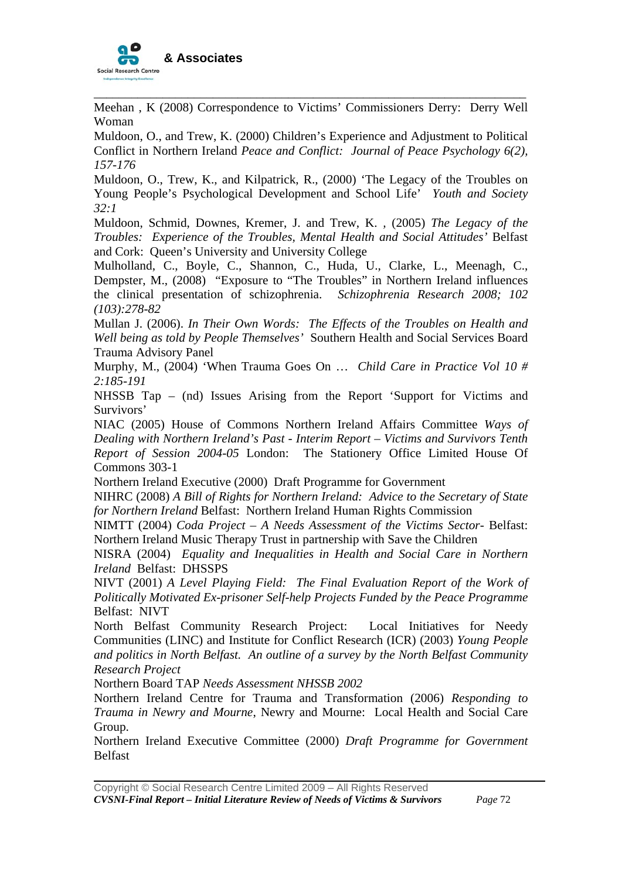

Meehan , K (2008) Correspondence to Victims' Commissioners Derry: Derry Well Woman

\_\_\_\_\_\_\_\_\_\_\_\_\_\_\_\_\_\_\_\_\_\_\_\_\_\_\_\_\_\_\_\_\_\_\_\_\_\_\_\_\_\_\_\_\_\_\_\_\_\_\_\_\_\_\_\_\_\_\_\_\_\_\_\_\_\_\_\_\_

Muldoon, O., and Trew, K. (2000) Children's Experience and Adjustment to Political Conflict in Northern Ireland *Peace and Conflict: Journal of Peace Psychology 6(2), 157-176* 

Muldoon, O., Trew, K., and Kilpatrick, R., (2000) 'The Legacy of the Troubles on Young People's Psychological Development and School Life' *Youth and Society 32:1* 

Muldoon, Schmid, Downes, Kremer, J. and Trew, K. *,* (2005) *The Legacy of the Troubles: Experience of the Troubles, Mental Health and Social Attitudes'* Belfast and Cork: Queen's University and University College

Mulholland, C., Boyle, C., Shannon, C., Huda, U., Clarke, L., Meenagh, C., Dempster, M., (2008) "Exposure to "The Troubles" in Northern Ireland influences the clinical presentation of schizophrenia. *Schizophrenia Research 2008; 102 (103):278-82* 

Mullan J. (2006). *In Their Own Words: The Effects of the Troubles on Health and Well being as told by People Themselves'* Southern Health and Social Services Board Trauma Advisory Panel

Murphy, M., (2004) 'When Trauma Goes On … *Child Care in Practice Vol 10 # 2:185-191*

NHSSB Tap – (nd) Issues Arising from the Report 'Support for Victims and Survivors'

NIAC (2005) House of Commons Northern Ireland Affairs Committee *Ways of Dealing with Northern Ireland's Past - Interim Report – Victims and Survivors Tenth Report of Session 2004-05* London: The Stationery Office Limited House Of Commons 303-1

Northern Ireland Executive (2000) Draft Programme for Government

NIHRC (2008) *A Bill of Rights for Northern Ireland: Advice to the Secretary of State for Northern Ireland* Belfast: Northern Ireland Human Rights Commission

NIMTT (2004) *Coda Project – A Needs Assessment of the Victims Sector-* Belfast: Northern Ireland Music Therapy Trust in partnership with Save the Children

NISRA (2004) *Equality and Inequalities in Health and Social Care in Northern Ireland* Belfast: DHSSPS

NIVT (2001) *A Level Playing Field: The Final Evaluation Report of the Work of Politically Motivated Ex-prisoner Self-help Projects Funded by the Peace Programme* Belfast: NIVT

North Belfast Community Research Project: Local Initiatives for Needy Communities (LINC) and Institute for Conflict Research (ICR) (2003) *Young People and politics in North Belfast. An outline of a survey by the North Belfast Community Research Project* 

Northern Board TAP *Needs Assessment NHSSB 2002* 

Northern Ireland Centre for Trauma and Transformation (2006) *Responding to Trauma in Newry and Mourne*, Newry and Mourne: Local Health and Social Care Group.

Northern Ireland Executive Committee (2000) *Draft Programme for Government* Belfast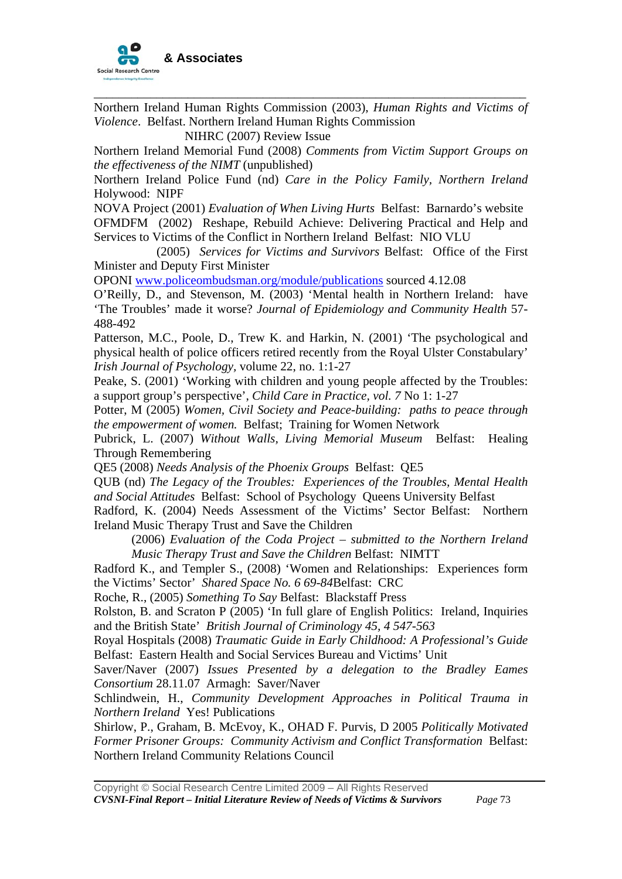

Northern Ireland Human Rights Commission (2003), *Human Rights and Victims of Violence*. Belfast. Northern Ireland Human Rights Commission

\_\_\_\_\_\_\_\_\_\_\_\_\_\_\_\_\_\_\_\_\_\_\_\_\_\_\_\_\_\_\_\_\_\_\_\_\_\_\_\_\_\_\_\_\_\_\_\_\_\_\_\_\_\_\_\_\_\_\_\_\_\_\_\_\_\_\_\_\_

NIHRC (2007) Review Issue

Northern Ireland Memorial Fund (2008) *Comments from Victim Support Groups on the effectiveness of the NIMT* (unpublished)

Northern Ireland Police Fund (nd) *Care in the Policy Family, Northern Ireland*  Holywood: NIPF

NOVA Project (2001) *Evaluation of When Living Hurts* Belfast: Barnardo's website

OFMDFM (2002) Reshape, Rebuild Achieve: Delivering Practical and Help and Services to Victims of the Conflict in Northern Ireland Belfast: NIO VLU

 (2005) *Services for Victims and Survivors* Belfast: Office of the First Minister and Deputy First Minister

OPONI [www.policeombudsman.org/module/publications](http://www.policeombudsman.org/module/publications) sourced 4.12.08

O'Reilly, D., and Stevenson, M. (2003) 'Mental health in Northern Ireland: have 'The Troubles' made it worse? *Journal of Epidemiology and Community Health* 57- 488-492

Patterson, M.C., Poole, D., Trew K. and Harkin, N. (2001) 'The psychological and physical health of police officers retired recently from the Royal Ulster Constabulary' *Irish Journal of Psychology,* volume 22, no. 1:1-27

Peake, S. (2001) 'Working with children and young people affected by the Troubles: a support group's perspective', *Child Care in Practice, vol. 7* No 1: 1-27

Potter, M (2005) *Women, Civil Society and Peace-building: paths to peace through the empowerment of women.* Belfast; Training for Women Network

Pubrick, L. (2007) *Without Walls, Living Memorial Museum* Belfast: Healing Through Remembering

QE5 (2008) *Needs Analysis of the Phoenix Groups* Belfast: QE5

QUB (nd) *The Legacy of the Troubles: Experiences of the Troubles, Mental Health and Social Attitudes* Belfast: School of Psychology Queens University Belfast

Radford, K. (2004) Needs Assessment of the Victims' Sector Belfast: Northern Ireland Music Therapy Trust and Save the Children

(2006) *Evaluation of the Coda Project – submitted to the Northern Ireland Music Therapy Trust and Save the Children* Belfast: NIMTT

Radford K., and Templer S., (2008) 'Women and Relationships: Experiences form the Victims' Sector' *Shared Space No. 6 69-84*Belfast: CRC

Roche, R., (2005) *Something To Say* Belfast: Blackstaff Press

Rolston, B. and Scraton P (2005) 'In full glare of English Politics: Ireland, Inquiries and the British State' *British Journal of Criminology 45, 4 547-563* 

Royal Hospitals (2008) *Traumatic Guide in Early Childhood: A Professional's Guide*  Belfast: Eastern Health and Social Services Bureau and Victims' Unit

Saver/Naver (2007) *Issues Presented by a delegation to the Bradley Eames Consortium* 28.11.07Armagh: Saver/Naver

Schlindwein, H., *Community Development Approaches in Political Trauma in Northern Ireland* Yes! Publications

Shirlow, P., Graham, B. McEvoy, K., OHAD F. Purvis, D 2005 *Politically Motivated Former Prisoner Groups: Community Activism and Conflict Transformation* Belfast: Northern Ireland Community Relations Council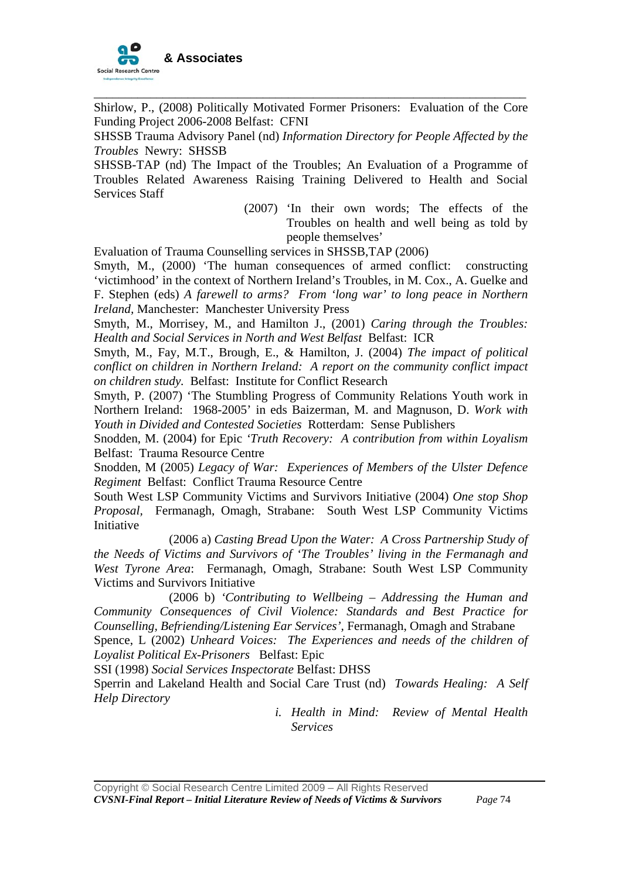

Shirlow, P., (2008) Politically Motivated Former Prisoners: Evaluation of the Core Funding Project 2006-2008 Belfast: CFNI

\_\_\_\_\_\_\_\_\_\_\_\_\_\_\_\_\_\_\_\_\_\_\_\_\_\_\_\_\_\_\_\_\_\_\_\_\_\_\_\_\_\_\_\_\_\_\_\_\_\_\_\_\_\_\_\_\_\_\_\_\_\_\_\_\_\_\_\_\_

SHSSB Trauma Advisory Panel (nd) *Information Directory for People Affected by the Troubles* Newry: SHSSB

SHSSB-TAP (nd) The Impact of the Troubles; An Evaluation of a Programme of Troubles Related Awareness Raising Training Delivered to Health and Social Services Staff

> (2007) 'In their own words; The effects of the Troubles on health and well being as told by people themselves'

Evaluation of Trauma Counselling services in SHSSB,TAP (2006)

Smyth, M., (2000) 'The human consequences of armed conflict: constructing 'victimhood' in the context of Northern Ireland's Troubles, in M. Cox., A. Guelke and F. Stephen (eds) *A farewell to arms? From 'long war' to long peace in Northern Ireland,* Manchester: Manchester University Press

Smyth, M., Morrisey, M., and Hamilton J., (2001) *Caring through the Troubles: Health and Social Services in North and West Belfast* Belfast: ICR

Smyth, M., Fay, M.T., Brough, E., & Hamilton, J. (2004) *The impact of political conflict on children in Northern Ireland: A report on the community conflict impact on children study.* Belfast: Institute for Conflict Research

Smyth, P. (2007) 'The Stumbling Progress of Community Relations Youth work in Northern Ireland: 1968-2005' in eds Baizerman, M. and Magnuson, D. *Work with Youth in Divided and Contested Societies* Rotterdam: Sense Publishers

Snodden, M. (2004) for Epic *'Truth Recovery: A contribution from within Loyalism*  Belfast: Trauma Resource Centre

Snodden, M (2005) *Legacy of War: Experiences of Members of the Ulster Defence Regiment* Belfast: Conflict Trauma Resource Centre

South West LSP Community Victims and Survivors Initiative (2004) *One stop Shop Proposal,* Fermanagh, Omagh, Strabane: South West LSP Community Victims **Initiative** 

(2006 a) *Casting Bread Upon the Water: A Cross Partnership Study of the Needs of Victims and Survivors of 'The Troubles' living in the Fermanagh and West Tyrone Area*: Fermanagh, Omagh, Strabane: South West LSP Community Victims and Survivors Initiative

(2006 b) *'Contributing to Wellbeing – Addressing the Human and Community Consequences of Civil Violence: Standards and Best Practice for Counselling, Befriending/Listening Ear Services',* Fermanagh, Omagh and Strabane Spence, L (2002) *Unheard Voices: The Experiences and needs of the children of* 

*Loyalist Political Ex-Prisoners* Belfast: Epic

SSI (1998) *Social Services Inspectorate* Belfast: DHSS

Sperrin and Lakeland Health and Social Care Trust (nd) *Towards Healing: A Self Help Directory*

> *i. Health in Mind: Review of Mental Health Services*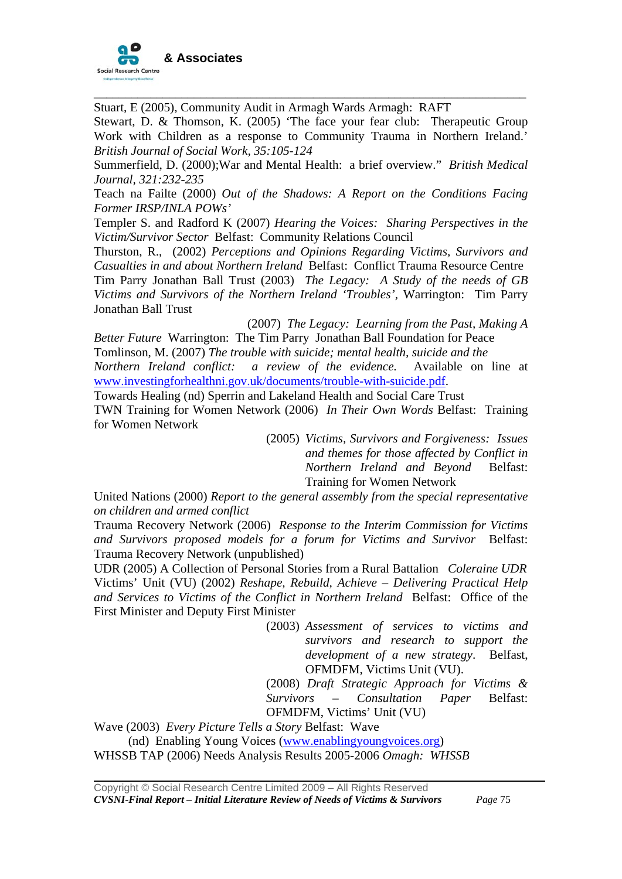

Stuart, E (2005), Community Audit in Armagh Wards Armagh: RAFT

Stewart, D. & Thomson, K. (2005) 'The face your fear club: Therapeutic Group Work with Children as a response to Community Trauma in Northern Ireland.' *British Journal of Social Work, 35:105-124* 

\_\_\_\_\_\_\_\_\_\_\_\_\_\_\_\_\_\_\_\_\_\_\_\_\_\_\_\_\_\_\_\_\_\_\_\_\_\_\_\_\_\_\_\_\_\_\_\_\_\_\_\_\_\_\_\_\_\_\_\_\_\_\_\_\_\_\_\_\_

Summerfield, D. (2000);War and Mental Health: a brief overview." *British Medical Journal, 321:232-235* 

Teach na Failte (2000) *Out of the Shadows: A Report on the Conditions Facing Former IRSP/INLA POWs'* 

Templer S. and Radford K (2007) *Hearing the Voices: Sharing Perspectives in the Victim/Survivor Sector* Belfast: Community Relations Council

Thurston, R., (2002) *Perceptions and Opinions Regarding Victims, Survivors and Casualties in and about Northern Ireland* Belfast: Conflict Trauma Resource Centre Tim Parry Jonathan Ball Trust (2003) *The Legacy: A Study of the needs of GB Victims and Survivors of the Northern Ireland 'Troubles',* Warrington: Tim Parry Jonathan Ball Trust

 (2007) *The Legacy: Learning from the Past, Making A Better Future* Warrington: The Tim Parry Jonathan Ball Foundation for Peace Tomlinson, M. (2007) *The trouble with suicide; mental health, suicide and the Northern Ireland conflict: a review of the evidence.* Available on line at

[www.investingforhealthni.gov.uk/documents/trouble-with-suicide.pdf.](http://www.investingforhealthni.gov.uk/documents/trouble-with-suicide.pdf)

Towards Healing (nd) Sperrin and Lakeland Health and Social Care Trust TWN Training for Women Network (2006) *In Their Own Words* Belfast: Training for Women Network

> (2005) *Victims, Survivors and Forgiveness: Issues and themes for those affected by Conflict in Northern Ireland and Beyond* Belfast: Training for Women Network

United Nations (2000) *Report to the general assembly from the special representative on children and armed conflict* 

Trauma Recovery Network (2006) *Response to the Interim Commission for Victims and Survivors proposed models for a forum for Victims and Survivor* Belfast: Trauma Recovery Network (unpublished)

UDR (2005) A Collection of Personal Stories from a Rural Battalion *Coleraine UDR*  Victims' Unit (VU) (2002) *Reshape, Rebuild, Achieve – Delivering Practical Help and Services to Victims of the Conflict in Northern Ireland* Belfast: Office of the First Minister and Deputy First Minister

> (2003) *Assessment of services to victims and survivors and research to support the development of a new strategy*. Belfast, OFMDFM, Victims Unit (VU).

> (2008) *Draft Strategic Approach for Victims & Survivors – Consultation Paper* Belfast: OFMDFM, Victims' Unit (VU)

Wave (2003) *Every Picture Tells a Story* Belfast: Wave

(nd) Enabling Young Voices [\(www.enablingyoungvoices.org](http://www.enablingyoungvoices.org/))

WHSSB TAP (2006) Needs Analysis Results 2005-2006 *Omagh: WHSSB*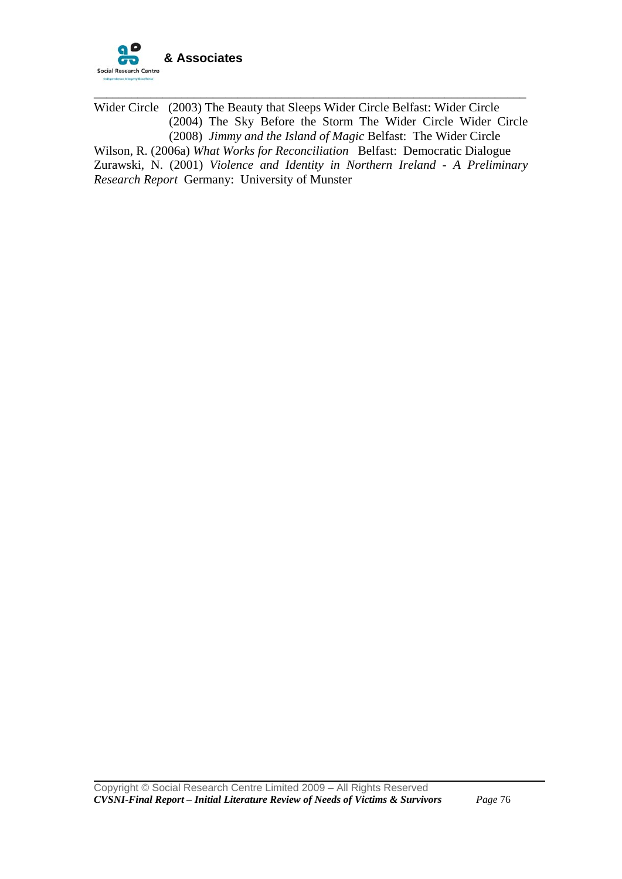

Wider Circle (2003) The Beauty that Sleeps Wider Circle Belfast: Wider Circle (2004) The Sky Before the Storm The Wider Circle Wider Circle (2008) *Jimmy and the Island of Magic* Belfast: The Wider Circle Wilson, R. (2006a) *What Works for Reconciliation* Belfast: Democratic Dialogue Zurawski, N. (2001) *Violence and Identity in Northern Ireland - A Preliminary Research Report* Germany: University of Munster

\_\_\_\_\_\_\_\_\_\_\_\_\_\_\_\_\_\_\_\_\_\_\_\_\_\_\_\_\_\_\_\_\_\_\_\_\_\_\_\_\_\_\_\_\_\_\_\_\_\_\_\_\_\_\_\_\_\_\_\_\_\_\_\_\_\_\_\_\_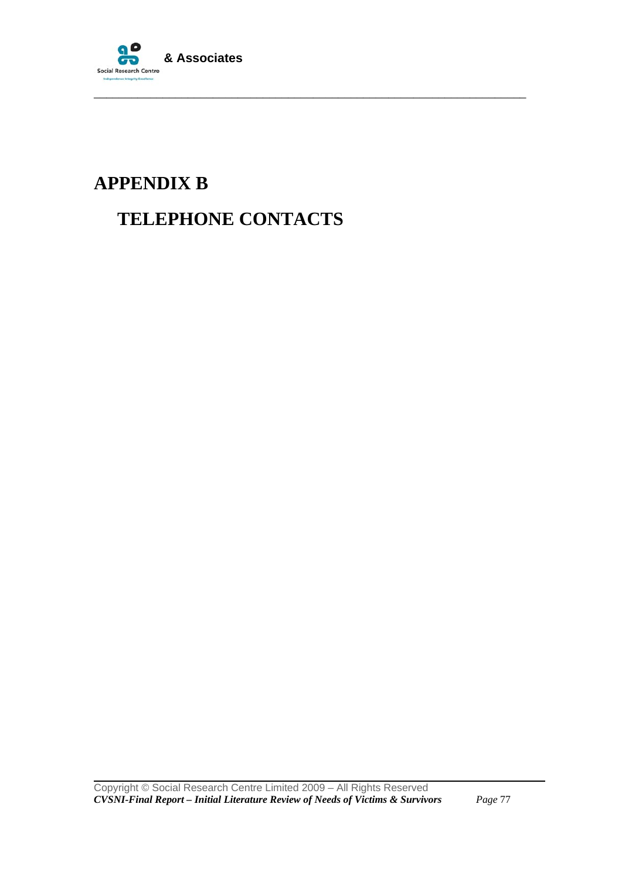

# **APPENDIX B**

## **TELEPHONE CONTACTS**

\_\_\_\_\_\_\_\_\_\_\_\_\_\_\_\_\_\_\_\_\_\_\_\_\_\_\_\_\_\_\_\_\_\_\_\_\_\_\_\_\_\_\_\_\_\_\_\_\_\_\_\_\_\_\_\_\_\_\_\_\_\_\_\_\_\_\_\_\_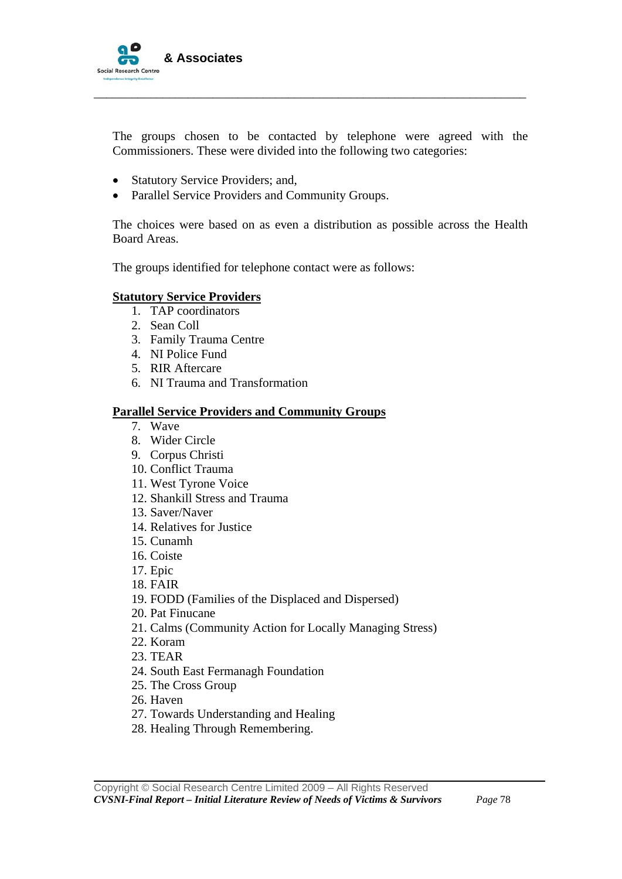

The groups chosen to be contacted by telephone were agreed with the Commissioners. These were divided into the following two categories:

\_\_\_\_\_\_\_\_\_\_\_\_\_\_\_\_\_\_\_\_\_\_\_\_\_\_\_\_\_\_\_\_\_\_\_\_\_\_\_\_\_\_\_\_\_\_\_\_\_\_\_\_\_\_\_\_\_\_\_\_\_\_\_\_\_\_\_\_\_

- Statutory Service Providers; and,
- Parallel Service Providers and Community Groups.

The choices were based on as even a distribution as possible across the Health Board Areas.

The groups identified for telephone contact were as follows:

#### **Statutory Service Providers**

- 1. TAP coordinators
- 2. Sean Coll
- 3. Family Trauma Centre
- 4. NI Police Fund
- 5. RIR Aftercare
- 6. NI Trauma and Transformation

#### **Parallel Service Providers and Community Groups**

- 7. Wave
- 8. Wider Circle
- 9. Corpus Christi
- 10. Conflict Trauma
- 11. West Tyrone Voice
- 12. Shankill Stress and Trauma
- 13. Saver/Naver
- 14. Relatives for Justice
- 15. Cunamh
- 16. Coiste
- 17. Epic
- 18. FAIR
- 19. FODD (Families of the Displaced and Dispersed)
- 20. Pat Finucane
- 21. Calms (Community Action for Locally Managing Stress)
- 22. Koram
- 23. TEAR
- 24. South East Fermanagh Foundation
- 25. The Cross Group
- 26. Haven

- 27. Towards Understanding and Healing
- 28. Healing Through Remembering.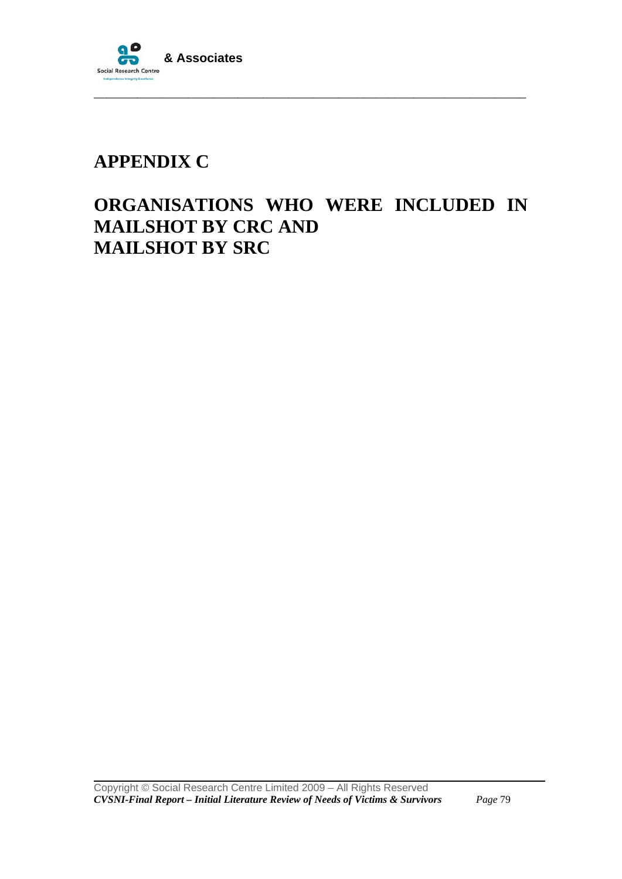

# **APPENDIX C**

## **ORGANISATIONS WHO WERE INCLUDED IN MAILSHOT BY CRC AND MAILSHOT BY SRC**

\_\_\_\_\_\_\_\_\_\_\_\_\_\_\_\_\_\_\_\_\_\_\_\_\_\_\_\_\_\_\_\_\_\_\_\_\_\_\_\_\_\_\_\_\_\_\_\_\_\_\_\_\_\_\_\_\_\_\_\_\_\_\_\_\_\_\_\_\_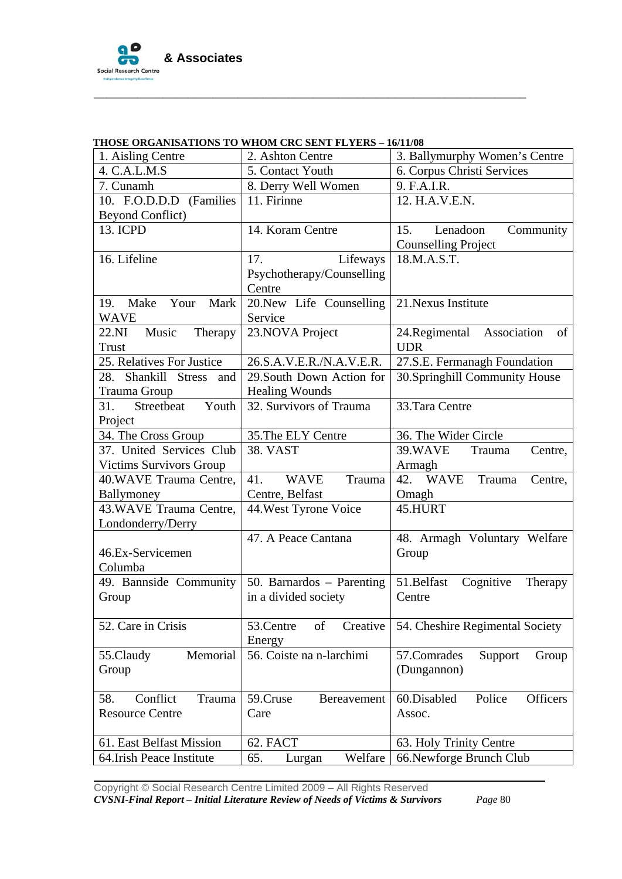

|                                | HIOSE ONGANISATIONS TO WHOM CNC SENT FETENS – IV/H/V0 |                                    |  |
|--------------------------------|-------------------------------------------------------|------------------------------------|--|
| 1. Aisling Centre              | 2. Ashton Centre                                      | 3. Ballymurphy Women's Centre      |  |
| 4. C.A.L.M.S                   | 5. Contact Youth                                      | 6. Corpus Christi Services         |  |
| 7. Cunamh                      | 8. Derry Well Women                                   | 9. F.A.I.R.                        |  |
| 10. F.O.D.D.D (Families        | 11. Firinne                                           | 12. H.A.V.E.N.                     |  |
| <b>Beyond Conflict)</b>        |                                                       |                                    |  |
| 13. ICPD                       | 14. Koram Centre                                      | 15.<br>Lenadoon<br>Community       |  |
|                                |                                                       | <b>Counselling Project</b>         |  |
| 16. Lifeline                   | Lifeways<br>17.                                       | 18.M.A.S.T.                        |  |
|                                | Psychotherapy/Counselling                             |                                    |  |
|                                | Centre                                                |                                    |  |
| 19. Make<br>Your<br>Mark       | 20. New Life Counselling                              | 21. Nexus Institute                |  |
| <b>WAVE</b>                    | Service                                               |                                    |  |
| 22.NI<br>Music<br>Therapy      | 23. NOVA Project                                      | 24.Regimental<br>Association<br>of |  |
| <b>Trust</b>                   |                                                       | <b>UDR</b>                         |  |
| 25. Relatives For Justice      | 26.S.A.V.E.R./N.A.V.E.R.                              | 27.S.E. Fermanagh Foundation       |  |
| 28. Shankill Stress<br>and     | 29. South Down Action for                             | 30.Springhill Community House      |  |
| Trauma Group                   | <b>Healing Wounds</b>                                 |                                    |  |
| Youth<br>31.<br>Streetbeat     | 32. Survivors of Trauma                               | 33.Tara Centre                     |  |
| Project                        |                                                       |                                    |  |
| 34. The Cross Group            | 35. The ELY Centre                                    | 36. The Wider Circle               |  |
| 37. United Services Club       | 38. VAST                                              | 39.WAVE<br>Trauma<br>Centre,       |  |
| <b>Victims Survivors Group</b> |                                                       | Armagh                             |  |
| 40. WAVE Trauma Centre,        | <b>WAVE</b><br>Trauma<br>41.                          | 42. WAVE<br>Trauma<br>Centre,      |  |
| Ballymoney                     | Centre, Belfast                                       | Omagh                              |  |
| 43. WAVE Trauma Centre,        | 44. West Tyrone Voice                                 | 45.HURT                            |  |
| Londonderry/Derry              |                                                       |                                    |  |
|                                | 47. A Peace Cantana                                   | 48. Armagh Voluntary Welfare       |  |
| 46.Ex-Servicemen               |                                                       | Group                              |  |
| Columba                        |                                                       |                                    |  |
| 49. Bannside Community         | 50. Barnardos - Parenting                             | 51.Belfast<br>Cognitive<br>Therapy |  |
| Group                          | in a divided society                                  | Centre                             |  |
|                                |                                                       |                                    |  |
| 52. Care in Crisis             | Creative<br>of<br>53.Centre                           | 54. Cheshire Regimental Society    |  |
|                                | Energy                                                |                                    |  |
| Memorial<br>55.Claudy          | 56. Coiste na n-larchimi                              | 57.Comrades<br>Support<br>Group    |  |
| Group                          |                                                       | (Dungannon)                        |  |
|                                |                                                       |                                    |  |
| Conflict<br>Trauma<br>58.      | 59.Cruse<br>Bereavement                               | 60.Disabled<br>Police<br>Officers  |  |
| <b>Resource Centre</b>         | Care                                                  | Assoc.                             |  |
|                                |                                                       |                                    |  |
| 61. East Belfast Mission       | 62. FACT                                              | 63. Holy Trinity Centre            |  |
| 64. Irish Peace Institute      | Welfare<br>65.<br>Lurgan                              | 66. Newforge Brunch Club           |  |

#### **THOSE ORGANISATIONS TO WHOM CRC SENT FLYERS – 16/11/08**

\_\_\_\_\_\_\_\_\_\_\_\_\_\_\_\_\_\_\_\_\_\_\_\_\_\_\_\_\_\_\_\_\_\_\_\_\_\_\_\_\_\_\_\_\_\_\_\_\_\_\_\_\_\_\_\_\_\_\_\_\_\_\_\_\_\_\_\_\_

Copyright © Social Research Centre Limited 2009 – All Rights Reserved *CVSNI-Final Report – Initial Literature Review of Needs of Victims & Survivors Page* 80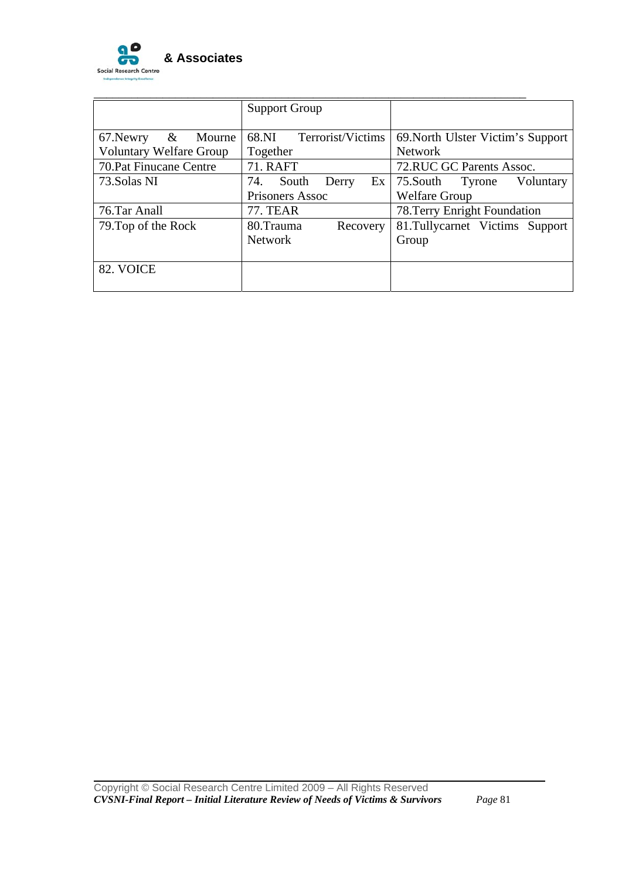

|                                | <b>Support Group</b>        |                                   |
|--------------------------------|-----------------------------|-----------------------------------|
|                                |                             |                                   |
| $\&$<br>67. Newry<br>Mourne    | Terrorist/Victims<br>68.NI  | 69. North Ulster Victim's Support |
| <b>Voluntary Welfare Group</b> | Together                    | <b>Network</b>                    |
| 70. Pat Finucane Centre        | <b>71. RAFT</b>             | 72.RUC GC Parents Assoc.          |
| 73. Solas NI                   | 74.<br>South<br>Ex<br>Derry | 75. South Tyrone<br>Voluntary     |
|                                | Prisoners Assoc             | <b>Welfare Group</b>              |
| 76.Tar Anall                   | <b>77. TEAR</b>             | 78. Terry Enright Foundation      |
| 79. Top of the Rock            | 80.Trauma<br>Recovery       | 81. Tullycarnet Victims Support   |
|                                | <b>Network</b>              | Group                             |
|                                |                             |                                   |
| 82. VOICE                      |                             |                                   |
|                                |                             |                                   |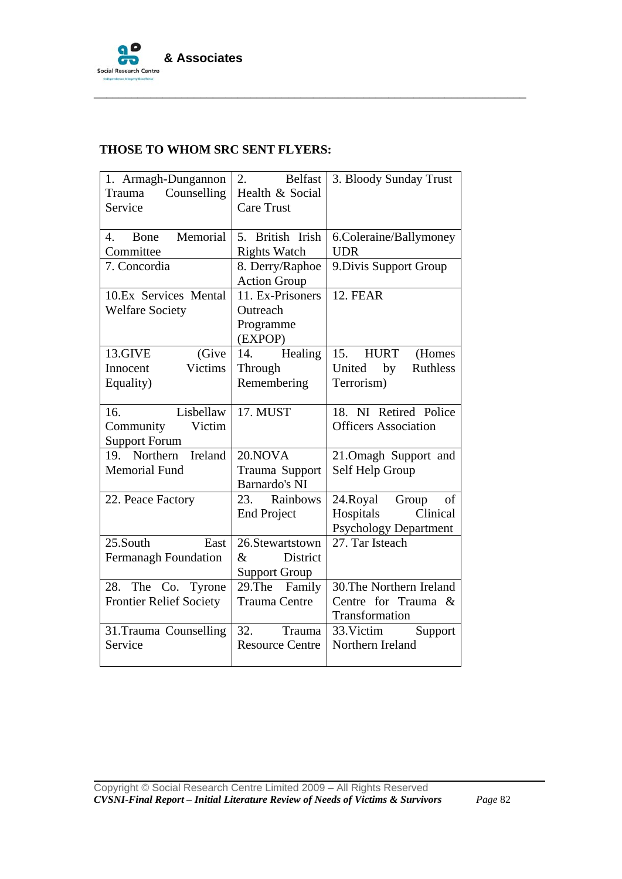

| 1. Armagh-Dungannon<br>Counselling<br>Trauma<br>Service         | $\overline{2}$ .<br><b>Belfast</b><br>Health & Social<br><b>Care Trust</b> | 3. Bloody Sunday Trust                                                           |
|-----------------------------------------------------------------|----------------------------------------------------------------------------|----------------------------------------------------------------------------------|
| Memorial<br>Bone<br>4.<br>Committee                             | 5. British Irish<br><b>Rights Watch</b>                                    | 6.Coleraine/Ballymoney<br><b>UDR</b>                                             |
| 7. Concordia                                                    | 8. Derry/Raphoe<br><b>Action Group</b>                                     | 9. Divis Support Group                                                           |
| 10.Ex Services Mental<br><b>Welfare Society</b>                 | 11. Ex-Prisoners<br>Outreach<br>Programme<br>(EXPOP)                       | <b>12. FEAR</b>                                                                  |
| 13.GIVE<br>(Give<br>Victims<br>Innocent<br>Equality)            | Healing<br>14.<br>Through<br>Remembering                                   | 15. HURT<br>(Homes<br>United<br><b>Ruthless</b><br>by<br>Terrorism)              |
| Lisbellaw<br>16.<br>Victim<br>Community<br><b>Support Forum</b> | 17. MUST                                                                   | 18. NI Retired Police<br><b>Officers Association</b>                             |
| Ireland<br>19. Northern<br><b>Memorial Fund</b>                 | 20.NOVA<br>Trauma Support<br>Barnardo's NI                                 | 21. Omagh Support and<br>Self Help Group                                         |
| 22. Peace Factory                                               | 23. Rainbows<br><b>End Project</b>                                         | 24.Royal<br>Group<br>of<br>Clinical<br>Hospitals<br><b>Psychology Department</b> |
| 25.South<br>East<br><b>Fermanagh Foundation</b>                 | 26.Stewartstown<br>$\&$<br><b>District</b><br><b>Support Group</b>         | 27. Tar Isteach                                                                  |
| 28. The Co. Tyrone<br><b>Frontier Relief Society</b>            | 29. The Family<br><b>Trauma Centre</b>                                     | 30. The Northern Ireland<br>Centre for Trauma &<br>Transformation                |
| 31.Trauma Counselling<br>Service                                | 32.<br>Trauma<br><b>Resource Centre</b>                                    | Support<br>33. Victim<br>Northern Ireland                                        |

\_\_\_\_\_\_\_\_\_\_\_\_\_\_\_\_\_\_\_\_\_\_\_\_\_\_\_\_\_\_\_\_\_\_\_\_\_\_\_\_\_\_\_\_\_\_\_\_\_\_\_\_\_\_\_\_\_\_\_\_\_\_\_\_\_\_\_\_\_

## **THOSE TO WHOM SRC SENT FLYERS:**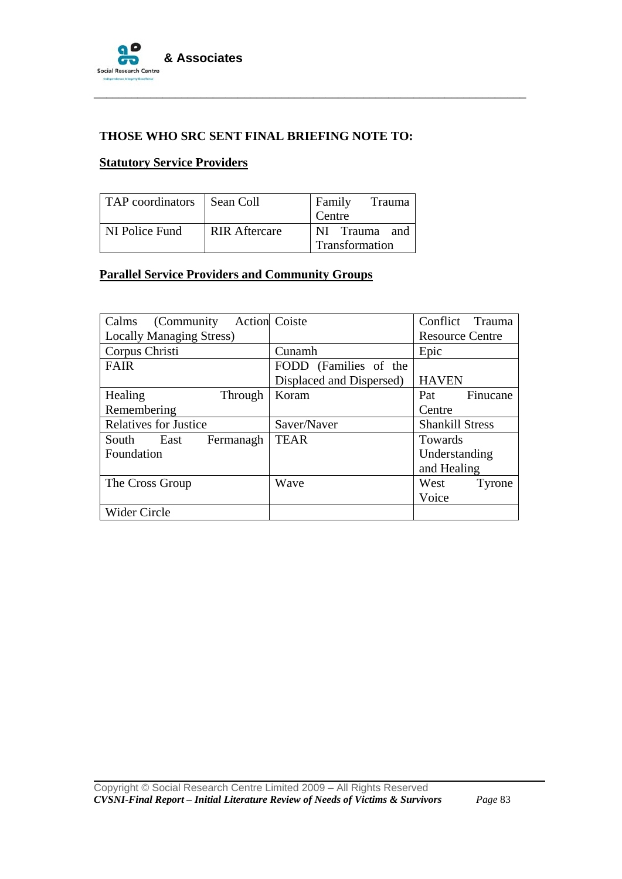

#### **THOSE WHO SRC SENT FINAL BRIEFING NOTE TO:**

\_\_\_\_\_\_\_\_\_\_\_\_\_\_\_\_\_\_\_\_\_\_\_\_\_\_\_\_\_\_\_\_\_\_\_\_\_\_\_\_\_\_\_\_\_\_\_\_\_\_\_\_\_\_\_\_\_\_\_\_\_\_\_\_\_\_\_\_\_

#### **Statutory Service Providers**

| TAP coordinators   Sean Coll |                      | Family<br>Trauma |
|------------------------------|----------------------|------------------|
|                              |                      | Centre           |
| <b>NI</b> Police Fund        | <b>RIR Aftercare</b> | NI Trauma and    |
|                              |                      | Transformation   |

## **Parallel Service Providers and Community Groups**

| (Community)<br>Calms            | <b>Action</b> Coiste     | Conflict<br>Trauma     |
|---------------------------------|--------------------------|------------------------|
| <b>Locally Managing Stress)</b> |                          | <b>Resource Centre</b> |
| Corpus Christi                  | Cunamh                   | Epic                   |
| <b>FAIR</b>                     | FODD (Families of the    |                        |
|                                 | Displaced and Dispersed) | <b>HAVEN</b>           |
| Healing<br>Through              | Koram                    | Pat<br>Finucane        |
| Remembering                     |                          | Centre                 |
| <b>Relatives for Justice</b>    | Saver/Naver              | <b>Shankill Stress</b> |
| South<br>East<br>Fermanagh      | <b>TEAR</b>              | Towards                |
| Foundation                      |                          | Understanding          |
|                                 |                          | and Healing            |
| The Cross Group                 | Wave                     | West<br>Tyrone         |
|                                 |                          | Voice                  |
| <b>Wider Circle</b>             |                          |                        |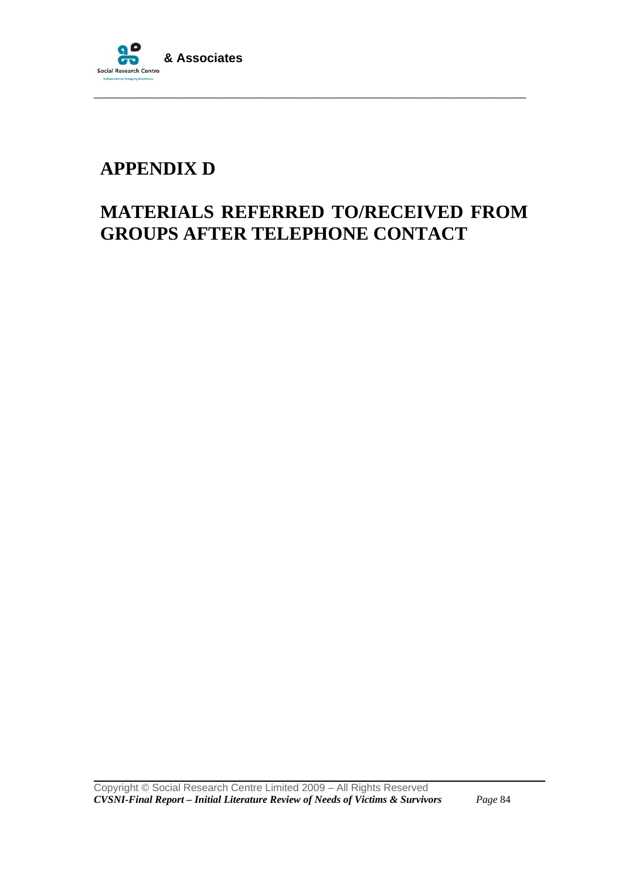

## **APPENDIX D**

## **MATERIALS REFERRED TO/RECEIVED FROM GROUPS AFTER TELEPHONE CONTACT**

\_\_\_\_\_\_\_\_\_\_\_\_\_\_\_\_\_\_\_\_\_\_\_\_\_\_\_\_\_\_\_\_\_\_\_\_\_\_\_\_\_\_\_\_\_\_\_\_\_\_\_\_\_\_\_\_\_\_\_\_\_\_\_\_\_\_\_\_\_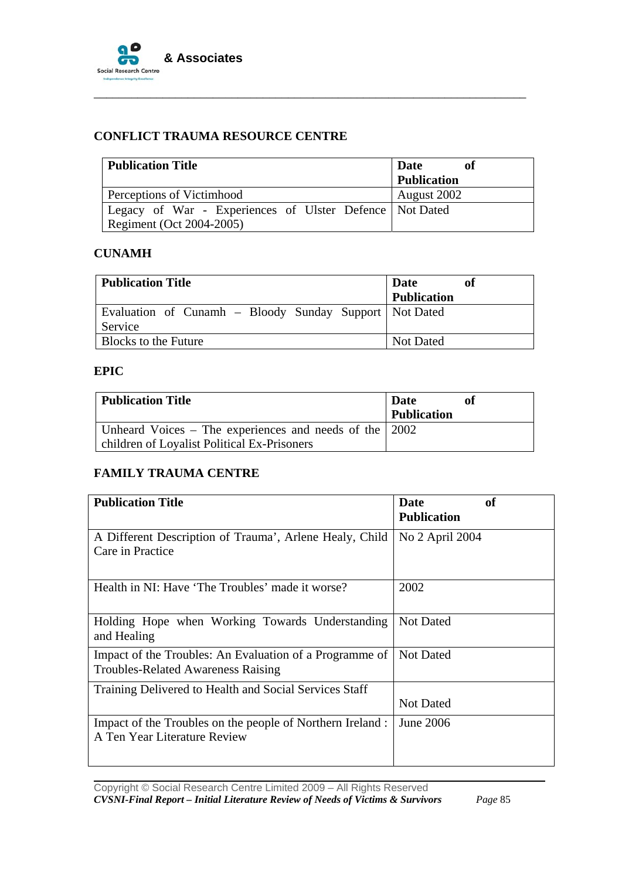

### **CONFLICT TRAUMA RESOURCE CENTRE**

| Publication Title                                         | of<br>Date         |
|-----------------------------------------------------------|--------------------|
|                                                           | <b>Publication</b> |
| Perceptions of Victimhood                                 | August 2002        |
| Legacy of War - Experiences of Ulster Defence   Not Dated |                    |
| Regiment (Oct 2004-2005)                                  |                    |

\_\_\_\_\_\_\_\_\_\_\_\_\_\_\_\_\_\_\_\_\_\_\_\_\_\_\_\_\_\_\_\_\_\_\_\_\_\_\_\_\_\_\_\_\_\_\_\_\_\_\_\_\_\_\_\_\_\_\_\_\_\_\_\_\_\_\_\_\_

### **CUNAMH**

| <b>Publication Title</b>                                 | <b>Date</b><br>of<br><b>Publication</b> |
|----------------------------------------------------------|-----------------------------------------|
| Evaluation of Cunamh - Bloody Sunday Support   Not Dated |                                         |
| Service                                                  |                                         |
| <b>Blocks to the Future</b>                              | Not Dated                               |

#### **EPIC**

| <b>Publication Title</b>                                                                                      | <b>Date</b><br><b>Publication</b> |
|---------------------------------------------------------------------------------------------------------------|-----------------------------------|
| Unheard Voices – The experiences and needs of the $\vert$ 2002<br>children of Loyalist Political Ex-Prisoners |                                   |

#### **FAMILY TRAUMA CENTRE**

| <b>Publication Title</b>                                                                             | of<br>Date         |
|------------------------------------------------------------------------------------------------------|--------------------|
|                                                                                                      | <b>Publication</b> |
| A Different Description of Trauma', Arlene Healy, Child<br>Care in Practice                          | No 2 April 2004    |
| Health in NI: Have 'The Troubles' made it worse?                                                     | 2002               |
| Holding Hope when Working Towards Understanding<br>and Healing                                       | Not Dated          |
| Impact of the Troubles: An Evaluation of a Programme of<br><b>Troubles-Related Awareness Raising</b> | Not Dated          |
| Training Delivered to Health and Social Services Staff                                               | <b>Not Dated</b>   |
| Impact of the Troubles on the people of Northern Ireland :<br>A Ten Year Literature Review           | June 2006          |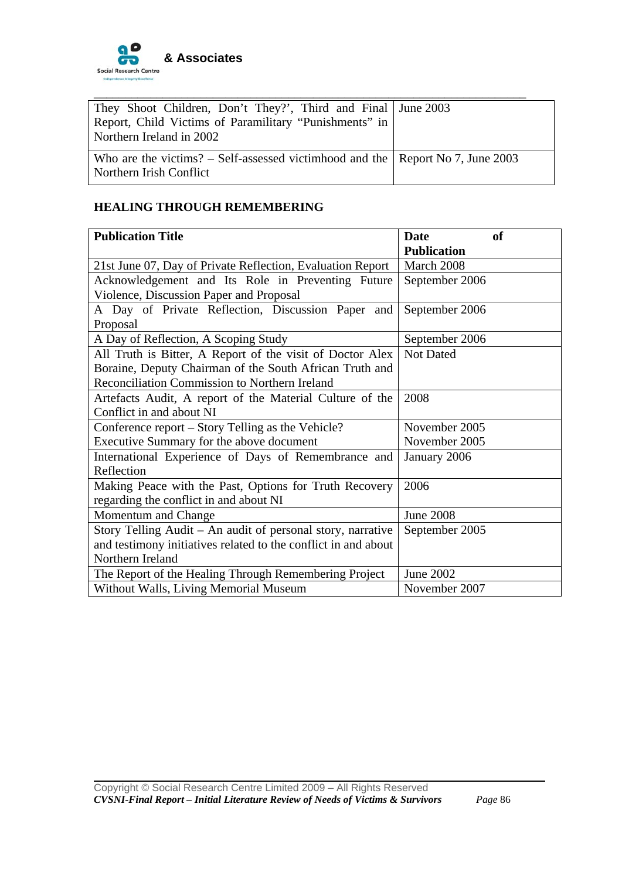

| They Shoot Children, Don't They?', Third and Final   June 2003                                                    |  |
|-------------------------------------------------------------------------------------------------------------------|--|
| Report, Child Victims of Paramilitary "Punishments" in<br>Northern Ireland in 2002                                |  |
| Who are the victims? – Self-assessed victimhood and the $\vert$ Report No 7, June 2003<br>Northern Irish Conflict |  |

## **HEALING THROUGH REMEMBERING**

| <b>Publication Title</b>                                       | Date<br><b>of</b>  |
|----------------------------------------------------------------|--------------------|
|                                                                | <b>Publication</b> |
| 21st June 07, Day of Private Reflection, Evaluation Report     | March 2008         |
| Acknowledgement and Its Role in Preventing Future              | September 2006     |
| Violence, Discussion Paper and Proposal                        |                    |
| A Day of Private Reflection, Discussion Paper and              | September 2006     |
| Proposal                                                       |                    |
| A Day of Reflection, A Scoping Study                           | September 2006     |
| All Truth is Bitter, A Report of the visit of Doctor Alex      | Not Dated          |
| Boraine, Deputy Chairman of the South African Truth and        |                    |
| Reconciliation Commission to Northern Ireland                  |                    |
| Artefacts Audit, A report of the Material Culture of the       | 2008               |
| Conflict in and about NI                                       |                    |
| Conference report – Story Telling as the Vehicle?              | November 2005      |
| Executive Summary for the above document                       | November 2005      |
| International Experience of Days of Remembrance and            | January 2006       |
| Reflection                                                     |                    |
| Making Peace with the Past, Options for Truth Recovery         | 2006               |
| regarding the conflict in and about NI                         |                    |
| Momentum and Change                                            | <b>June 2008</b>   |
| Story Telling Audit – An audit of personal story, narrative    | September 2005     |
| and testimony initiatives related to the conflict in and about |                    |
| Northern Ireland                                               |                    |
| The Report of the Healing Through Remembering Project          | June 2002          |
| Without Walls, Living Memorial Museum                          | November 2007      |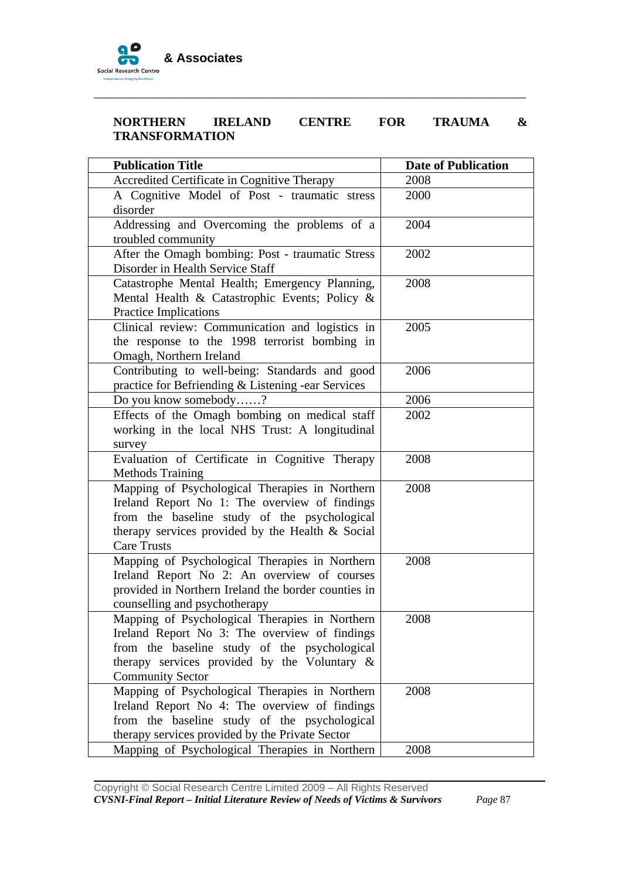

### **NORTHERN IRELAND CENTRE FOR TRAUMA & TRANSFORMATION**

\_\_\_\_\_\_\_\_\_\_\_\_\_\_\_\_\_\_\_\_\_\_\_\_\_\_\_\_\_\_\_\_\_\_\_\_\_\_\_\_\_\_\_\_\_\_\_\_\_\_\_\_\_\_\_\_\_\_\_\_\_\_\_\_\_\_\_\_\_

| <b>Publication Title</b>                            | <b>Date of Publication</b> |
|-----------------------------------------------------|----------------------------|
| Accredited Certificate in Cognitive Therapy         | 2008                       |
| A Cognitive Model of Post - traumatic stress        | 2000                       |
| disorder                                            |                            |
| Addressing and Overcoming the problems of a         | 2004                       |
| troubled community                                  |                            |
| After the Omagh bombing: Post - traumatic Stress    | 2002                       |
| Disorder in Health Service Staff                    |                            |
| Catastrophe Mental Health; Emergency Planning,      | 2008                       |
| Mental Health & Catastrophic Events; Policy &       |                            |
| Practice Implications                               |                            |
| Clinical review: Communication and logistics in     | 2005                       |
| the response to the 1998 terrorist bombing in       |                            |
| Omagh, Northern Ireland                             |                            |
| Contributing to well-being: Standards and good      | 2006                       |
| practice for Befriending & Listening -ear Services  |                            |
| Do you know somebody?                               | 2006                       |
| Effects of the Omagh bombing on medical staff       | 2002                       |
| working in the local NHS Trust: A longitudinal      |                            |
| survey                                              |                            |
| Evaluation of Certificate in Cognitive Therapy      | 2008                       |
| <b>Methods Training</b>                             |                            |
| Mapping of Psychological Therapies in Northern      | 2008                       |
| Ireland Report No 1: The overview of findings       |                            |
| from the baseline study of the psychological        |                            |
| therapy services provided by the Health & Social    |                            |
| <b>Care Trusts</b>                                  |                            |
| Mapping of Psychological Therapies in Northern      | 2008                       |
| Ireland Report No 2: An overview of courses         |                            |
| provided in Northern Ireland the border counties in |                            |
| counselling and psychotherapy                       |                            |
| Mapping of Psychological Therapies in Northern      | 2008                       |
| Ireland Report No 3: The overview of findings       |                            |
| from the baseline study of the psychological        |                            |
| therapy services provided by the Voluntary $\&$     |                            |
| <b>Community Sector</b>                             |                            |
| Mapping of Psychological Therapies in Northern      | 2008                       |
| Ireland Report No 4: The overview of findings       |                            |
| from the baseline study of the psychological        |                            |
| therapy services provided by the Private Sector     |                            |
| Mapping of Psychological Therapies in Northern      | 2008                       |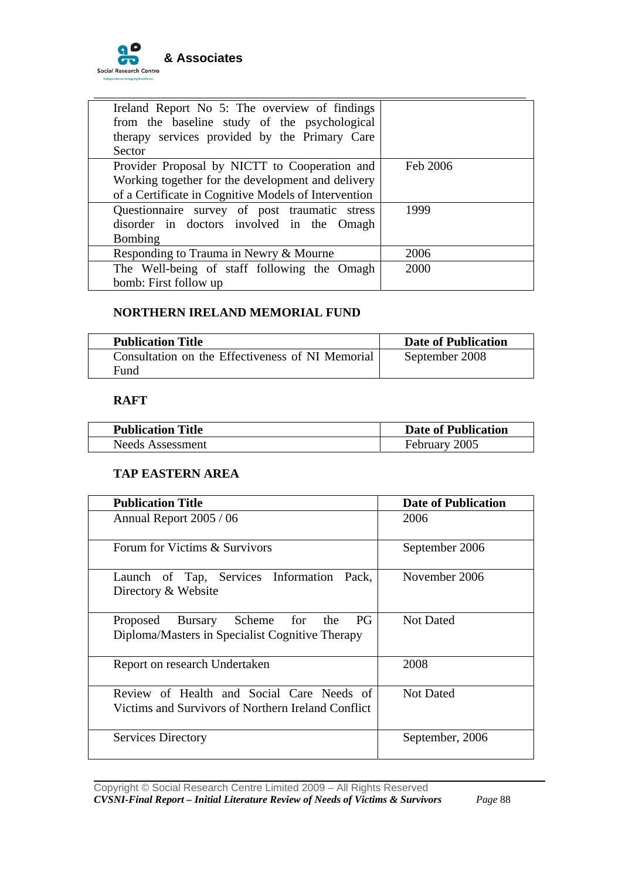

| Ireland Report No 5: The overview of findings<br>from the baseline study of the psychological<br>therapy services provided by the Primary Care<br>Sector   |          |
|------------------------------------------------------------------------------------------------------------------------------------------------------------|----------|
| Provider Proposal by NICTT to Cooperation and<br>Working together for the development and delivery<br>of a Certificate in Cognitive Models of Intervention | Feb 2006 |
| Questionnaire survey of post traumatic stress<br>disorder in doctors involved in the Omagh<br>Bombing                                                      | 1999     |
| Responding to Trauma in Newry & Mourne                                                                                                                     | 2006     |
| The Well-being of staff following the Omagh<br>bomb: First follow up                                                                                       | 2000     |

#### **NORTHERN IRELAND MEMORIAL FUND**

| <b>Publication Title</b>                         | <b>Date of Publication</b> |
|--------------------------------------------------|----------------------------|
| Consultation on the Effectiveness of NI Memorial | September 2008             |
| Fund                                             |                            |

## **RAFT**

| <b>Publication Title</b> | <b>Date of Publication</b> |
|--------------------------|----------------------------|
| <b>Needs Assessment</b>  | February 2005              |

#### **TAP EASTERN AREA**

| <b>Publication Title</b>                                                                        | <b>Date of Publication</b> |
|-------------------------------------------------------------------------------------------------|----------------------------|
| Annual Report 2005 / 06                                                                         | 2006                       |
| Forum for Victims & Survivors                                                                   | September 2006             |
| Launch of Tap, Services Information Pack,<br>Directory & Website                                | November 2006              |
| Proposed Bursary Scheme for the<br>PG.<br>Diploma/Masters in Specialist Cognitive Therapy       | <b>Not Dated</b>           |
| Report on research Undertaken                                                                   | 2008                       |
| Review of Health and Social Care Needs of<br>Victims and Survivors of Northern Ireland Conflict | <b>Not Dated</b>           |
| <b>Services Directory</b>                                                                       | September, 2006            |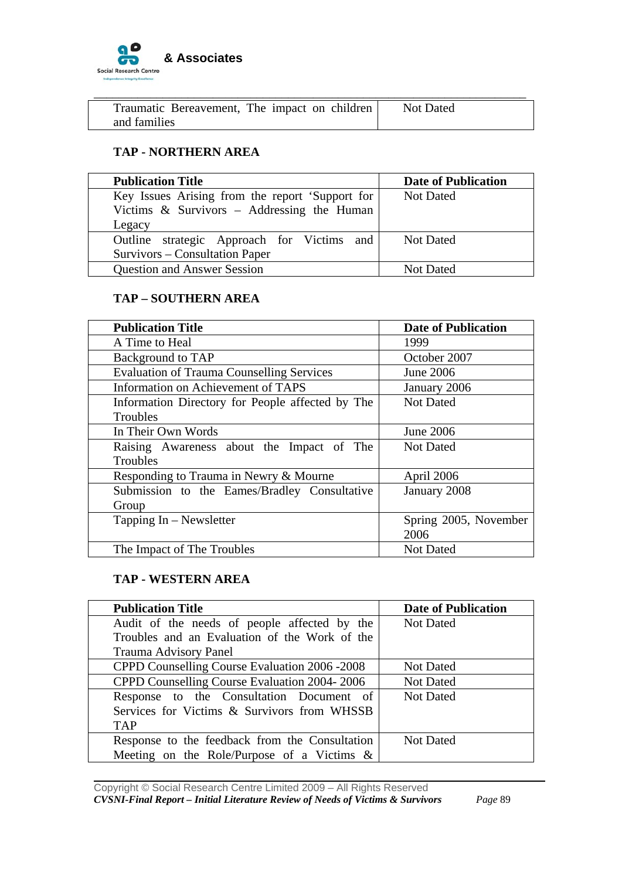

| Traumatic Bereavement, The impact on children | <b>Not Dated</b> |
|-----------------------------------------------|------------------|
| and families                                  |                  |

### **TAP - NORTHERN AREA**

| <b>Publication Title</b>                        | <b>Date of Publication</b> |
|-------------------------------------------------|----------------------------|
| Key Issues Arising from the report 'Support for | <b>Not Dated</b>           |
| Victims $\&$ Survivors – Addressing the Human   |                            |
| Legacy                                          |                            |
| Outline strategic Approach for Victims<br>and   | <b>Not Dated</b>           |
| Survivors – Consultation Paper                  |                            |
| <b>Question and Answer Session</b>              | <b>Not Dated</b>           |

#### **TAP – SOUTHERN AREA**

| <b>Publication Title</b>                         | <b>Date of Publication</b> |
|--------------------------------------------------|----------------------------|
| A Time to Heal                                   | 1999                       |
| Background to TAP                                | October 2007               |
| <b>Evaluation of Trauma Counselling Services</b> | <b>June 2006</b>           |
| Information on Achievement of TAPS               | January 2006               |
| Information Directory for People affected by The | <b>Not Dated</b>           |
| Troubles                                         |                            |
| In Their Own Words                               | June 2006                  |
| Raising Awareness about the Impact of The        | <b>Not Dated</b>           |
| Troubles                                         |                            |
| Responding to Trauma in Newry & Mourne           | April 2006                 |
| Submission to the Eames/Bradley Consultative     | January 2008               |
| Group                                            |                            |
| Tapping $In - Newsletter$                        | Spring 2005, November      |
|                                                  | 2006                       |
| The Impact of The Troubles                       | <b>Not Dated</b>           |

#### **TAP - WESTERN AREA**

| <b>Publication Title</b>                       | <b>Date of Publication</b> |
|------------------------------------------------|----------------------------|
| Audit of the needs of people affected by the   | <b>Not Dated</b>           |
| Troubles and an Evaluation of the Work of the  |                            |
| Trauma Advisory Panel                          |                            |
| CPPD Counselling Course Evaluation 2006 - 2008 | <b>Not Dated</b>           |
| CPPD Counselling Course Evaluation 2004-2006   | <b>Not Dated</b>           |
| Response to the Consultation Document of       | <b>Not Dated</b>           |
| Services for Victims & Survivors from WHSSB    |                            |
| <b>TAP</b>                                     |                            |
| Response to the feedback from the Consultation | <b>Not Dated</b>           |
| Meeting on the Role/Purpose of a Victims $\&$  |                            |